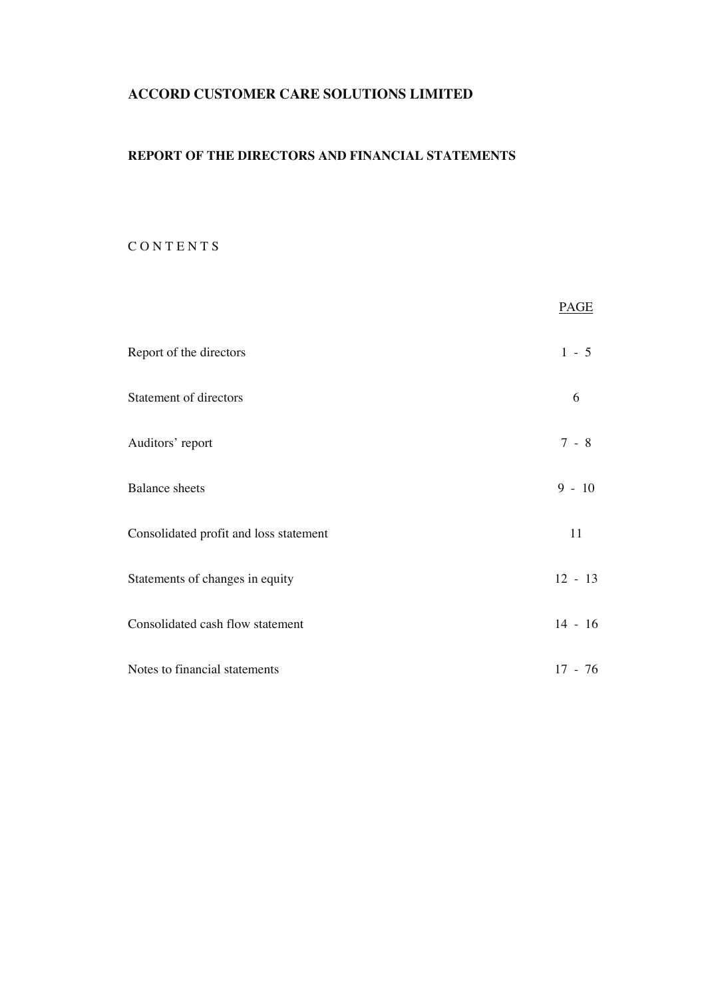# **REPORT OF THE DIRECTORS AND FINANCIAL STATEMENTS**

# C O N T E N T S

|                                        | PAGE      |
|----------------------------------------|-----------|
| Report of the directors                | $1 - 5$   |
| Statement of directors                 | 6         |
| Auditors' report                       | $7 - 8$   |
| <b>Balance</b> sheets                  | $9 - 10$  |
| Consolidated profit and loss statement | 11        |
| Statements of changes in equity        | $12 - 13$ |
| Consolidated cash flow statement       | $14 - 16$ |
| Notes to financial statements          | $17 - 76$ |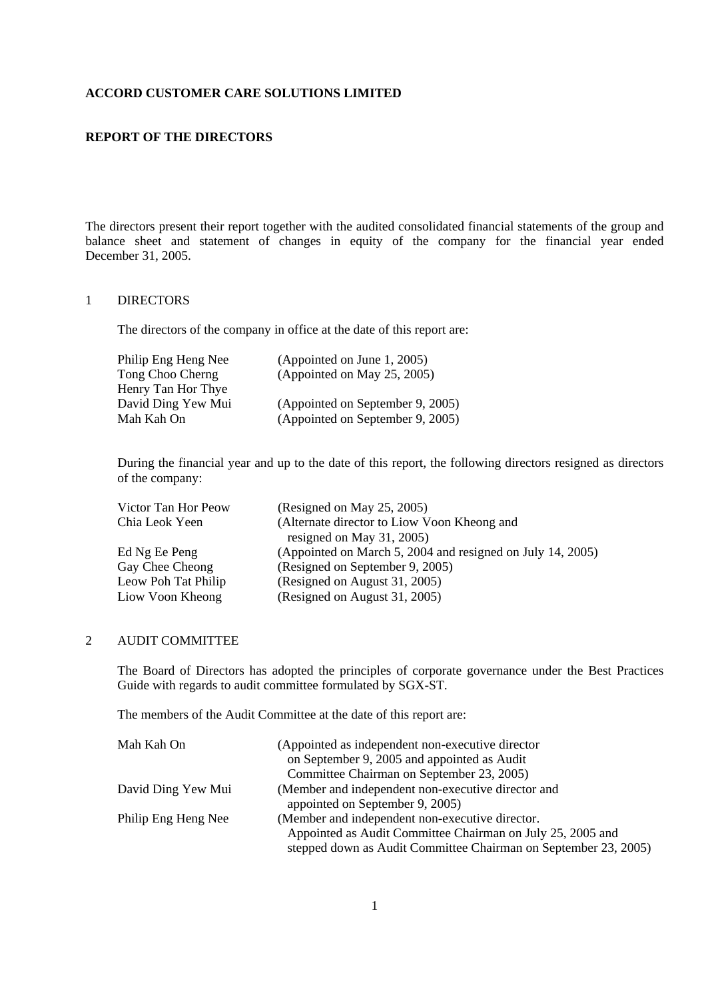## **REPORT OF THE DIRECTORS**

The directors present their report together with the audited consolidated financial statements of the group and balance sheet and statement of changes in equity of the company for the financial year ended December 31, 2005.

## 1 DIRECTORS

The directors of the company in office at the date of this report are:

| Philip Eng Heng Nee | (Appointed on June 1, 2005)      |
|---------------------|----------------------------------|
| Tong Choo Cherng    | (Appointed on May 25, 2005)      |
| Henry Tan Hor Thye  |                                  |
| David Ding Yew Mui  | (Appointed on September 9, 2005) |
| Mah Kah On          | (Appointed on September 9, 2005) |
|                     |                                  |

 During the financial year and up to the date of this report, the following directors resigned as directors of the company:

| Victor Tan Hor Peow | (Resigned on May 25, 2005)                                 |
|---------------------|------------------------------------------------------------|
| Chia Leok Yeen      | (Alternate director to Liow Voon Kheong and                |
|                     | resigned on May 31, 2005)                                  |
| Ed Ng Ee Peng       | (Appointed on March 5, 2004 and resigned on July 14, 2005) |
| Gay Chee Cheong     | (Resigned on September 9, 2005)                            |
| Leow Poh Tat Philip | (Resigned on August 31, 2005)                              |
| Liow Voon Kheong    | (Resigned on August 31, 2005)                              |
|                     |                                                            |

## 2 AUDIT COMMITTEE

 The Board of Directors has adopted the principles of corporate governance under the Best Practices Guide with regards to audit committee formulated by SGX-ST.

The members of the Audit Committee at the date of this report are:

| Mah Kah On          | (Appointed as independent non-executive director)               |  |  |  |  |
|---------------------|-----------------------------------------------------------------|--|--|--|--|
|                     | on September 9, 2005 and appointed as Audit                     |  |  |  |  |
|                     | Committee Chairman on September 23, 2005)                       |  |  |  |  |
| David Ding Yew Mui  | (Member and independent non-executive director and              |  |  |  |  |
|                     | appointed on September 9, 2005)                                 |  |  |  |  |
| Philip Eng Heng Nee | (Member and independent non-executive director.                 |  |  |  |  |
|                     | Appointed as Audit Committee Chairman on July 25, 2005 and      |  |  |  |  |
|                     | stepped down as Audit Committee Chairman on September 23, 2005) |  |  |  |  |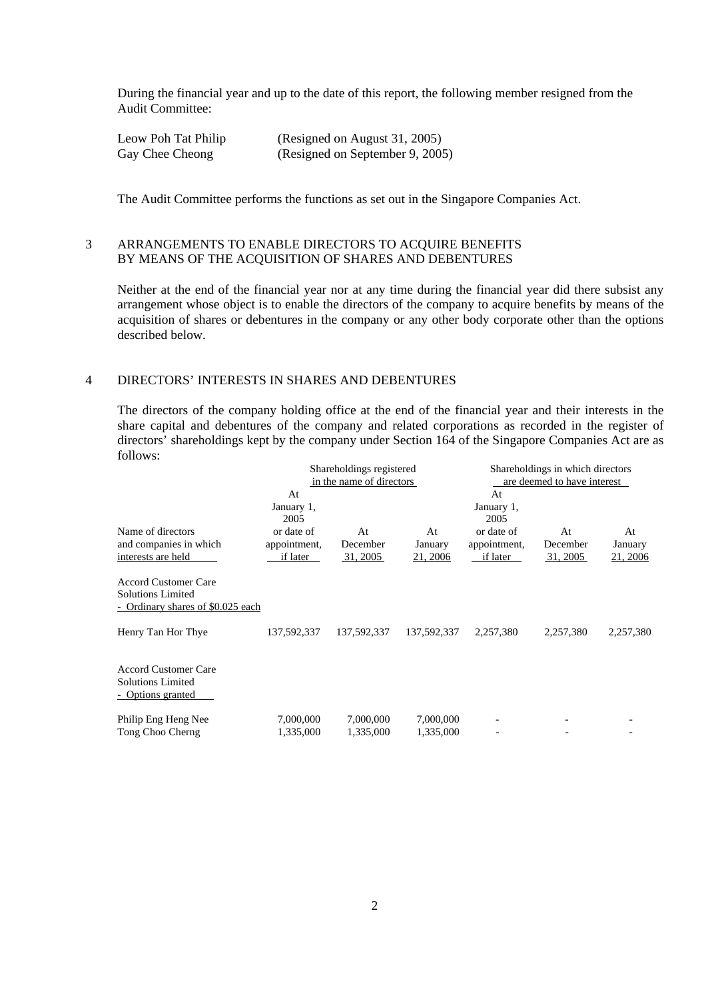During the financial year and up to the date of this report, the following member resigned from the Audit Committee:

| Leow Poh Tat Philip | (Resigned on August 31, 2005)   |
|---------------------|---------------------------------|
| Gay Chee Cheong     | (Resigned on September 9, 2005) |

The Audit Committee performs the functions as set out in the Singapore Companies Act.

## 3 ARRANGEMENTS TO ENABLE DIRECTORS TO ACQUIRE BENEFITS BY MEANS OF THE ACQUISITION OF SHARES AND DEBENTURES

 Neither at the end of the financial year nor at any time during the financial year did there subsist any arrangement whose object is to enable the directors of the company to acquire benefits by means of the acquisition of shares or debentures in the company or any other body corporate other than the options described below.

### 4 DIRECTORS' INTERESTS IN SHARES AND DEBENTURES

 The directors of the company holding office at the end of the financial year and their interests in the share capital and debentures of the company and related corporations as recorded in the register of directors' shareholdings kept by the company under Section 164 of the Singapore Companies Act are as

|              |                                   |             | are deemed to have interest                          |                                     |                                  |  |
|--------------|-----------------------------------|-------------|------------------------------------------------------|-------------------------------------|----------------------------------|--|
| At           |                                   |             | At                                                   |                                     |                                  |  |
| January 1,   |                                   |             | January 1,                                           |                                     |                                  |  |
| 2005         |                                   |             | 2005                                                 |                                     |                                  |  |
| or date of   | At                                | At          | or date of                                           | At                                  | At                               |  |
| appointment, | December                          | January     | appointment,                                         | December                            | January                          |  |
| if later     | 31, 2005                          | 21, 2006    | if later                                             | 31, 2005                            | 21, 2006                         |  |
| 137,592,337  | 137,592,337                       | 137,592,337 | 2,257,380                                            | 2,257,380                           | 2,257,380                        |  |
|              |                                   |             |                                                      |                                     |                                  |  |
|              |                                   |             |                                                      |                                     |                                  |  |
|              |                                   |             |                                                      |                                     |                                  |  |
|              |                                   |             |                                                      |                                     |                                  |  |
|              | - Ordinary shares of \$0.025 each |             | Shareholdings registered<br>in the name of directors | 7,000,000<br>7,000,000<br>7,000,000 | Shareholdings in which directors |  |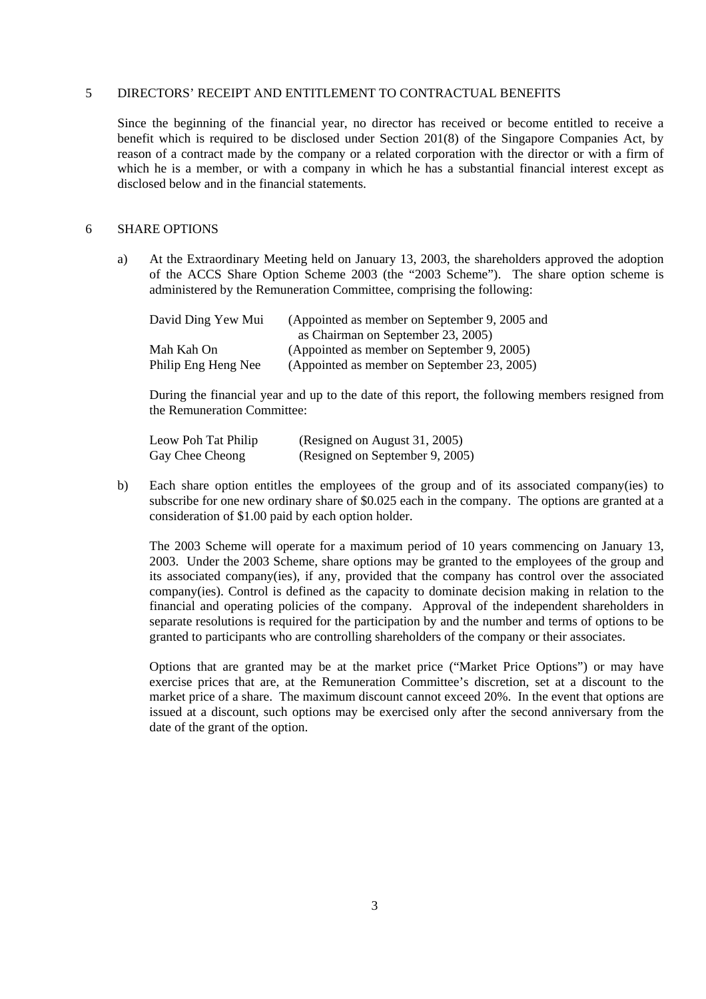#### 5 DIRECTORS' RECEIPT AND ENTITLEMENT TO CONTRACTUAL BENEFITS

 Since the beginning of the financial year, no director has received or become entitled to receive a benefit which is required to be disclosed under Section 201(8) of the Singapore Companies Act, by reason of a contract made by the company or a related corporation with the director or with a firm of which he is a member, or with a company in which he has a substantial financial interest except as disclosed below and in the financial statements.

### 6 SHARE OPTIONS

 a) At the Extraordinary Meeting held on January 13, 2003, the shareholders approved the adoption of the ACCS Share Option Scheme 2003 (the "2003 Scheme"). The share option scheme is administered by the Remuneration Committee, comprising the following:

| David Ding Yew Mui  | (Appointed as member on September 9, 2005 and |  |  |  |
|---------------------|-----------------------------------------------|--|--|--|
|                     | as Chairman on September 23, 2005)            |  |  |  |
| Mah Kah On          | (Appointed as member on September 9, 2005)    |  |  |  |
| Philip Eng Heng Nee | (Appointed as member on September 23, 2005)   |  |  |  |

 During the financial year and up to the date of this report, the following members resigned from the Remuneration Committee:

| Leow Poh Tat Philip | (Resigned on August 31, 2005)   |
|---------------------|---------------------------------|
| Gay Chee Cheong     | (Resigned on September 9, 2005) |

 b) Each share option entitles the employees of the group and of its associated company(ies) to subscribe for one new ordinary share of \$0.025 each in the company. The options are granted at a consideration of \$1.00 paid by each option holder.

 The 2003 Scheme will operate for a maximum period of 10 years commencing on January 13, 2003. Under the 2003 Scheme, share options may be granted to the employees of the group and its associated company(ies), if any, provided that the company has control over the associated company(ies). Control is defined as the capacity to dominate decision making in relation to the financial and operating policies of the company. Approval of the independent shareholders in separate resolutions is required for the participation by and the number and terms of options to be granted to participants who are controlling shareholders of the company or their associates.

 Options that are granted may be at the market price ("Market Price Options") or may have exercise prices that are, at the Remuneration Committee's discretion, set at a discount to the market price of a share. The maximum discount cannot exceed 20%. In the event that options are issued at a discount, such options may be exercised only after the second anniversary from the date of the grant of the option.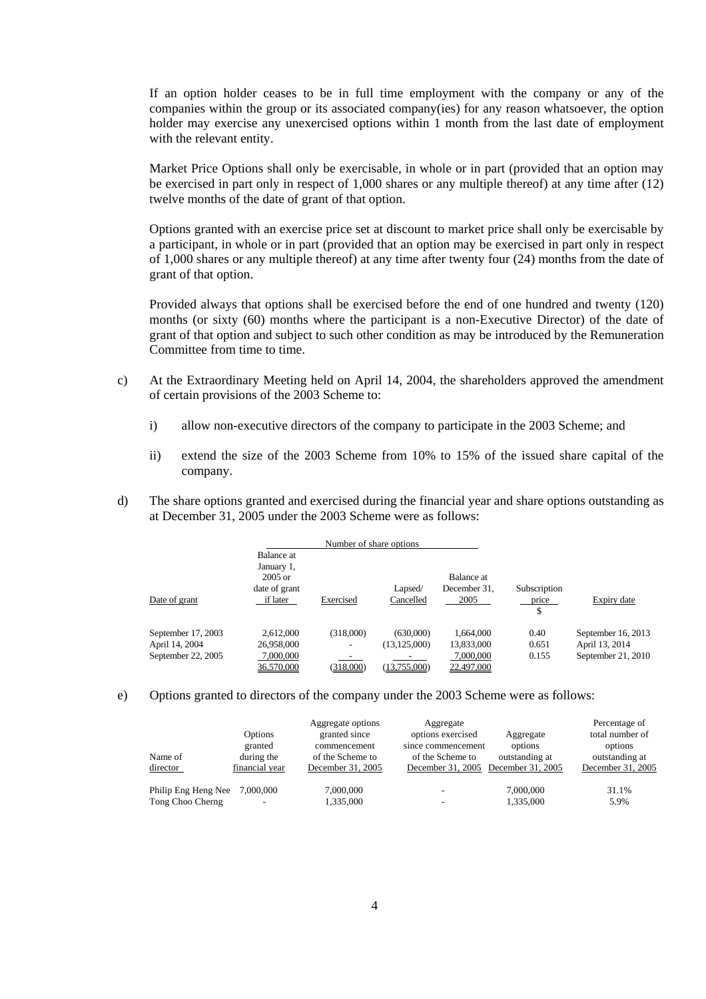If an option holder ceases to be in full time employment with the company or any of the companies within the group or its associated company(ies) for any reason whatsoever, the option holder may exercise any unexercised options within 1 month from the last date of employment with the relevant entity.

 Market Price Options shall only be exercisable, in whole or in part (provided that an option may be exercised in part only in respect of 1,000 shares or any multiple thereof) at any time after (12) twelve months of the date of grant of that option.

 Options granted with an exercise price set at discount to market price shall only be exercisable by a participant, in whole or in part (provided that an option may be exercised in part only in respect of 1,000 shares or any multiple thereof) at any time after twenty four (24) months from the date of grant of that option.

 Provided always that options shall be exercised before the end of one hundred and twenty (120) months (or sixty (60) months where the participant is a non-Executive Director) of the date of grant of that option and subject to such other condition as may be introduced by the Remuneration Committee from time to time.

- c) At the Extraordinary Meeting held on April 14, 2004, the shareholders approved the amendment of certain provisions of the 2003 Scheme to:
	- i) allow non-executive directors of the company to participate in the 2003 Scheme; and
	- ii) extend the size of the 2003 Scheme from 10% to 15% of the issued share capital of the company.
- d) The share options granted and exercised during the financial year and share options outstanding as at December 31, 2005 under the 2003 Scheme were as follows:

| Number of share options              |                                                        |                |                             |                            |               |                                      |
|--------------------------------------|--------------------------------------------------------|----------------|-----------------------------|----------------------------|---------------|--------------------------------------|
|                                      | Balance at<br>January 1,<br>$2005$ or<br>date of grant |                | Lapsed/                     | Balance at<br>December 31. | Subscription  |                                      |
| Date of grant                        | if later                                               | Exercised      | Cancelled                   | 2005                       | price<br>\$   | Expiry date                          |
| September 17, 2003<br>April 14, 2004 | 2,612,000<br>26,958,000                                | (318,000)<br>۰ | (630,000)<br>(13, 125, 000) | 1.664.000<br>13,833,000    | 0.40<br>0.651 | September 16, 2013<br>April 13, 2014 |
| September 22, 2005                   | 7,000,000<br>36,570,000                                | (318,000)      | (13,755,000)                | 7,000,000<br>22,497,000    | 0.155         | September 21, 2010                   |

e) Options granted to directors of the company under the 2003 Scheme were as follows:

| Name of<br>director                                 | Options<br>granted<br>during the<br>financial year | Aggregate options<br>granted since<br>commencement<br>of the Scheme to<br>December 31, 2005 | Aggregate<br>options exercised<br>since commencement<br>of the Scheme to<br>December 31, 2005 | Aggregate<br>options<br>outstanding at<br>December 31, 2005 | Percentage of<br>total number of<br>options<br>outstanding at<br>December 31, 2005 |
|-----------------------------------------------------|----------------------------------------------------|---------------------------------------------------------------------------------------------|-----------------------------------------------------------------------------------------------|-------------------------------------------------------------|------------------------------------------------------------------------------------|
| Philip Eng Heng Nee $7,000,000$<br>Tong Choo Cherng | -                                                  | 7,000,000<br>1,335,000                                                                      |                                                                                               | 7,000,000<br>1,335,000                                      | 31.1%<br>5.9%                                                                      |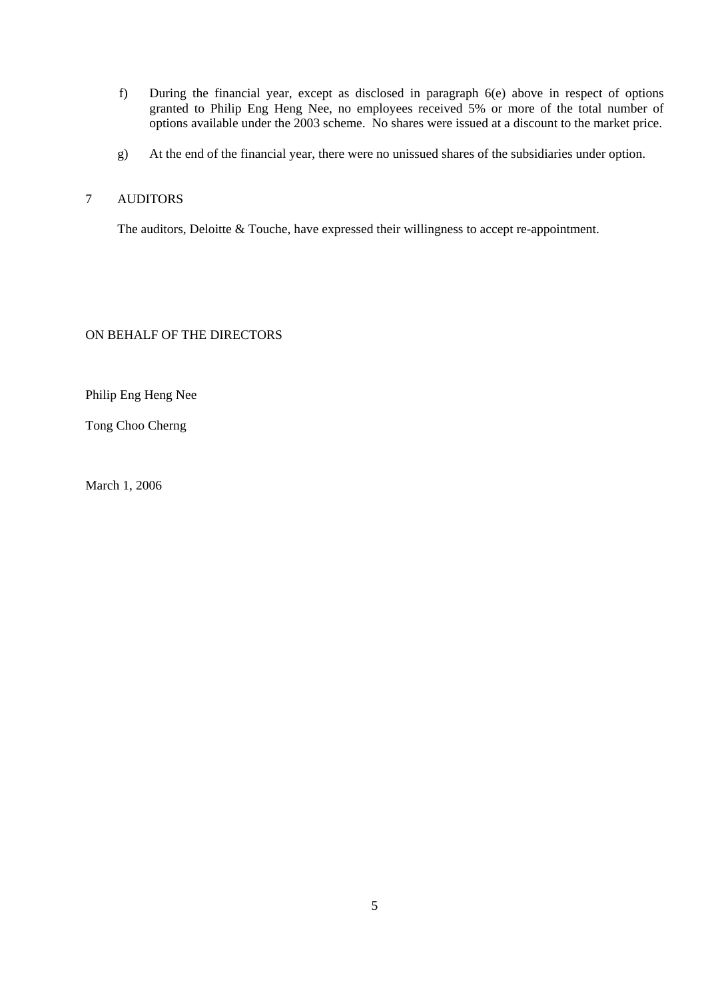- f) During the financial year, except as disclosed in paragraph 6(e) above in respect of options granted to Philip Eng Heng Nee, no employees received 5% or more of the total number of options available under the 2003 scheme. No shares were issued at a discount to the market price.
- g) At the end of the financial year, there were no unissued shares of the subsidiaries under option.

## 7 AUDITORS

The auditors, Deloitte & Touche, have expressed their willingness to accept re-appointment.

## ON BEHALF OF THE DIRECTORS

Philip Eng Heng Nee

Tong Choo Cherng

March 1, 2006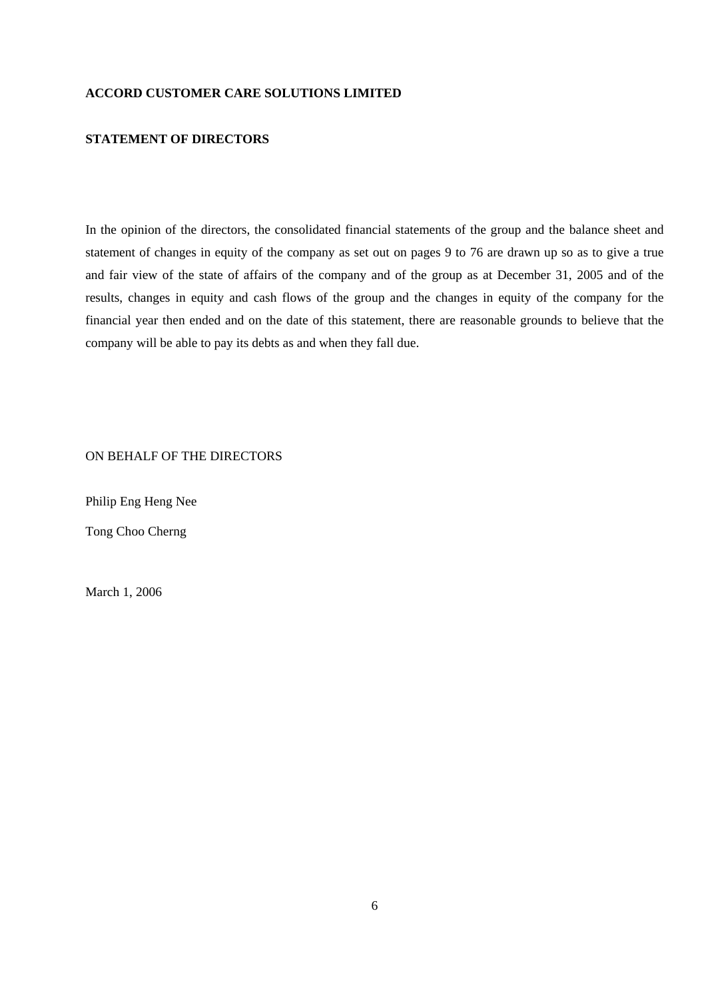## **STATEMENT OF DIRECTORS**

In the opinion of the directors, the consolidated financial statements of the group and the balance sheet and statement of changes in equity of the company as set out on pages 9 to 76 are drawn up so as to give a true and fair view of the state of affairs of the company and of the group as at December 31, 2005 and of the results, changes in equity and cash flows of the group and the changes in equity of the company for the financial year then ended and on the date of this statement, there are reasonable grounds to believe that the company will be able to pay its debts as and when they fall due.

## ON BEHALF OF THE DIRECTORS

Philip Eng Heng Nee

Tong Choo Cherng

March 1, 2006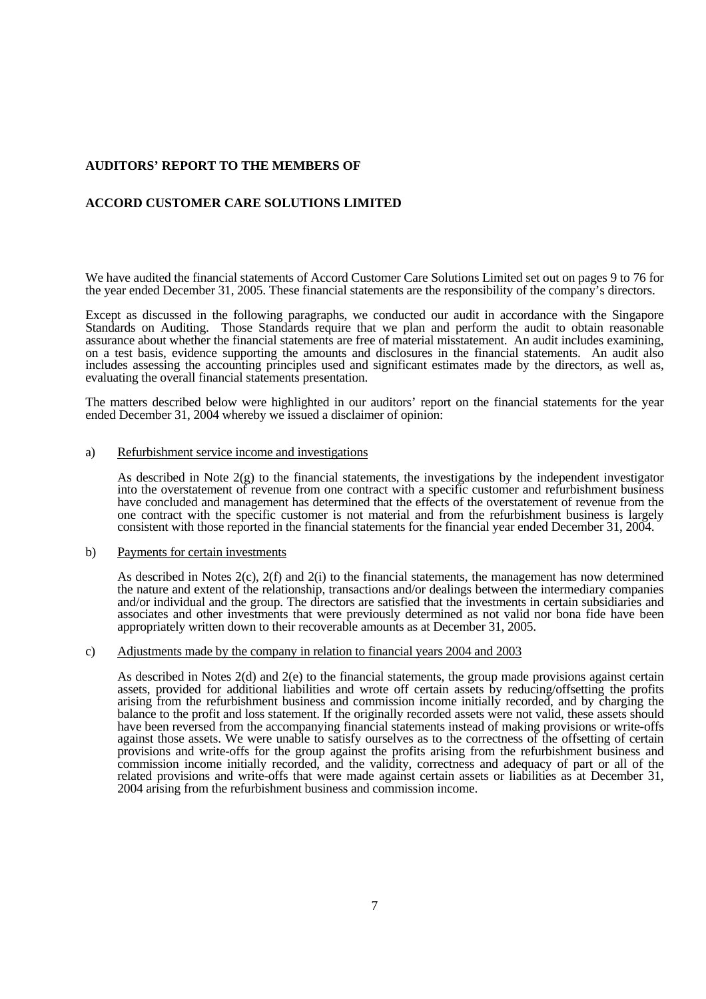## **AUDITORS' REPORT TO THE MEMBERS OF**

## **ACCORD CUSTOMER CARE SOLUTIONS LIMITED**

We have audited the financial statements of Accord Customer Care Solutions Limited set out on pages 9 to 76 for the year ended December 31, 2005. These financial statements are the responsibility of the company's directors.

Except as discussed in the following paragraphs, we conducted our audit in accordance with the Singapore Standards on Auditing. Those Standards require that we plan and perform the audit to obtain reasonable assurance about whether the financial statements are free of material misstatement. An audit includes examining, on a test basis, evidence supporting the amounts and disclosures in the financial statements. An audit also includes assessing the accounting principles used and significant estimates made by the directors, as well as, evaluating the overall financial statements presentation.

The matters described below were highlighted in our auditors' report on the financial statements for the year ended December 31, 2004 whereby we issued a disclaimer of opinion:

#### a) Refurbishment service income and investigations

As described in Note 2(g) to the financial statements, the investigations by the independent investigator into the overstatement of revenue from one contract with a specific customer and refurbishment business have concluded and management has determined that the effects of the overstatement of revenue from the one contract with the specific customer is not material and from the refurbishment business is largely consistent with those reported in the financial statements for the financial year ended December 31, 2004.

#### b) Payments for certain investments

As described in Notes 2(c), 2(f) and 2(i) to the financial statements, the management has now determined the nature and extent of the relationship, transactions and/or dealings between the intermediary companies and/or individual and the group. The directors are satisfied that the investments in certain subsidiaries and associates and other investments that were previously determined as not valid nor bona fide have been appropriately written down to their recoverable amounts as at December 31, 2005.

#### c) Adjustments made by the company in relation to financial years 2004 and 2003

As described in Notes 2(d) and 2(e) to the financial statements, the group made provisions against certain assets, provided for additional liabilities and wrote off certain assets by reducing/offsetting the profits arising from the refurbishment business and commission income initially recorded, and by charging the balance to the profit and loss statement. If the originally recorded assets were not valid, these assets should have been reversed from the accompanying financial statements instead of making provisions or write-offs against those assets. We were unable to satisfy ourselves as to the correctness of the offsetting of certain provisions and write-offs for the group against the profits arising from the refurbishment business and commission income initially recorded, and the validity, correctness and adequacy of part or all of the related provisions and write-offs that were made against certain assets or liabilities as at December 31, 2004 arising from the refurbishment business and commission income.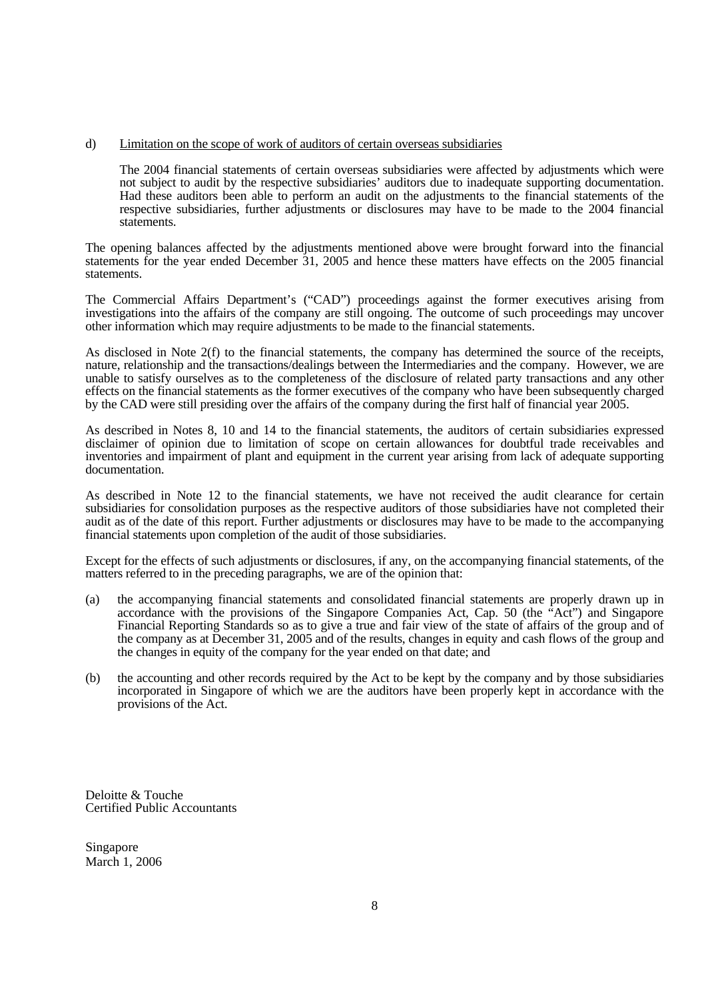#### d) Limitation on the scope of work of auditors of certain overseas subsidiaries

The 2004 financial statements of certain overseas subsidiaries were affected by adjustments which were not subject to audit by the respective subsidiaries' auditors due to inadequate supporting documentation. Had these auditors been able to perform an audit on the adjustments to the financial statements of the respective subsidiaries, further adjustments or disclosures may have to be made to the 2004 financial statements.

The opening balances affected by the adjustments mentioned above were brought forward into the financial statements for the year ended December 31, 2005 and hence these matters have effects on the 2005 financial statements.

The Commercial Affairs Department's ("CAD") proceedings against the former executives arising from investigations into the affairs of the company are still ongoing. The outcome of such proceedings may uncover other information which may require adjustments to be made to the financial statements.

As disclosed in Note 2(f) to the financial statements, the company has determined the source of the receipts, nature, relationship and the transactions/dealings between the Intermediaries and the company. However, we are unable to satisfy ourselves as to the completeness of the disclosure of related party transactions and any other effects on the financial statements as the former executives of the company who have been subsequently charged by the CAD were still presiding over the affairs of the company during the first half of financial year 2005.

As described in Notes 8, 10 and 14 to the financial statements, the auditors of certain subsidiaries expressed disclaimer of opinion due to limitation of scope on certain allowances for doubtful trade receivables and inventories and impairment of plant and equipment in the current year arising from lack of adequate supporting documentation.

As described in Note 12 to the financial statements, we have not received the audit clearance for certain subsidiaries for consolidation purposes as the respective auditors of those subsidiaries have not completed their audit as of the date of this report. Further adjustments or disclosures may have to be made to the accompanying financial statements upon completion of the audit of those subsidiaries.

Except for the effects of such adjustments or disclosures, if any, on the accompanying financial statements, of the matters referred to in the preceding paragraphs, we are of the opinion that:

- (a) the accompanying financial statements and consolidated financial statements are properly drawn up in accordance with the provisions of the Singapore Companies Act, Cap. 50 (the "Act") and Singapore Financial Reporting Standards so as to give a true and fair view of the state of affairs of the group and of the company as at December 31, 2005 and of the results, changes in equity and cash flows of the group and the changes in equity of the company for the year ended on that date; and
- (b) the accounting and other records required by the Act to be kept by the company and by those subsidiaries incorporated in Singapore of which we are the auditors have been properly kept in accordance with the provisions of the Act.

Deloitte & Touche Certified Public Accountants

Singapore March 1, 2006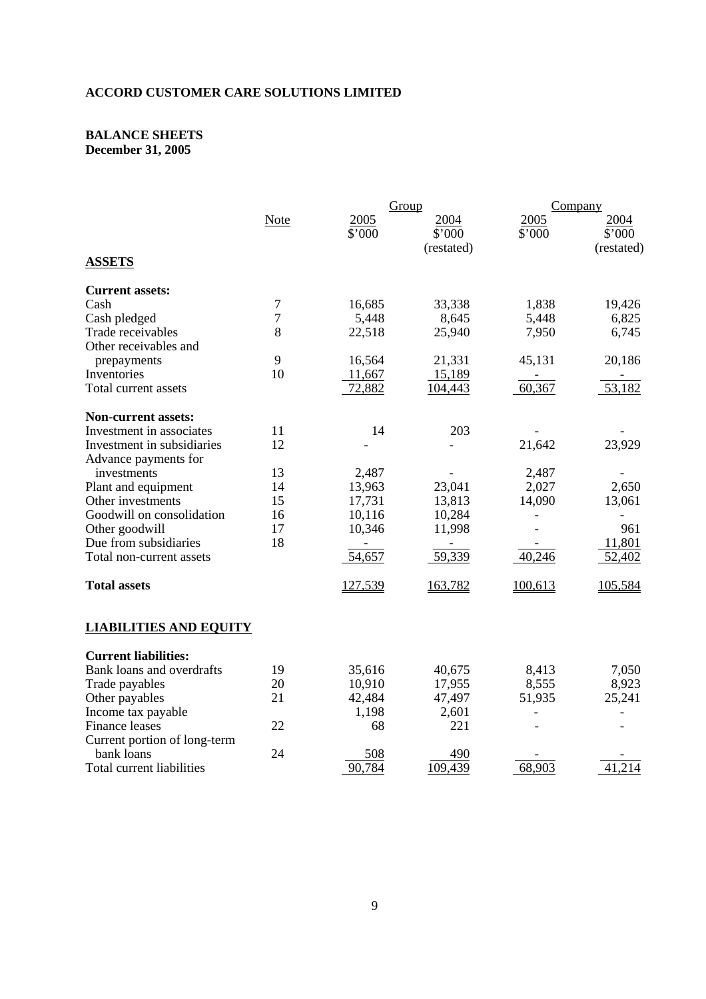## **BALANCE SHEETS December 31, 2005**

|                               |                | Group          |                              | Company                  |                              |
|-------------------------------|----------------|----------------|------------------------------|--------------------------|------------------------------|
|                               | <b>Note</b>    | 2005<br>\$'000 | 2004<br>\$'000<br>(restated) | 2005<br>\$'000           | 2004<br>\$'000<br>(restated) |
| <b>ASSETS</b>                 |                |                |                              |                          |                              |
| <b>Current assets:</b>        |                |                |                              |                          |                              |
| Cash                          | 7              | 16,685         | 33,338                       | 1,838                    | 19,426                       |
| Cash pledged                  | $\overline{7}$ | 5,448          | 8,645                        | 5,448                    | 6,825                        |
| Trade receivables             | 8              | 22,518         | 25,940                       | 7,950                    | 6,745                        |
| Other receivables and         |                |                |                              |                          |                              |
| prepayments                   | 9              | 16,564         | 21,331                       | 45,131                   | 20,186                       |
| Inventories                   | 10             | 11,667         | 15,189                       | $\overline{\phantom{a}}$ |                              |
| Total current assets          |                | 72,882         | 104,443                      | 60,367                   | 53,182                       |
| <b>Non-current assets:</b>    |                |                |                              |                          |                              |
| Investment in associates      | 11             | 14             | 203                          |                          |                              |
| Investment in subsidiaries    | 12             |                |                              | 21,642                   | 23,929                       |
| Advance payments for          |                |                |                              |                          |                              |
| investments                   | 13             | 2,487          |                              | 2,487                    |                              |
| Plant and equipment           | 14             | 13,963         | 23,041                       | 2,027                    | 2,650                        |
| Other investments             | 15             | 17,731         | 13,813                       | 14,090                   | 13,061                       |
| Goodwill on consolidation     | 16             | 10,116         | 10,284                       |                          |                              |
| Other goodwill                | 17             | 10,346         | 11,998                       |                          | 961                          |
| Due from subsidiaries         | 18             |                |                              |                          | 11,801                       |
| Total non-current assets      |                | 54,657         | 59,339                       | 40,246                   | 52,402                       |
|                               |                |                |                              |                          |                              |
| <b>Total assets</b>           |                | 127,539        | 163,782                      | 100,613                  | 105,584                      |
| <b>LIABILITIES AND EQUITY</b> |                |                |                              |                          |                              |
| <b>Current liabilities:</b>   |                |                |                              |                          |                              |
| Bank loans and overdrafts     | 19             | 35,616         | 40,675                       | 8,413                    | 7,050                        |
| Trade payables                | 20             | 10,910         | 17,955                       | 8,555                    | 8,923                        |
| Other payables                | 21             | 42,484         | 47,497                       | 51,935                   | 25,241                       |
| Income tax payable            |                | 1,198          | 2,601                        |                          |                              |
| Finance leases                | 22             | 68             | 221                          |                          |                              |
| Current portion of long-term  |                |                |                              |                          |                              |
| bank loans                    | 24             | 508            | 490                          |                          |                              |
| Total current liabilities     |                | 90,784         | 109,439                      | 68,903                   | 41,214                       |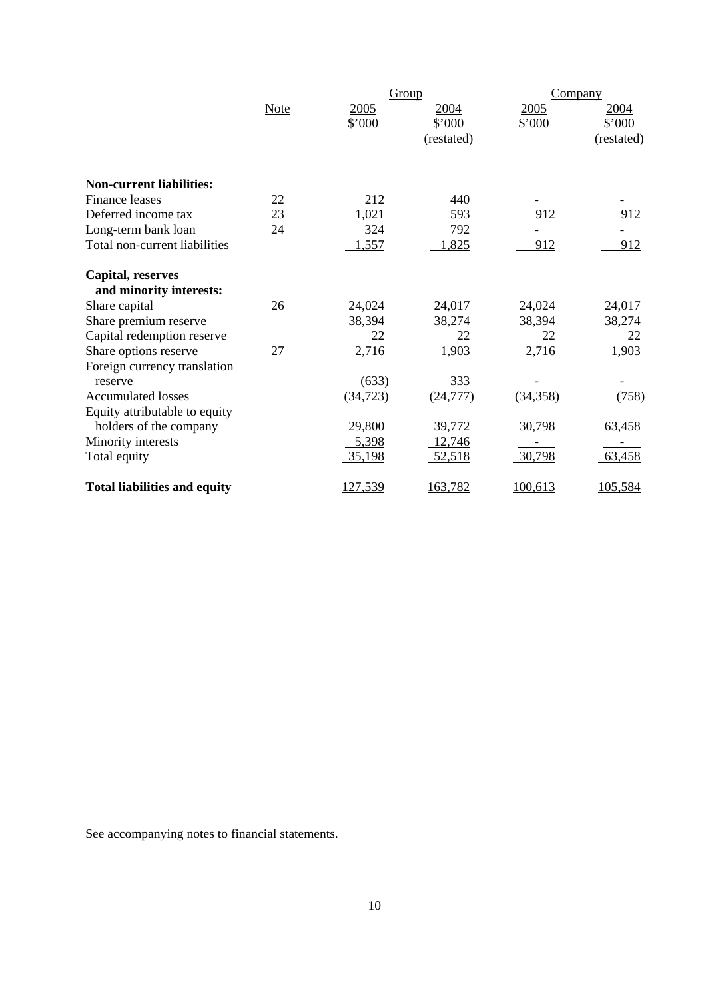|                                              |      |           | Group         | Company   |            |
|----------------------------------------------|------|-----------|---------------|-----------|------------|
|                                              | Note | 2005      | 2004          | 2005      | 2004       |
|                                              |      | \$'000    | \$'000        | \$'000    | \$'000     |
|                                              |      |           | (restated)    |           | (restated) |
| <b>Non-current liabilities:</b>              |      |           |               |           |            |
| <b>Finance leases</b>                        | 22   | 212       | 440           |           |            |
| Deferred income tax                          | 23   | 1,021     | 593           | 912       | 912        |
| Long-term bank loan                          | 24   | 324       | 792           |           |            |
| Total non-current liabilities                |      | 1,557     | 1,825         | 912       | 912        |
| Capital, reserves<br>and minority interests: |      |           |               |           |            |
| Share capital                                | 26   | 24,024    | 24,017        | 24,024    | 24,017     |
| Share premium reserve                        |      | 38,394    | 38,274        | 38,394    | 38,274     |
| Capital redemption reserve                   |      | 22        | 22            | 22        | 22         |
| Share options reserve                        | 27   | 2,716     | 1,903         | 2,716     | 1,903      |
| Foreign currency translation                 |      |           |               |           |            |
| reserve                                      |      | (633)     | 333           |           |            |
| <b>Accumulated losses</b>                    |      | (34, 723) | (24, 777)     | (34, 358) | (758)      |
| Equity attributable to equity                |      |           |               |           |            |
| holders of the company                       |      | 29,800    | 39,772        | 30,798    | 63,458     |
| Minority interests                           |      | 5,398     | 12,746        |           |            |
| Total equity                                 |      | 35,198    | <u>52,518</u> | 30,798    | 63,458     |
| <b>Total liabilities and equity</b>          |      | 127,539   | 163,782       | 100,613   | 105,584    |

See accompanying notes to financial statements.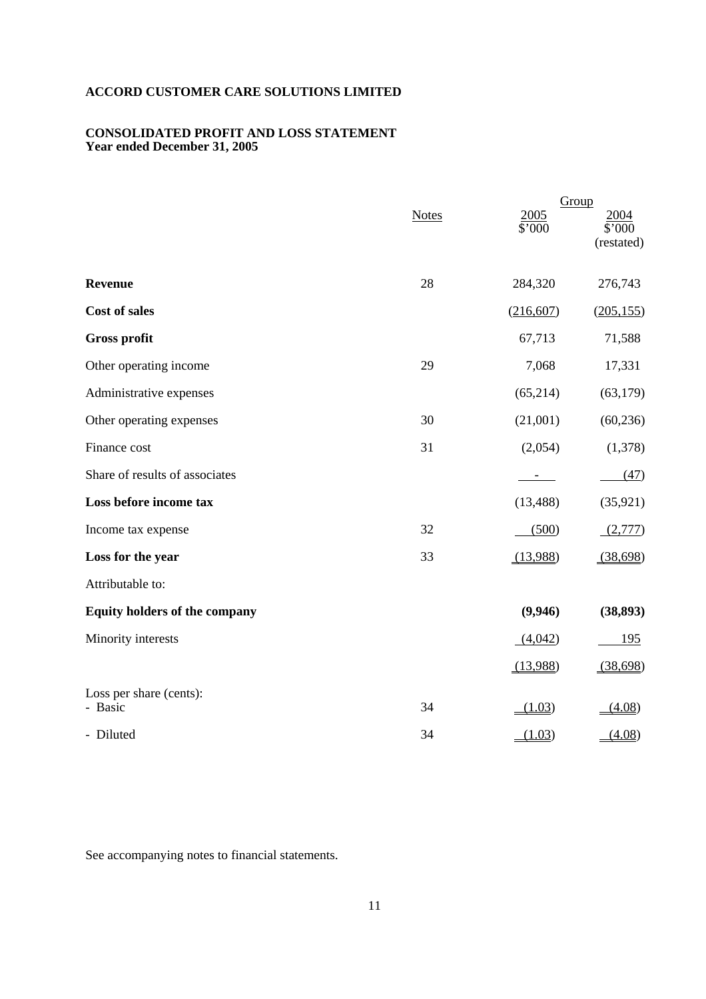#### **CONSOLIDATED PROFIT AND LOSS STATEMENT Year ended December 31, 2005**

|                                      |              |                | Group                        |  |
|--------------------------------------|--------------|----------------|------------------------------|--|
|                                      | <b>Notes</b> | 2005<br>\$'000 | 2004<br>\$'000<br>(restated) |  |
| <b>Revenue</b>                       | 28           | 284,320        | 276,743                      |  |
| <b>Cost of sales</b>                 |              | (216, 607)     | (205, 155)                   |  |
| <b>Gross profit</b>                  |              | 67,713         | 71,588                       |  |
| Other operating income               | 29           | 7,068          | 17,331                       |  |
| Administrative expenses              |              | (65, 214)      | (63,179)                     |  |
| Other operating expenses             | 30           | (21,001)       | (60, 236)                    |  |
| Finance cost                         | 31           | (2,054)        | (1,378)                      |  |
| Share of results of associates       |              | -              | (47)                         |  |
| Loss before income tax               |              | (13, 488)      | (35, 921)                    |  |
| Income tax expense                   | 32           | (500)          | (2,777)                      |  |
| Loss for the year                    | 33           | (13,988)       | (38,698)                     |  |
| Attributable to:                     |              |                |                              |  |
| <b>Equity holders of the company</b> |              | (9,946)        | (38, 893)                    |  |
| Minority interests                   |              | (4,042)        | 195                          |  |
|                                      |              | (13,988)       | (38,698)                     |  |
| Loss per share (cents):<br>- Basic   | 34           | (1.03)         | (4.08)                       |  |
| - Diluted                            | 34           | (1.03)         | (4.08)                       |  |

See accompanying notes to financial statements.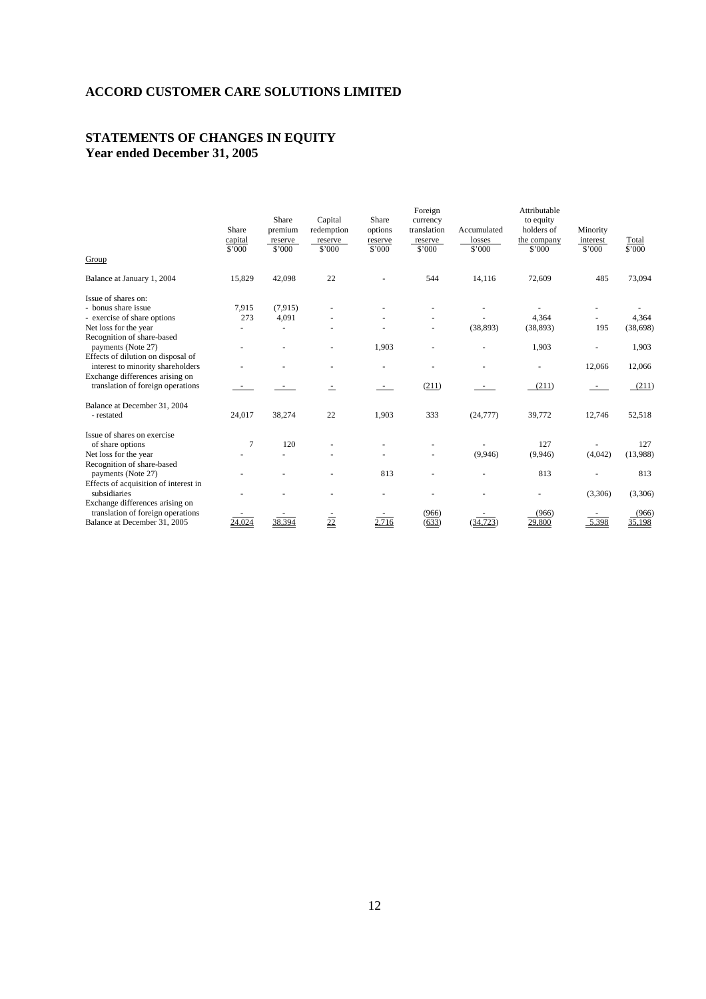## **STATEMENTS OF CHANGES IN EQUITY Year ended December 31, 2005**

|                                       | Share<br>capital<br>\$'000 | Share<br>premium<br>reserve<br>\$'000 | Capital<br>redemption<br>reserve<br>\$'000 | Share<br>options<br>reserve<br>\$'000 | Foreign<br>currency<br>translation<br>reserve<br>\$'000 | Accumulated<br>losses<br>\$'000 | Attributable<br>to equity<br>holders of<br>the company<br>\$'000 | Minority<br>interest<br>\$'000 | Total<br>\$'000 |
|---------------------------------------|----------------------------|---------------------------------------|--------------------------------------------|---------------------------------------|---------------------------------------------------------|---------------------------------|------------------------------------------------------------------|--------------------------------|-----------------|
| Group                                 |                            |                                       |                                            |                                       |                                                         |                                 |                                                                  |                                |                 |
| Balance at January 1, 2004            | 15,829                     | 42,098                                | 22                                         |                                       | 544                                                     | 14,116                          | 72,609                                                           | 485                            | 73,094          |
| Issue of shares on:                   |                            |                                       |                                            |                                       |                                                         |                                 |                                                                  |                                |                 |
| - bonus share issue                   | 7,915                      | (7.915)                               |                                            |                                       |                                                         |                                 |                                                                  |                                |                 |
| - exercise of share options           | 273                        | 4,091                                 |                                            |                                       |                                                         |                                 | 4.364                                                            |                                | 4,364           |
| Net loss for the year                 |                            |                                       |                                            |                                       |                                                         | (38, 893)                       | (38, 893)                                                        | 195                            | (38, 698)       |
| Recognition of share-based            |                            |                                       |                                            |                                       |                                                         |                                 |                                                                  |                                |                 |
| payments (Note 27)                    |                            |                                       |                                            | 1,903                                 |                                                         |                                 | 1,903                                                            |                                | 1,903           |
| Effects of dilution on disposal of    |                            |                                       |                                            |                                       |                                                         |                                 |                                                                  |                                |                 |
| interest to minority shareholders     |                            |                                       |                                            | ٠                                     |                                                         |                                 | $\blacksquare$                                                   | 12,066                         | 12,066          |
| Exchange differences arising on       |                            |                                       |                                            |                                       |                                                         |                                 |                                                                  |                                |                 |
| translation of foreign operations     |                            |                                       |                                            |                                       | (211)                                                   |                                 | (211)                                                            |                                | (211)           |
| Balance at December 31, 2004          |                            |                                       |                                            |                                       |                                                         |                                 |                                                                  |                                |                 |
| - restated                            | 24,017                     | 38,274                                | 22                                         | 1,903                                 | 333                                                     | (24, 777)                       | 39,772                                                           | 12,746                         | 52,518          |
| Issue of shares on exercise           |                            |                                       |                                            |                                       |                                                         |                                 |                                                                  |                                |                 |
| of share options                      | 7                          | 120                                   |                                            |                                       |                                                         |                                 | 127                                                              |                                | 127             |
| Net loss for the year                 |                            |                                       |                                            |                                       |                                                         | (9,946)                         | (9,946)                                                          | (4,042)                        | (13,988)        |
| Recognition of share-based            |                            |                                       |                                            |                                       |                                                         |                                 |                                                                  |                                |                 |
| payments (Note 27)                    |                            |                                       |                                            | 813                                   |                                                         |                                 | 813                                                              |                                | 813             |
| Effects of acquisition of interest in |                            |                                       |                                            |                                       |                                                         |                                 |                                                                  |                                |                 |
| subsidiaries                          |                            |                                       |                                            |                                       |                                                         |                                 |                                                                  | (3,306)                        | (3,306)         |
| Exchange differences arising on       |                            |                                       |                                            |                                       |                                                         |                                 |                                                                  |                                |                 |
| translation of foreign operations     |                            |                                       |                                            |                                       | (966)                                                   |                                 | (966)                                                            |                                | (966)           |
| Balance at December 31, 2005          | 24,024                     | 38.394                                | $\frac{1}{22}$                             | 2.716                                 | (633)                                                   | (34, 723)                       | 29,800                                                           | 5,398                          | 35,198          |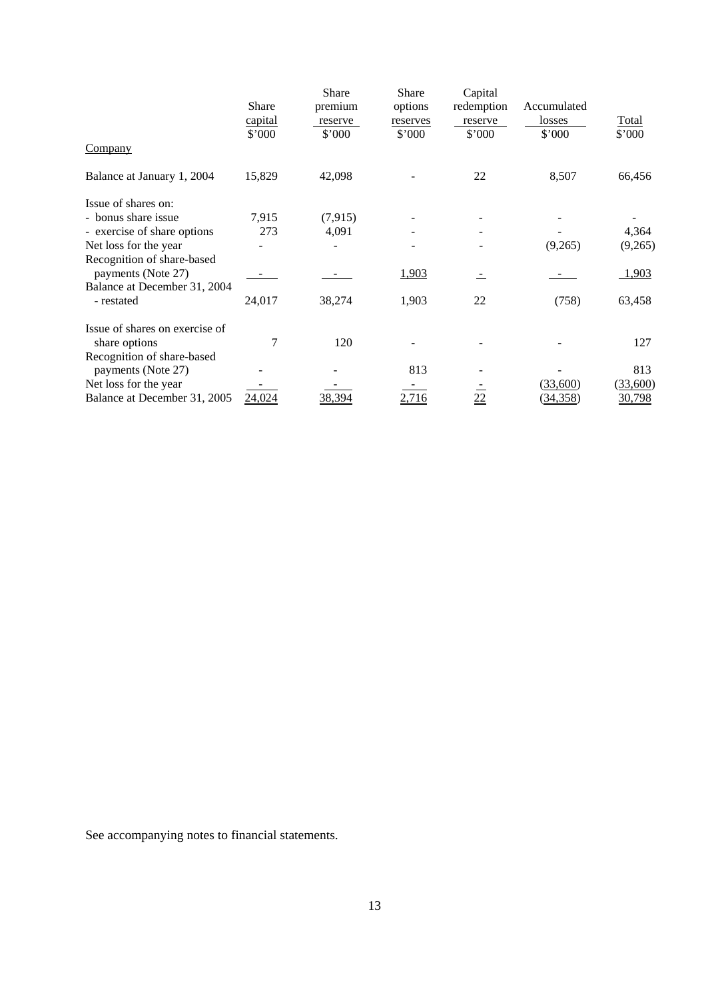|                                                                                  | <b>Share</b><br>capital<br>\$'000 | <b>Share</b><br>premium<br>reserve<br>\$'000 | Share<br>options<br>reserves<br>\$'000 | Capital<br>redemption<br>reserve<br>\$'000 | Accumulated<br>losses<br>\$'000 | <b>Total</b><br>\$'000 |
|----------------------------------------------------------------------------------|-----------------------------------|----------------------------------------------|----------------------------------------|--------------------------------------------|---------------------------------|------------------------|
| Company                                                                          |                                   |                                              |                                        |                                            |                                 |                        |
| Balance at January 1, 2004                                                       | 15,829                            | 42,098                                       |                                        | 22                                         | 8,507                           | 66,456                 |
| Issue of shares on:                                                              |                                   |                                              |                                        |                                            |                                 |                        |
| - bonus share issue                                                              | 7,915                             | (7,915)                                      |                                        |                                            |                                 |                        |
| - exercise of share options                                                      | 273                               | 4,091                                        |                                        |                                            |                                 | 4,364                  |
| Net loss for the year                                                            |                                   |                                              |                                        |                                            | (9,265)                         | (9,265)                |
| Recognition of share-based<br>payments (Note 27)<br>Balance at December 31, 2004 |                                   |                                              | 1,903                                  |                                            |                                 | 1,903                  |
| - restated                                                                       | 24,017                            | 38,274                                       | 1,903                                  | 22                                         | (758)                           | 63,458                 |
| Issue of shares on exercise of                                                   |                                   |                                              |                                        |                                            |                                 |                        |
| share options                                                                    | 7                                 | 120                                          |                                        |                                            |                                 | 127                    |
| Recognition of share-based                                                       |                                   |                                              |                                        |                                            |                                 |                        |
| payments (Note 27)                                                               |                                   |                                              | 813                                    |                                            |                                 | 813                    |
| Net loss for the year                                                            |                                   |                                              |                                        |                                            | (33,600)                        | (33,600)               |
| Balance at December 31, 2005                                                     | <u>24,024</u>                     | 38,394                                       | 2,716                                  | 22                                         | (34, 358)                       | 30,798                 |

See accompanying notes to financial statements.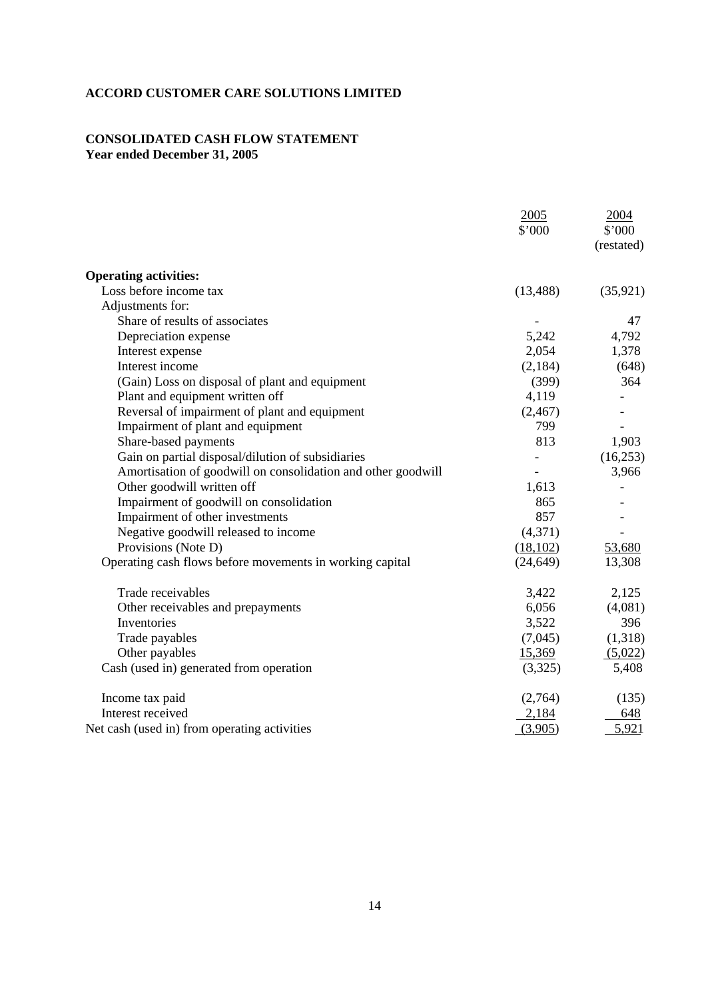# **CONSOLIDATED CASH FLOW STATEMENT Year ended December 31, 2005**

|                                                              | 2005<br>\$'000 | 2004<br>\$'000<br>(restated) |
|--------------------------------------------------------------|----------------|------------------------------|
| <b>Operating activities:</b>                                 |                |                              |
| Loss before income tax                                       | (13, 488)      | (35, 921)                    |
| Adjustments for:                                             |                |                              |
| Share of results of associates                               |                | 47                           |
| Depreciation expense                                         | 5,242          | 4,792                        |
| Interest expense                                             | 2,054          | 1,378                        |
| Interest income                                              | (2,184)        | (648)                        |
| (Gain) Loss on disposal of plant and equipment               | (399)          | 364                          |
| Plant and equipment written off                              | 4,119          |                              |
| Reversal of impairment of plant and equipment                | (2,467)        |                              |
| Impairment of plant and equipment                            | 799            |                              |
| Share-based payments                                         | 813            | 1,903                        |
| Gain on partial disposal/dilution of subsidiaries            |                | (16,253)                     |
| Amortisation of goodwill on consolidation and other goodwill |                | 3,966                        |
| Other goodwill written off                                   | 1,613          |                              |
| Impairment of goodwill on consolidation                      | 865            |                              |
| Impairment of other investments                              | 857            |                              |
| Negative goodwill released to income                         | (4,371)        |                              |
| Provisions (Note D)                                          | (18,102)       | 53,680                       |
| Operating cash flows before movements in working capital     | (24, 649)      | 13,308                       |
| Trade receivables                                            | 3,422          | 2,125                        |
| Other receivables and prepayments                            | 6,056          | (4,081)                      |
| Inventories                                                  | 3,522          | 396                          |
| Trade payables                                               | (7,045)        | (1,318)                      |
| Other payables                                               | 15,369         | (5,022)                      |
| Cash (used in) generated from operation                      | (3,325)        | 5,408                        |
| Income tax paid                                              | (2,764)        | (135)                        |
| Interest received                                            | 2,184          | 648                          |
| Net cash (used in) from operating activities                 | (3,905)        | 5,921                        |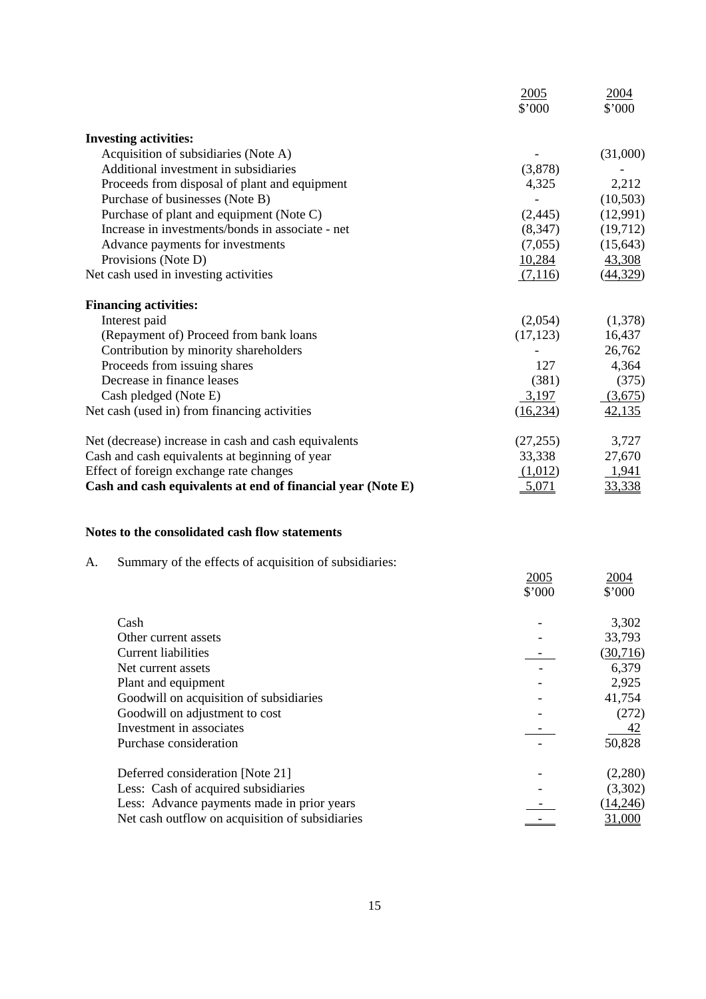|                                                             | 2005      | 2004                  |
|-------------------------------------------------------------|-----------|-----------------------|
|                                                             | \$'000    | \$'000                |
| <b>Investing activities:</b>                                |           |                       |
| Acquisition of subsidiaries (Note A)                        |           | (31,000)              |
| Additional investment in subsidiaries                       | (3,878)   |                       |
| Proceeds from disposal of plant and equipment               | 4,325     | 2,212                 |
| Purchase of businesses (Note B)                             |           | (10,503)              |
| Purchase of plant and equipment (Note C)                    | (2,445)   | (12,991)              |
| Increase in investments/bonds in associate - net            | (8,347)   | (19,712)              |
| Advance payments for investments                            | (7,055)   | (15, 643)             |
| Provisions (Note D)                                         | 10,284    | 43,308                |
| Net cash used in investing activities                       | (7,116)   | $\left(44,329\right)$ |
| <b>Financing activities:</b>                                |           |                       |
| Interest paid                                               | (2,054)   | (1,378)               |
| (Repayment of) Proceed from bank loans                      | (17, 123) | 16,437                |
| Contribution by minority shareholders                       |           | 26,762                |
| Proceeds from issuing shares                                | 127       | 4,364                 |
| Decrease in finance leases                                  | (381)     | (375)                 |
| Cash pledged (Note E)                                       | 3,197     | (3,675)               |
| Net cash (used in) from financing activities                | (16, 234) | 42,135                |
| Net (decrease) increase in cash and cash equivalents        | (27, 255) | 3,727                 |
| Cash and cash equivalents at beginning of year              | 33,338    | 27,670                |
| Effect of foreign exchange rate changes                     | (1,012)   | 1,941                 |
| Cash and cash equivalents at end of financial year (Note E) | 5,071     | <u>33,338</u>         |

# **Notes to the consolidated cash flow statements**

A. Summary of the effects of acquisition of subsidiaries:

|                                                 | 2005   | 2004      |
|-------------------------------------------------|--------|-----------|
|                                                 | \$'000 | \$'000    |
| Cash                                            |        | 3,302     |
| Other current assets                            |        | 33,793    |
| <b>Current liabilities</b>                      |        | (30,716)  |
| Net current assets                              |        | 6,379     |
| Plant and equipment                             |        | 2,925     |
| Goodwill on acquisition of subsidiaries         |        | 41,754    |
| Goodwill on adjustment to cost                  |        | (272)     |
| Investment in associates                        |        | 42        |
| Purchase consideration                          |        | 50,828    |
| Deferred consideration [Note 21]                |        | (2,280)   |
| Less: Cash of acquired subsidiaries             |        | (3,302)   |
| Less: Advance payments made in prior years      |        | (14, 246) |
| Net cash outflow on acquisition of subsidiaries |        | 31,000    |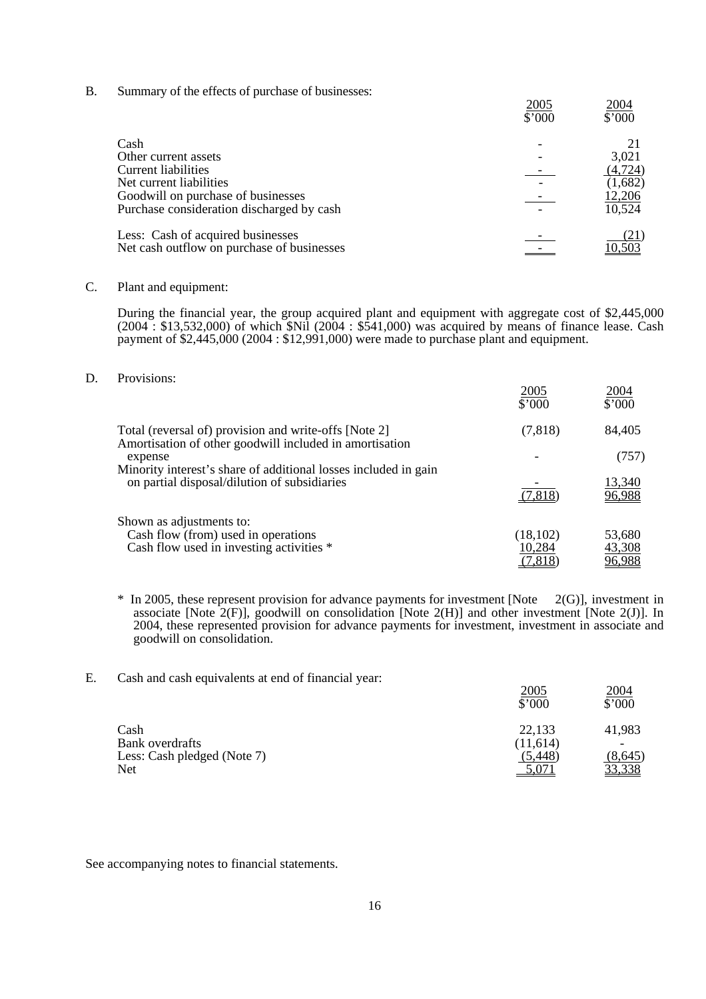B. Summary of the effects of purchase of businesses:

| <u>.</u> |                                            | 2005<br>\$'000 | 2004<br>\$'000 |
|----------|--------------------------------------------|----------------|----------------|
|          | Cash                                       |                |                |
|          | Other current assets                       |                | 3,021          |
|          | <b>Current liabilities</b>                 |                | (4, 724)       |
|          | Net current liabilities                    |                | (1,682)        |
|          | Goodwill on purchase of businesses         |                | 12,206         |
|          | Purchase consideration discharged by cash  |                | 10,524         |
|          | Less: Cash of acquired businesses          |                |                |
|          | Net cash outflow on purchase of businesses |                |                |

## C. Plant and equipment:

 During the financial year, the group acquired plant and equipment with aggregate cost of \$2,445,000 (2004 : \$13,532,000) of which \$Nil (2004 : \$541,000) was acquired by means of finance lease. Cash payment of \$2,445,000 (2004 : \$12,991,000) were made to purchase plant and equipment.

#### D. Provisions:

| 11010000                                                                                                         | 2005<br>\$'000 | 2004<br>\$'000          |
|------------------------------------------------------------------------------------------------------------------|----------------|-------------------------|
| Total (reversal of) provision and write-offs [Note 2]<br>Amortisation of other goodwill included in amortisation | (7,818)        | 84,405                  |
| expense                                                                                                          |                | (757)                   |
| Minority interest's share of additional losses included in gain<br>on partial disposal/dilution of subsidiaries  | (7.818)        | <u>13,340</u><br>96,988 |
| Shown as adjustments to:                                                                                         |                |                         |
| Cash flow (from) used in operations                                                                              | (18, 102)      | 53,680                  |
| Cash flow used in investing activities *                                                                         | 10.284         | 43,308                  |
|                                                                                                                  | (7,818)        | 96,988                  |

 \* In 2005, these represent provision for advance payments for investment [Note 2(G)], investment in associate [Note  $2(F)$ ], goodwill on consolidation [Note  $2(H)$ ] and other investment [Note  $2(J)$ ]. In 2004, these represented provision for advance payments for investment, investment in associate and goodwill on consolidation.

#### E. Cash and cash equivalents at end of financial year:

|                             | 2005<br>\$'000 | 2004<br>\$'000 |
|-----------------------------|----------------|----------------|
| Cash                        | 22,133         | 41,983         |
| Bank overdrafts             | (11,614)       |                |
| Less: Cash pledged (Note 7) | (5.448)        | (8,645)        |
| Net                         | 5,07           | 33,338         |

See accompanying notes to financial statements.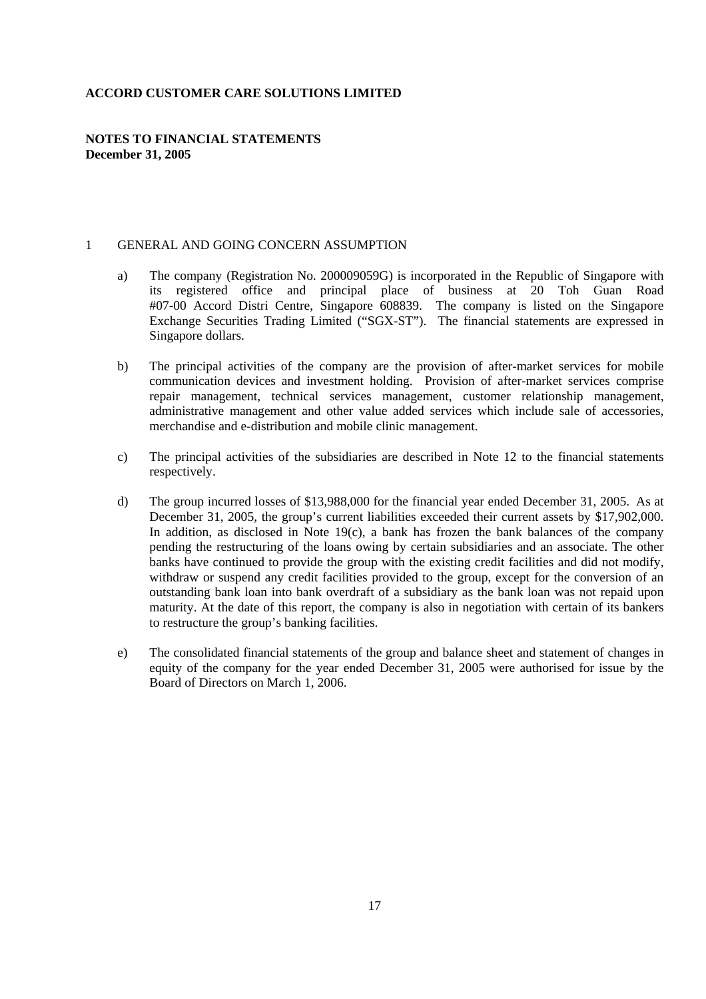## **NOTES TO FINANCIAL STATEMENTS December 31, 2005**

#### 1 GENERAL AND GOING CONCERN ASSUMPTION

- a) The company (Registration No. 200009059G) is incorporated in the Republic of Singapore with its registered office and principal place of business at 20 Toh Guan Road #07-00 Accord Distri Centre, Singapore 608839. The company is listed on the Singapore Exchange Securities Trading Limited ("SGX-ST"). The financial statements are expressed in Singapore dollars.
- b) The principal activities of the company are the provision of after-market services for mobile communication devices and investment holding. Provision of after-market services comprise repair management, technical services management, customer relationship management, administrative management and other value added services which include sale of accessories, merchandise and e-distribution and mobile clinic management.
- c) The principal activities of the subsidiaries are described in Note 12 to the financial statements respectively.
- d) The group incurred losses of \$13,988,000 for the financial year ended December 31, 2005. As at December 31, 2005, the group's current liabilities exceeded their current assets by \$17,902,000. In addition, as disclosed in Note  $19(c)$ , a bank has frozen the bank balances of the company pending the restructuring of the loans owing by certain subsidiaries and an associate. The other banks have continued to provide the group with the existing credit facilities and did not modify, withdraw or suspend any credit facilities provided to the group, except for the conversion of an outstanding bank loan into bank overdraft of a subsidiary as the bank loan was not repaid upon maturity. At the date of this report, the company is also in negotiation with certain of its bankers to restructure the group's banking facilities.
- e) The consolidated financial statements of the group and balance sheet and statement of changes in equity of the company for the year ended December 31, 2005 were authorised for issue by the Board of Directors on March 1, 2006.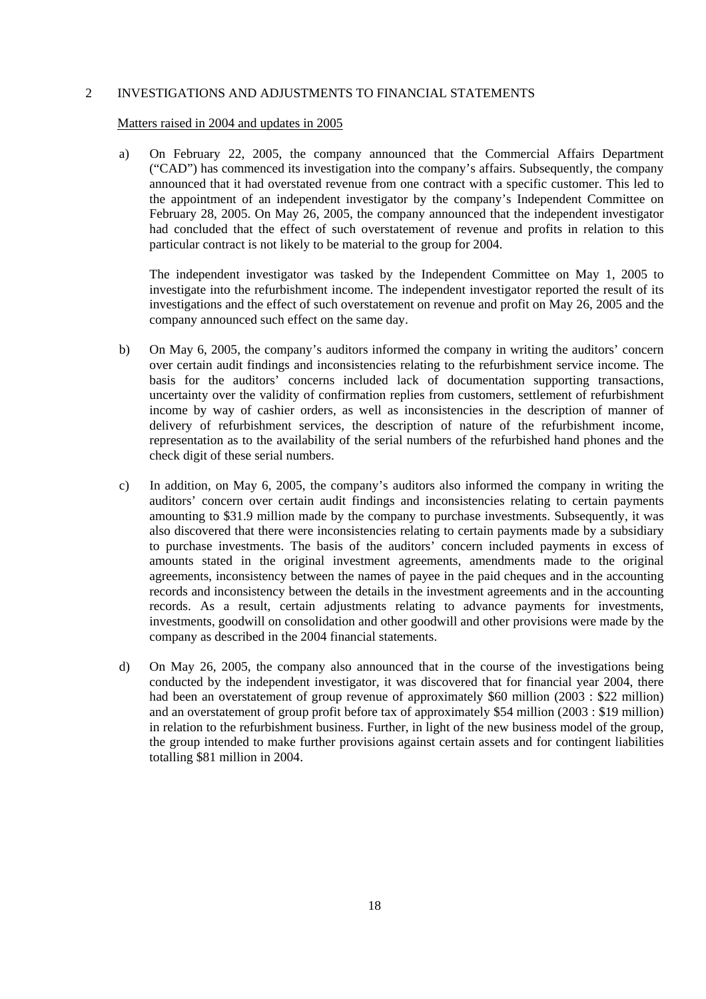#### 2 INVESTIGATIONS AND ADJUSTMENTS TO FINANCIAL STATEMENTS

#### Matters raised in 2004 and updates in 2005

 a) On February 22, 2005, the company announced that the Commercial Affairs Department ("CAD") has commenced its investigation into the company's affairs. Subsequently, the company announced that it had overstated revenue from one contract with a specific customer. This led to the appointment of an independent investigator by the company's Independent Committee on February 28, 2005. On May 26, 2005, the company announced that the independent investigator had concluded that the effect of such overstatement of revenue and profits in relation to this particular contract is not likely to be material to the group for 2004.

 The independent investigator was tasked by the Independent Committee on May 1, 2005 to investigate into the refurbishment income. The independent investigator reported the result of its investigations and the effect of such overstatement on revenue and profit on May 26, 2005 and the company announced such effect on the same day.

- b) On May 6, 2005, the company's auditors informed the company in writing the auditors' concern over certain audit findings and inconsistencies relating to the refurbishment service income. The basis for the auditors' concerns included lack of documentation supporting transactions, uncertainty over the validity of confirmation replies from customers, settlement of refurbishment income by way of cashier orders, as well as inconsistencies in the description of manner of delivery of refurbishment services, the description of nature of the refurbishment income, representation as to the availability of the serial numbers of the refurbished hand phones and the check digit of these serial numbers.
- c) In addition, on May 6, 2005, the company's auditors also informed the company in writing the auditors' concern over certain audit findings and inconsistencies relating to certain payments amounting to \$31.9 million made by the company to purchase investments. Subsequently, it was also discovered that there were inconsistencies relating to certain payments made by a subsidiary to purchase investments. The basis of the auditors' concern included payments in excess of amounts stated in the original investment agreements, amendments made to the original agreements, inconsistency between the names of payee in the paid cheques and in the accounting records and inconsistency between the details in the investment agreements and in the accounting records. As a result, certain adjustments relating to advance payments for investments, investments, goodwill on consolidation and other goodwill and other provisions were made by the company as described in the 2004 financial statements.
- d) On May 26, 2005, the company also announced that in the course of the investigations being conducted by the independent investigator, it was discovered that for financial year 2004, there had been an overstatement of group revenue of approximately \$60 million (2003 : \$22 million) and an overstatement of group profit before tax of approximately \$54 million (2003 : \$19 million) in relation to the refurbishment business. Further, in light of the new business model of the group, the group intended to make further provisions against certain assets and for contingent liabilities totalling \$81 million in 2004.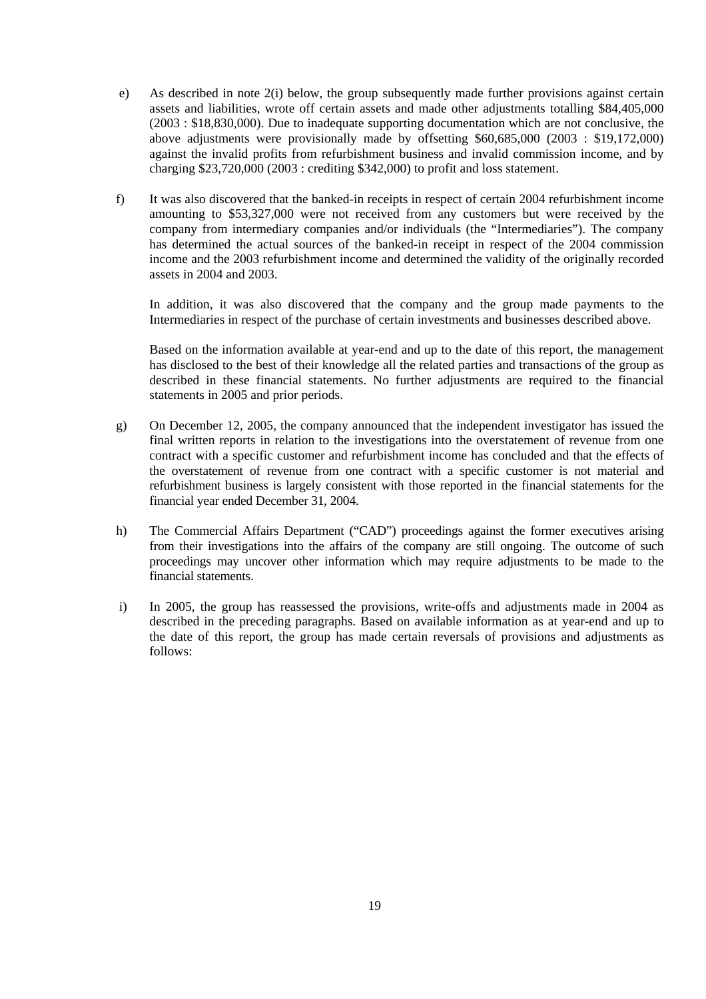- e) As described in note 2(i) below, the group subsequently made further provisions against certain assets and liabilities, wrote off certain assets and made other adjustments totalling \$84,405,000 (2003 : \$18,830,000). Due to inadequate supporting documentation which are not conclusive, the above adjustments were provisionally made by offsetting \$60,685,000 (2003 : \$19,172,000) against the invalid profits from refurbishment business and invalid commission income, and by charging \$23,720,000 (2003 : crediting \$342,000) to profit and loss statement.
- f) It was also discovered that the banked-in receipts in respect of certain 2004 refurbishment income amounting to \$53,327,000 were not received from any customers but were received by the company from intermediary companies and/or individuals (the "Intermediaries"). The company has determined the actual sources of the banked-in receipt in respect of the 2004 commission income and the 2003 refurbishment income and determined the validity of the originally recorded assets in 2004 and 2003.

 In addition, it was also discovered that the company and the group made payments to the Intermediaries in respect of the purchase of certain investments and businesses described above.

 Based on the information available at year-end and up to the date of this report, the management has disclosed to the best of their knowledge all the related parties and transactions of the group as described in these financial statements. No further adjustments are required to the financial statements in 2005 and prior periods.

- g) On December 12, 2005, the company announced that the independent investigator has issued the final written reports in relation to the investigations into the overstatement of revenue from one contract with a specific customer and refurbishment income has concluded and that the effects of the overstatement of revenue from one contract with a specific customer is not material and refurbishment business is largely consistent with those reported in the financial statements for the financial year ended December 31, 2004.
- h) The Commercial Affairs Department ("CAD") proceedings against the former executives arising from their investigations into the affairs of the company are still ongoing. The outcome of such proceedings may uncover other information which may require adjustments to be made to the financial statements.
- i) In 2005, the group has reassessed the provisions, write-offs and adjustments made in 2004 as described in the preceding paragraphs. Based on available information as at year-end and up to the date of this report, the group has made certain reversals of provisions and adjustments as follows: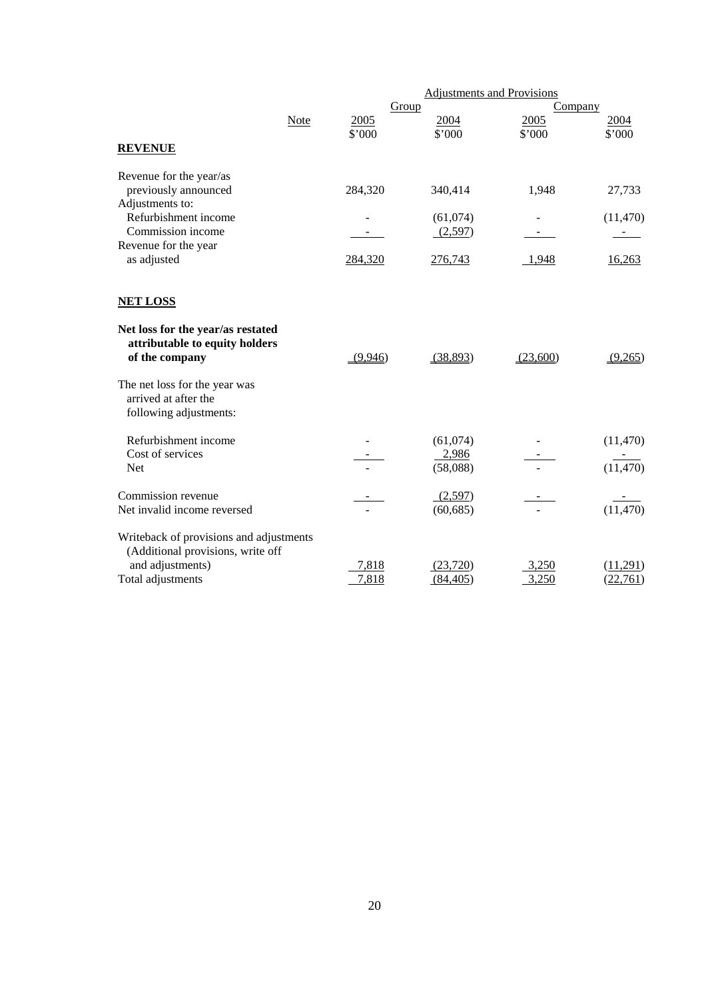|                                                                                                                                           |             |         | <b>Adjustments and Provisions</b> |          |           |
|-------------------------------------------------------------------------------------------------------------------------------------------|-------------|---------|-----------------------------------|----------|-----------|
|                                                                                                                                           |             | Group   |                                   | Company  |           |
|                                                                                                                                           | <b>Note</b> | 2005    | 2004                              | 2005     | 2004      |
| <b>REVENUE</b>                                                                                                                            |             | \$'000  | \$'000                            | \$'000   | \$'000    |
| Revenue for the year/as                                                                                                                   |             |         |                                   |          |           |
| previously announced                                                                                                                      |             | 284,320 | 340,414                           | 1,948    | 27,733    |
| Adjustments to:<br>Refurbishment income                                                                                                   |             |         | (61,074)                          |          | (11, 470) |
| Commission income                                                                                                                         |             |         | (2,597)                           |          |           |
| Revenue for the year                                                                                                                      |             |         |                                   |          |           |
| as adjusted                                                                                                                               |             | 284,320 | 276,743                           | 1,948    | 16,263    |
| <b>NET LOSS</b><br>Net loss for the year/as restated<br>attributable to equity holders<br>of the company<br>The net loss for the year was |             | (9,946) | (38, 893)                         | (23,600) | (9,265)   |
| arrived at after the<br>following adjustments:                                                                                            |             |         |                                   |          |           |
| Refurbishment income                                                                                                                      |             |         | (61,074)                          |          | (11, 470) |
| Cost of services                                                                                                                          |             |         | 2,986                             |          |           |
| <b>Net</b>                                                                                                                                |             |         | (58,088)                          |          | (11, 470) |
| Commission revenue                                                                                                                        |             |         | (2,597)                           |          |           |
| Net invalid income reversed                                                                                                               |             |         | (60, 685)                         |          | (11, 470) |
| Writeback of provisions and adjustments                                                                                                   |             |         |                                   |          |           |
| (Additional provisions, write off                                                                                                         |             |         |                                   |          |           |
| and adjustments)                                                                                                                          |             | 7,818   | (23,720)                          | 3,250    | (11,291)  |
| Total adjustments                                                                                                                         |             | 7,818   | (84, 405)                         | 3,250    | (22,761)  |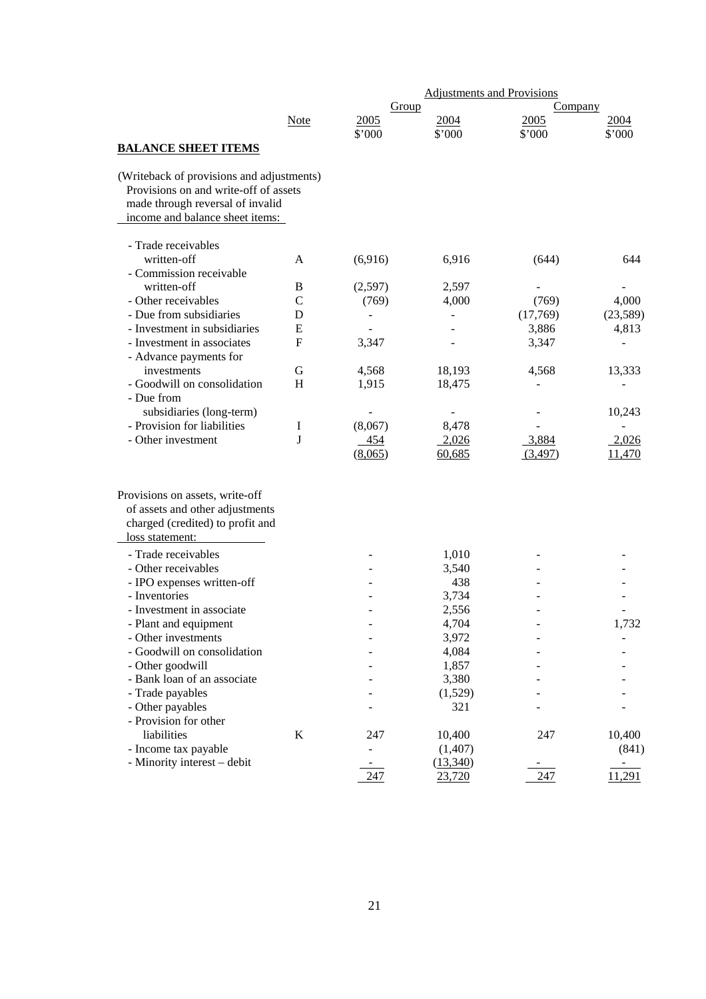|                                                                                                        |                |         | <b>Adjustments and Provisions</b> |          |          |
|--------------------------------------------------------------------------------------------------------|----------------|---------|-----------------------------------|----------|----------|
|                                                                                                        |                | Group   |                                   | Company  |          |
|                                                                                                        | <b>Note</b>    | 2005    | 2004                              | 2005     | 2004     |
| <b>BALANCE SHEET ITEMS</b>                                                                             |                | \$'000  | \$'000                            | \$'000   | \$'000   |
| (Writeback of provisions and adjustments)                                                              |                |         |                                   |          |          |
| Provisions on and write-off of assets                                                                  |                |         |                                   |          |          |
| made through reversal of invalid                                                                       |                |         |                                   |          |          |
| income and balance sheet items:                                                                        |                |         |                                   |          |          |
| - Trade receivables                                                                                    |                |         |                                   |          |          |
| written-off                                                                                            | A              | (6,916) | 6,916                             | (644)    | 644      |
| - Commission receivable                                                                                |                |         |                                   |          |          |
| written-off                                                                                            | B              | (2,597) | 2,597                             |          |          |
| - Other receivables                                                                                    | $\mathcal{C}$  | (769)   | 4,000                             | (769)    | 4,000    |
| - Due from subsidiaries                                                                                | D              |         |                                   | (17,769) | (23,589) |
| - Investment in subsidiaries                                                                           | Ε              |         |                                   | 3,886    | 4,813    |
| - Investment in associates                                                                             | $\overline{F}$ | 3,347   |                                   | 3,347    |          |
| - Advance payments for                                                                                 |                |         |                                   |          |          |
| investments                                                                                            | G              | 4,568   | 18,193                            | 4,568    | 13,333   |
| - Goodwill on consolidation                                                                            | $\, {\rm H}$   | 1,915   | 18,475                            |          |          |
| - Due from                                                                                             |                |         |                                   |          |          |
| subsidiaries (long-term)                                                                               |                |         |                                   |          | 10,243   |
| - Provision for liabilities                                                                            | Ι              | (8,067) | 8,478                             |          |          |
| - Other investment                                                                                     | $\bf J$        | 454     | 2,026                             | 3,884    | 2,026    |
|                                                                                                        |                | (8,065) | 60,685                            | (3,497)  | 11,470   |
| Provisions on assets, write-off<br>of assets and other adjustments<br>charged (credited) to profit and |                |         |                                   |          |          |
| loss statement:                                                                                        |                |         |                                   |          |          |
| - Trade receivables                                                                                    |                |         | 1,010                             |          |          |
| - Other receivables                                                                                    |                |         | 3,540                             |          |          |
| - IPO expenses written-off                                                                             |                |         | 438                               |          |          |
| - Inventories                                                                                          |                |         | 3,734                             |          |          |
| - Investment in associate                                                                              |                |         | 2,556                             |          |          |
| - Plant and equipment                                                                                  |                |         | 4,704                             |          | 1,732    |
| - Other investments                                                                                    |                |         | 3,972                             |          |          |
| - Goodwill on consolidation                                                                            |                |         | 4,084                             |          |          |
| - Other goodwill                                                                                       |                |         | 1,857                             |          |          |
| - Bank loan of an associate                                                                            |                |         | 3,380                             |          |          |
| - Trade payables                                                                                       |                |         | (1,529)                           |          |          |
| - Other payables                                                                                       |                |         | 321                               |          |          |
| - Provision for other                                                                                  |                |         |                                   |          |          |
| liabilities                                                                                            | $\bf K$        | 247     | 10,400                            | 247      | 10,400   |
| - Income tax payable                                                                                   |                |         | (1,407)                           |          | (841)    |
| - Minority interest - debit                                                                            |                |         | (13,340)                          |          |          |
|                                                                                                        |                | 247     | 23,720                            | 247      | 11,291   |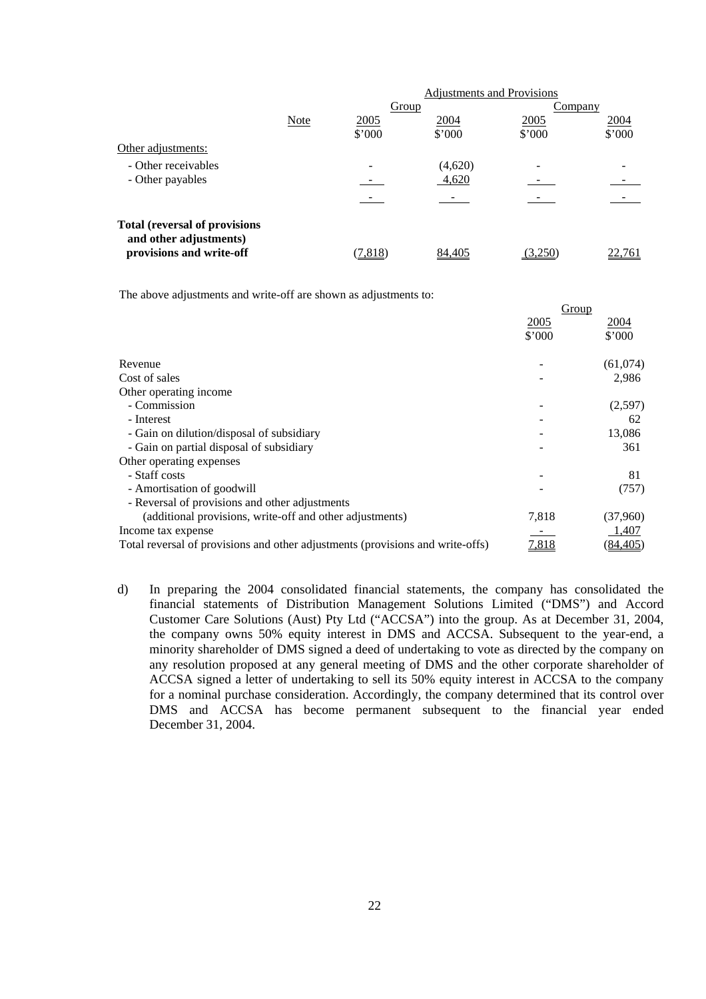|                                                                | Adjustments and Provisions |         |                |         |        |  |
|----------------------------------------------------------------|----------------------------|---------|----------------|---------|--------|--|
|                                                                |                            | Group   |                | Company |        |  |
|                                                                | <b>Note</b>                | 2005    | 2004           | 2005    | 2004   |  |
|                                                                |                            | \$'000  | $$^{\circ}000$ | \$'000  | \$'000 |  |
| Other adjustments:                                             |                            |         |                |         |        |  |
| - Other receivables                                            |                            |         | (4,620)        | -       |        |  |
| - Other payables                                               |                            |         | 4,620          |         |        |  |
|                                                                |                            |         |                |         |        |  |
| <b>Total (reversal of provisions</b><br>and other adjustments) |                            |         |                |         |        |  |
| provisions and write-off                                       |                            | (7,818) | 84,405         | (3.250) | 22,761 |  |
|                                                                |                            |         |                |         |        |  |

The above adjustments and write-off are shown as adjustments to:

|                                                                                | Group  |          |
|--------------------------------------------------------------------------------|--------|----------|
|                                                                                | 2005   | 2004     |
|                                                                                | \$'000 | \$'000   |
| Revenue                                                                        |        | (61,074) |
| Cost of sales                                                                  |        | 2,986    |
| Other operating income                                                         |        |          |
| - Commission                                                                   |        | (2,597)  |
| - Interest                                                                     |        | 62       |
| - Gain on dilution/disposal of subsidiary                                      |        | 13,086   |
| - Gain on partial disposal of subsidiary                                       |        | 361      |
| Other operating expenses                                                       |        |          |
| - Staff costs                                                                  |        | 81       |
| - Amortisation of goodwill                                                     |        | (757)    |
| - Reversal of provisions and other adjustments                                 |        |          |
| (additional provisions, write-off and other adjustments)                       | 7,818  | (37,960) |
| Income tax expense                                                             |        | 1,407    |
| Total reversal of provisions and other adjustments (provisions and write-offs) | 7.818  | (84,405) |
|                                                                                |        |          |

 d) In preparing the 2004 consolidated financial statements, the company has consolidated the financial statements of Distribution Management Solutions Limited ("DMS") and Accord Customer Care Solutions (Aust) Pty Ltd ("ACCSA") into the group. As at December 31, 2004, the company owns 50% equity interest in DMS and ACCSA. Subsequent to the year-end, a minority shareholder of DMS signed a deed of undertaking to vote as directed by the company on any resolution proposed at any general meeting of DMS and the other corporate shareholder of ACCSA signed a letter of undertaking to sell its 50% equity interest in ACCSA to the company for a nominal purchase consideration. Accordingly, the company determined that its control over DMS and ACCSA has become permanent subsequent to the financial year ended December 31, 2004.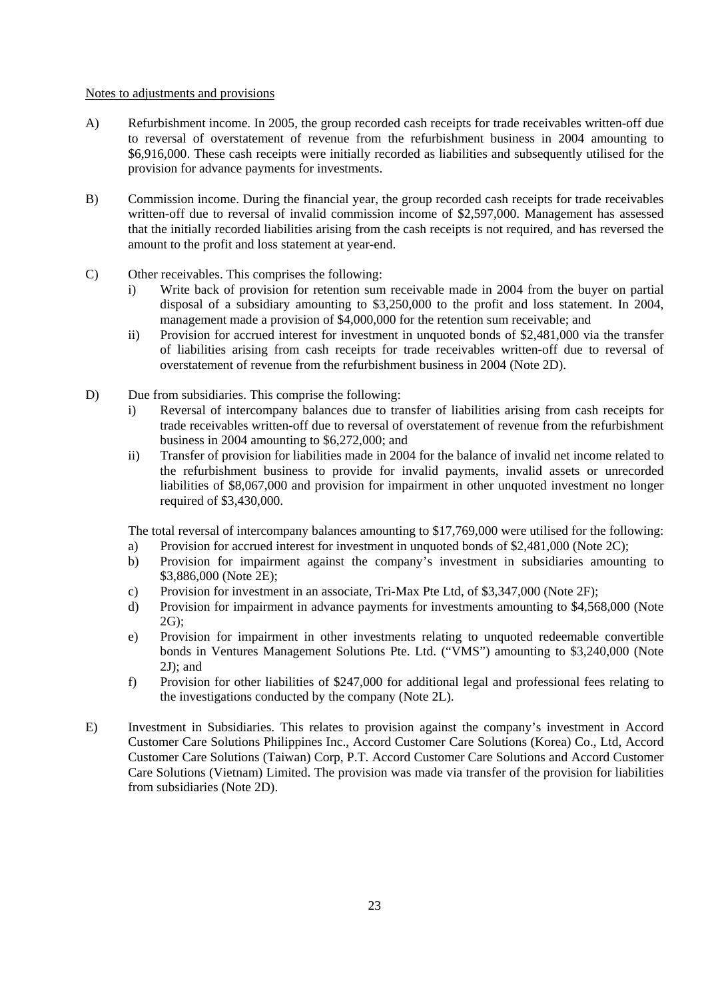### Notes to adjustments and provisions

- A) Refurbishment income. In 2005, the group recorded cash receipts for trade receivables written-off due to reversal of overstatement of revenue from the refurbishment business in 2004 amounting to \$6,916,000. These cash receipts were initially recorded as liabilities and subsequently utilised for the provision for advance payments for investments.
- B) Commission income. During the financial year, the group recorded cash receipts for trade receivables written-off due to reversal of invalid commission income of \$2,597,000. Management has assessed that the initially recorded liabilities arising from the cash receipts is not required, and has reversed the amount to the profit and loss statement at year-end.
- C) Other receivables. This comprises the following:
	- i) Write back of provision for retention sum receivable made in 2004 from the buyer on partial disposal of a subsidiary amounting to \$3,250,000 to the profit and loss statement. In 2004, management made a provision of \$4,000,000 for the retention sum receivable; and
	- ii) Provision for accrued interest for investment in unquoted bonds of \$2,481,000 via the transfer of liabilities arising from cash receipts for trade receivables written-off due to reversal of overstatement of revenue from the refurbishment business in 2004 (Note 2D).
- D) Due from subsidiaries. This comprise the following:
	- i) Reversal of intercompany balances due to transfer of liabilities arising from cash receipts for trade receivables written-off due to reversal of overstatement of revenue from the refurbishment business in 2004 amounting to \$6,272,000; and
	- ii) Transfer of provision for liabilities made in 2004 for the balance of invalid net income related to the refurbishment business to provide for invalid payments, invalid assets or unrecorded liabilities of \$8,067,000 and provision for impairment in other unquoted investment no longer required of \$3,430,000.

The total reversal of intercompany balances amounting to \$17,769,000 were utilised for the following:

- a) Provision for accrued interest for investment in unquoted bonds of \$2,481,000 (Note 2C);
- b) Provision for impairment against the company's investment in subsidiaries amounting to \$3,886,000 (Note 2E);
- c) Provision for investment in an associate, Tri-Max Pte Ltd, of \$3,347,000 (Note 2F);
- d) Provision for impairment in advance payments for investments amounting to \$4,568,000 (Note 2G);
- e) Provision for impairment in other investments relating to unquoted redeemable convertible bonds in Ventures Management Solutions Pte. Ltd. ("VMS") amounting to \$3,240,000 (Note 2J); and
- f) Provision for other liabilities of \$247,000 for additional legal and professional fees relating to the investigations conducted by the company (Note 2L).
- E) Investment in Subsidiaries. This relates to provision against the company's investment in Accord Customer Care Solutions Philippines Inc., Accord Customer Care Solutions (Korea) Co., Ltd, Accord Customer Care Solutions (Taiwan) Corp, P.T. Accord Customer Care Solutions and Accord Customer Care Solutions (Vietnam) Limited. The provision was made via transfer of the provision for liabilities from subsidiaries (Note 2D).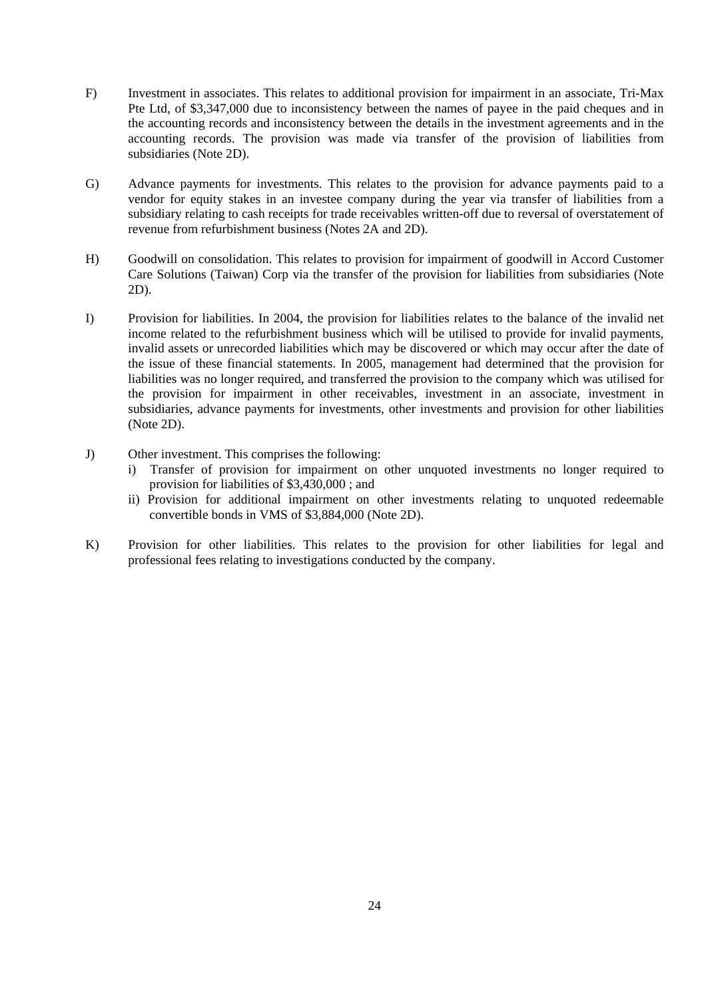- F) Investment in associates. This relates to additional provision for impairment in an associate, Tri-Max Pte Ltd, of \$3,347,000 due to inconsistency between the names of payee in the paid cheques and in the accounting records and inconsistency between the details in the investment agreements and in the accounting records. The provision was made via transfer of the provision of liabilities from subsidiaries (Note 2D).
- G) Advance payments for investments. This relates to the provision for advance payments paid to a vendor for equity stakes in an investee company during the year via transfer of liabilities from a subsidiary relating to cash receipts for trade receivables written-off due to reversal of overstatement of revenue from refurbishment business (Notes 2A and 2D).
- H) Goodwill on consolidation. This relates to provision for impairment of goodwill in Accord Customer Care Solutions (Taiwan) Corp via the transfer of the provision for liabilities from subsidiaries (Note 2D).
- I) Provision for liabilities. In 2004, the provision for liabilities relates to the balance of the invalid net income related to the refurbishment business which will be utilised to provide for invalid payments, invalid assets or unrecorded liabilities which may be discovered or which may occur after the date of the issue of these financial statements. In 2005, management had determined that the provision for liabilities was no longer required, and transferred the provision to the company which was utilised for the provision for impairment in other receivables, investment in an associate, investment in subsidiaries, advance payments for investments, other investments and provision for other liabilities (Note 2D).
- J) Other investment. This comprises the following:
	- i) Transfer of provision for impairment on other unquoted investments no longer required to provision for liabilities of \$3,430,000 ; and
	- ii) Provision for additional impairment on other investments relating to unquoted redeemable convertible bonds in VMS of \$3,884,000 (Note 2D).
- K) Provision for other liabilities. This relates to the provision for other liabilities for legal and professional fees relating to investigations conducted by the company.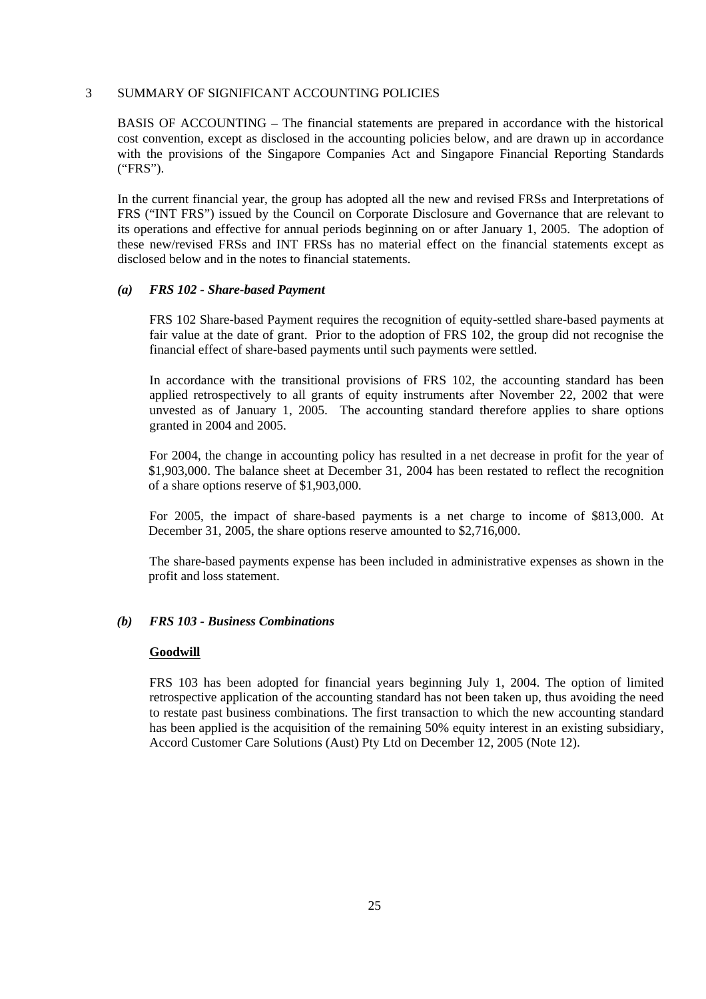## 3 SUMMARY OF SIGNIFICANT ACCOUNTING POLICIES

 BASIS OF ACCOUNTING – The financial statements are prepared in accordance with the historical cost convention, except as disclosed in the accounting policies below, and are drawn up in accordance with the provisions of the Singapore Companies Act and Singapore Financial Reporting Standards ("FRS").

 In the current financial year, the group has adopted all the new and revised FRSs and Interpretations of FRS ("INT FRS") issued by the Council on Corporate Disclosure and Governance that are relevant to its operations and effective for annual periods beginning on or after January 1, 2005. The adoption of these new/revised FRSs and INT FRSs has no material effect on the financial statements except as disclosed below and in the notes to financial statements.

## *(a) FRS 102 - Share-based Payment*

 FRS 102 Share-based Payment requires the recognition of equity-settled share-based payments at fair value at the date of grant. Prior to the adoption of FRS 102, the group did not recognise the financial effect of share-based payments until such payments were settled.

 In accordance with the transitional provisions of FRS 102, the accounting standard has been applied retrospectively to all grants of equity instruments after November 22, 2002 that were unvested as of January 1, 2005. The accounting standard therefore applies to share options granted in 2004 and 2005.

For 2004, the change in accounting policy has resulted in a net decrease in profit for the year of \$1,903,000. The balance sheet at December 31, 2004 has been restated to reflect the recognition of a share options reserve of \$1,903,000.

For 2005, the impact of share-based payments is a net charge to income of \$813,000. At December 31, 2005, the share options reserve amounted to \$2,716,000.

The share-based payments expense has been included in administrative expenses as shown in the profit and loss statement.

### *(b) FRS 103 - Business Combinations*

### **Goodwill**

FRS 103 has been adopted for financial years beginning July 1, 2004. The option of limited retrospective application of the accounting standard has not been taken up, thus avoiding the need to restate past business combinations. The first transaction to which the new accounting standard has been applied is the acquisition of the remaining 50% equity interest in an existing subsidiary, Accord Customer Care Solutions (Aust) Pty Ltd on December 12, 2005 (Note 12).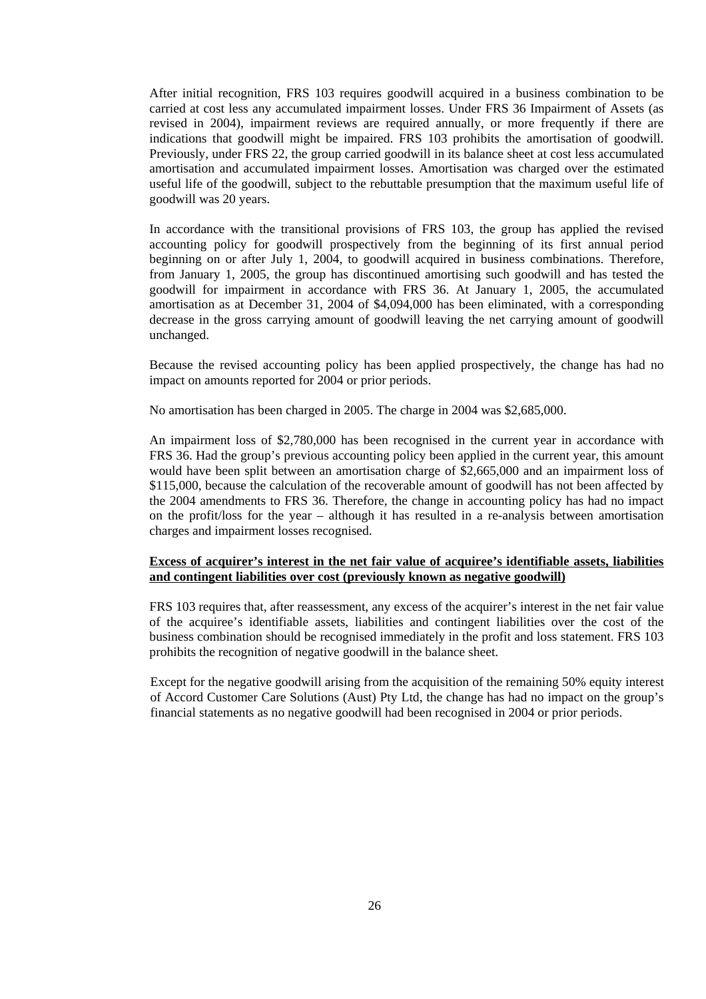After initial recognition, FRS 103 requires goodwill acquired in a business combination to be carried at cost less any accumulated impairment losses. Under FRS 36 Impairment of Assets (as revised in 2004), impairment reviews are required annually, or more frequently if there are indications that goodwill might be impaired. FRS 103 prohibits the amortisation of goodwill. Previously, under FRS 22, the group carried goodwill in its balance sheet at cost less accumulated amortisation and accumulated impairment losses. Amortisation was charged over the estimated useful life of the goodwill, subject to the rebuttable presumption that the maximum useful life of goodwill was 20 years.

In accordance with the transitional provisions of FRS 103, the group has applied the revised accounting policy for goodwill prospectively from the beginning of its first annual period beginning on or after July 1, 2004, to goodwill acquired in business combinations. Therefore, from January 1, 2005, the group has discontinued amortising such goodwill and has tested the goodwill for impairment in accordance with FRS 36. At January 1, 2005, the accumulated amortisation as at December 31, 2004 of \$4,094,000 has been eliminated, with a corresponding decrease in the gross carrying amount of goodwill leaving the net carrying amount of goodwill unchanged.

Because the revised accounting policy has been applied prospectively, the change has had no impact on amounts reported for 2004 or prior periods.

No amortisation has been charged in 2005. The charge in 2004 was \$2,685,000.

An impairment loss of \$2,780,000 has been recognised in the current year in accordance with FRS 36. Had the group's previous accounting policy been applied in the current year, this amount would have been split between an amortisation charge of \$2,665,000 and an impairment loss of \$115,000, because the calculation of the recoverable amount of goodwill has not been affected by the 2004 amendments to FRS 36. Therefore, the change in accounting policy has had no impact on the profit/loss for the year – although it has resulted in a re-analysis between amortisation charges and impairment losses recognised.

## **Excess of acquirer's interest in the net fair value of acquiree's identifiable assets, liabilities and contingent liabilities over cost (previously known as negative goodwill)**

FRS 103 requires that, after reassessment, any excess of the acquirer's interest in the net fair value of the acquiree's identifiable assets, liabilities and contingent liabilities over the cost of the business combination should be recognised immediately in the profit and loss statement. FRS 103 prohibits the recognition of negative goodwill in the balance sheet.

 Except for the negative goodwill arising from the acquisition of the remaining 50% equity interest of Accord Customer Care Solutions (Aust) Pty Ltd, the change has had no impact on the group's financial statements as no negative goodwill had been recognised in 2004 or prior periods.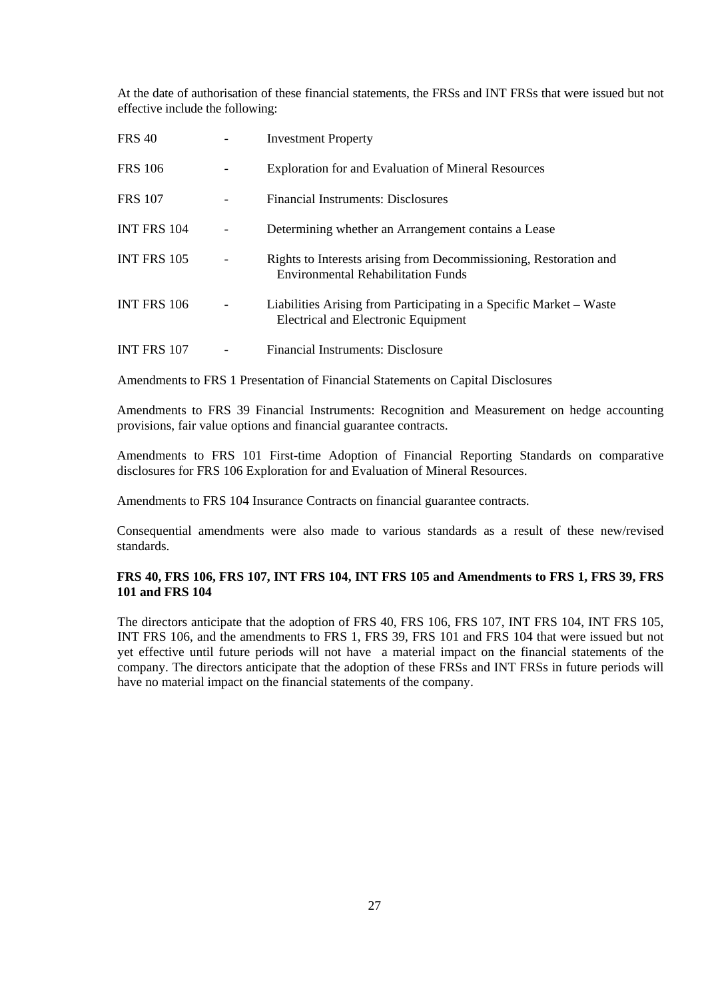At the date of authorisation of these financial statements, the FRSs and INT FRSs that were issued but not effective include the following:

| <b>FRS 40</b>      |                          | <b>Investment Property</b>                                                                                        |
|--------------------|--------------------------|-------------------------------------------------------------------------------------------------------------------|
| <b>FRS</b> 106     |                          | <b>Exploration for and Evaluation of Mineral Resources</b>                                                        |
| <b>FRS 107</b>     |                          | Financial Instruments: Disclosures                                                                                |
| <b>INT FRS 104</b> | $\overline{\phantom{a}}$ | Determining whether an Arrangement contains a Lease                                                               |
| <b>INT FRS 105</b> | $\overline{\phantom{0}}$ | Rights to Interests arising from Decommissioning, Restoration and<br><b>Environmental Rehabilitation Funds</b>    |
| <b>INT FRS 106</b> | $\overline{\phantom{0}}$ | Liabilities Arising from Participating in a Specific Market – Waste<br><b>Electrical and Electronic Equipment</b> |
| <b>INT FRS 107</b> |                          | Financial Instruments: Disclosure                                                                                 |

Amendments to FRS 1 Presentation of Financial Statements on Capital Disclosures

Amendments to FRS 39 Financial Instruments: Recognition and Measurement on hedge accounting provisions, fair value options and financial guarantee contracts.

Amendments to FRS 101 First-time Adoption of Financial Reporting Standards on comparative disclosures for FRS 106 Exploration for and Evaluation of Mineral Resources.

Amendments to FRS 104 Insurance Contracts on financial guarantee contracts.

Consequential amendments were also made to various standards as a result of these new/revised standards.

## **FRS 40, FRS 106, FRS 107, INT FRS 104, INT FRS 105 and Amendments to FRS 1, FRS 39, FRS 101 and FRS 104**

 The directors anticipate that the adoption of FRS 40, FRS 106, FRS 107, INT FRS 104, INT FRS 105, INT FRS 106, and the amendments to FRS 1, FRS 39, FRS 101 and FRS 104 that were issued but not yet effective until future periods will not have a material impact on the financial statements of the company. The directors anticipate that the adoption of these FRSs and INT FRSs in future periods will have no material impact on the financial statements of the company.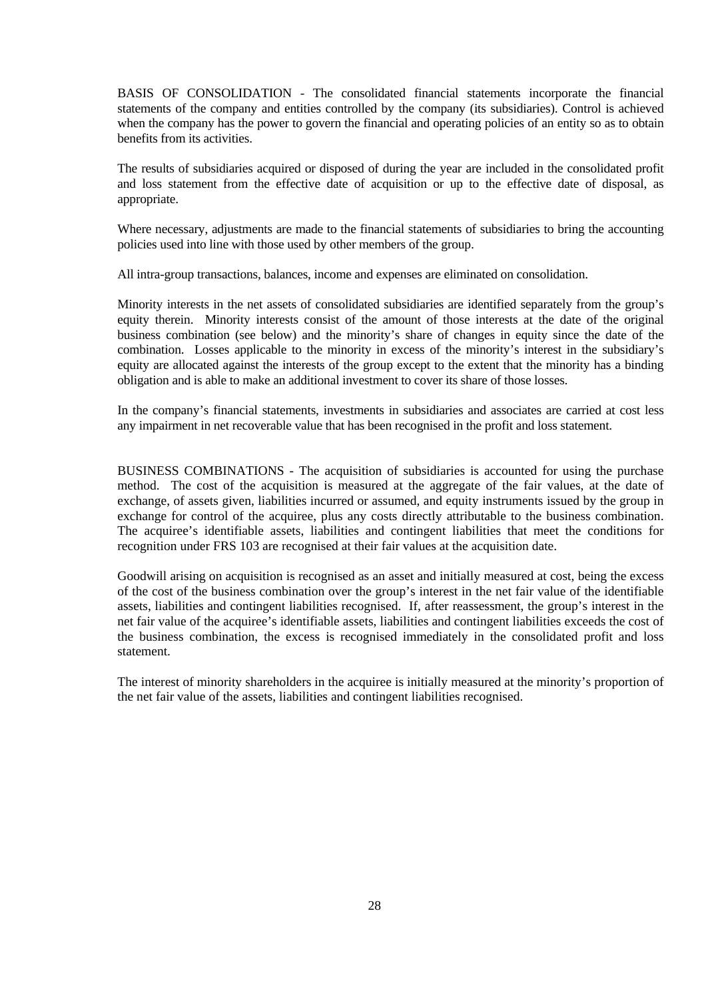BASIS OF CONSOLIDATION - The consolidated financial statements incorporate the financial statements of the company and entities controlled by the company (its subsidiaries). Control is achieved when the company has the power to govern the financial and operating policies of an entity so as to obtain benefits from its activities.

 The results of subsidiaries acquired or disposed of during the year are included in the consolidated profit and loss statement from the effective date of acquisition or up to the effective date of disposal, as appropriate.

 Where necessary, adjustments are made to the financial statements of subsidiaries to bring the accounting policies used into line with those used by other members of the group.

All intra-group transactions, balances, income and expenses are eliminated on consolidation.

 Minority interests in the net assets of consolidated subsidiaries are identified separately from the group's equity therein. Minority interests consist of the amount of those interests at the date of the original business combination (see below) and the minority's share of changes in equity since the date of the combination. Losses applicable to the minority in excess of the minority's interest in the subsidiary's equity are allocated against the interests of the group except to the extent that the minority has a binding obligation and is able to make an additional investment to cover its share of those losses.

 In the company's financial statements, investments in subsidiaries and associates are carried at cost less any impairment in net recoverable value that has been recognised in the profit and loss statement.

 BUSINESS COMBINATIONS - The acquisition of subsidiaries is accounted for using the purchase method. The cost of the acquisition is measured at the aggregate of the fair values, at the date of exchange, of assets given, liabilities incurred or assumed, and equity instruments issued by the group in exchange for control of the acquiree, plus any costs directly attributable to the business combination. The acquiree's identifiable assets, liabilities and contingent liabilities that meet the conditions for recognition under FRS 103 are recognised at their fair values at the acquisition date.

Goodwill arising on acquisition is recognised as an asset and initially measured at cost, being the excess of the cost of the business combination over the group's interest in the net fair value of the identifiable assets, liabilities and contingent liabilities recognised. If, after reassessment, the group's interest in the net fair value of the acquiree's identifiable assets, liabilities and contingent liabilities exceeds the cost of the business combination, the excess is recognised immediately in the consolidated profit and loss statement.

The interest of minority shareholders in the acquiree is initially measured at the minority's proportion of the net fair value of the assets, liabilities and contingent liabilities recognised.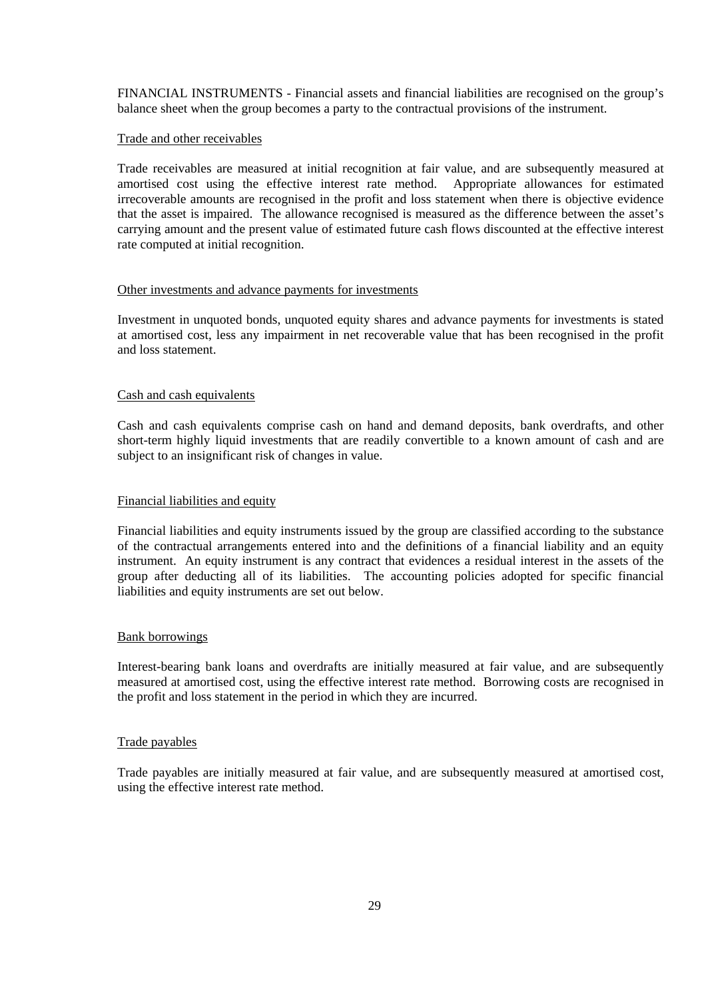FINANCIAL INSTRUMENTS - Financial assets and financial liabilities are recognised on the group's balance sheet when the group becomes a party to the contractual provisions of the instrument.

#### Trade and other receivables

 Trade receivables are measured at initial recognition at fair value, and are subsequently measured at amortised cost using the effective interest rate method. Appropriate allowances for estimated irrecoverable amounts are recognised in the profit and loss statement when there is objective evidence that the asset is impaired. The allowance recognised is measured as the difference between the asset's carrying amount and the present value of estimated future cash flows discounted at the effective interest rate computed at initial recognition.

#### Other investments and advance payments for investments

Investment in unquoted bonds, unquoted equity shares and advance payments for investments is stated at amortised cost, less any impairment in net recoverable value that has been recognised in the profit and loss statement.

### Cash and cash equivalents

 Cash and cash equivalents comprise cash on hand and demand deposits, bank overdrafts, and other short-term highly liquid investments that are readily convertible to a known amount of cash and are subject to an insignificant risk of changes in value.

#### Financial liabilities and equity

 Financial liabilities and equity instruments issued by the group are classified according to the substance of the contractual arrangements entered into and the definitions of a financial liability and an equity instrument. An equity instrument is any contract that evidences a residual interest in the assets of the group after deducting all of its liabilities. The accounting policies adopted for specific financial liabilities and equity instruments are set out below.

#### Bank borrowings

 Interest-bearing bank loans and overdrafts are initially measured at fair value, and are subsequently measured at amortised cost, using the effective interest rate method. Borrowing costs are recognised in the profit and loss statement in the period in which they are incurred.

#### Trade payables

 Trade payables are initially measured at fair value, and are subsequently measured at amortised cost, using the effective interest rate method.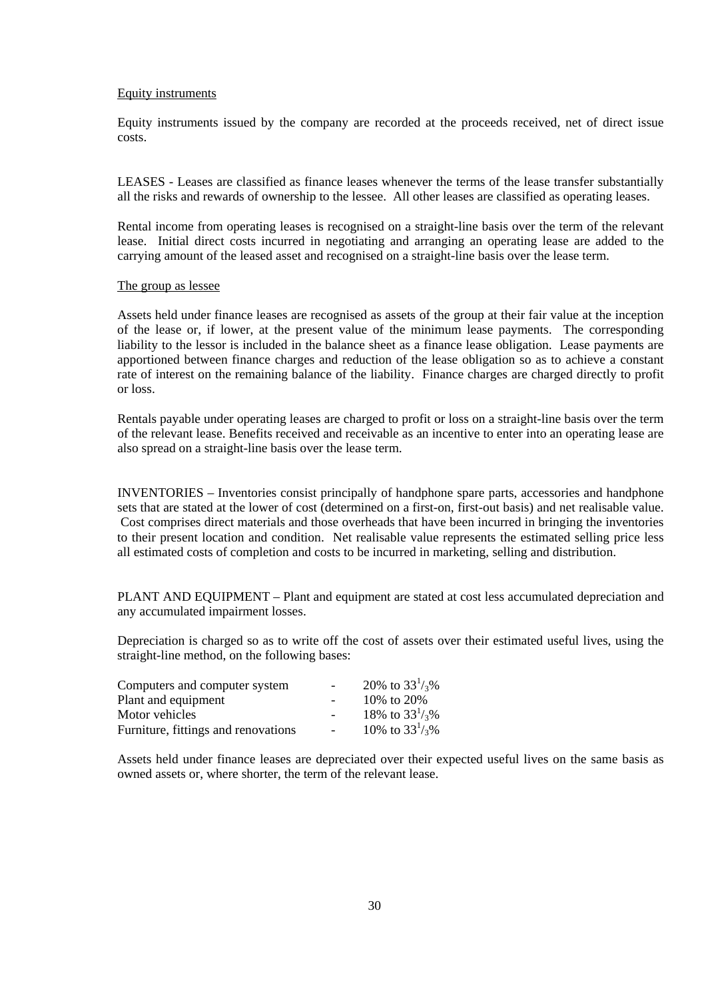#### Equity instruments

 Equity instruments issued by the company are recorded at the proceeds received, net of direct issue costs.

 LEASES - Leases are classified as finance leases whenever the terms of the lease transfer substantially all the risks and rewards of ownership to the lessee. All other leases are classified as operating leases.

 Rental income from operating leases is recognised on a straight-line basis over the term of the relevant lease. Initial direct costs incurred in negotiating and arranging an operating lease are added to the carrying amount of the leased asset and recognised on a straight-line basis over the lease term.

#### The group as lessee

 Assets held under finance leases are recognised as assets of the group at their fair value at the inception of the lease or, if lower, at the present value of the minimum lease payments. The corresponding liability to the lessor is included in the balance sheet as a finance lease obligation. Lease payments are apportioned between finance charges and reduction of the lease obligation so as to achieve a constant rate of interest on the remaining balance of the liability. Finance charges are charged directly to profit or loss.

 Rentals payable under operating leases are charged to profit or loss on a straight-line basis over the term of the relevant lease. Benefits received and receivable as an incentive to enter into an operating lease are also spread on a straight-line basis over the lease term.

 INVENTORIES – Inventories consist principally of handphone spare parts, accessories and handphone sets that are stated at the lower of cost (determined on a first-on, first-out basis) and net realisable value. Cost comprises direct materials and those overheads that have been incurred in bringing the inventories to their present location and condition. Net realisable value represents the estimated selling price less all estimated costs of completion and costs to be incurred in marketing, selling and distribution.

 PLANT AND EQUIPMENT – Plant and equipment are stated at cost less accumulated depreciation and any accumulated impairment losses.

 Depreciation is charged so as to write off the cost of assets over their estimated useful lives, using the straight-line method, on the following bases:

| Computers and computer system       | 20% to $33^{1/3}$ % |
|-------------------------------------|---------------------|
| Plant and equipment                 | 10\% to 20\%        |
| Motor vehicles                      | 18% to $33^{1/3}$ % |
| Furniture, fittings and renovations | 10% to $33^{1/3}$ % |

 Assets held under finance leases are depreciated over their expected useful lives on the same basis as owned assets or, where shorter, the term of the relevant lease.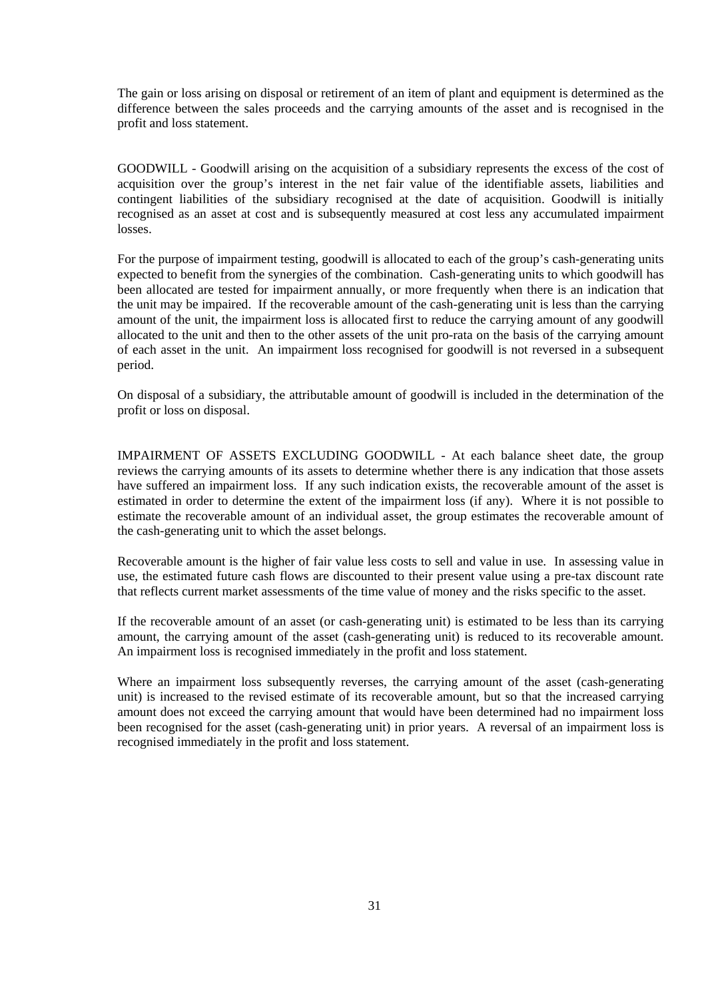The gain or loss arising on disposal or retirement of an item of plant and equipment is determined as the difference between the sales proceeds and the carrying amounts of the asset and is recognised in the profit and loss statement.

 GOODWILL - Goodwill arising on the acquisition of a subsidiary represents the excess of the cost of acquisition over the group's interest in the net fair value of the identifiable assets, liabilities and contingent liabilities of the subsidiary recognised at the date of acquisition. Goodwill is initially recognised as an asset at cost and is subsequently measured at cost less any accumulated impairment losses.

 For the purpose of impairment testing, goodwill is allocated to each of the group's cash-generating units expected to benefit from the synergies of the combination. Cash-generating units to which goodwill has been allocated are tested for impairment annually, or more frequently when there is an indication that the unit may be impaired. If the recoverable amount of the cash-generating unit is less than the carrying amount of the unit, the impairment loss is allocated first to reduce the carrying amount of any goodwill allocated to the unit and then to the other assets of the unit pro-rata on the basis of the carrying amount of each asset in the unit. An impairment loss recognised for goodwill is not reversed in a subsequent period.

 On disposal of a subsidiary, the attributable amount of goodwill is included in the determination of the profit or loss on disposal.

IMPAIRMENT OF ASSETS EXCLUDING GOODWILL - At each balance sheet date, the group reviews the carrying amounts of its assets to determine whether there is any indication that those assets have suffered an impairment loss. If any such indication exists, the recoverable amount of the asset is estimated in order to determine the extent of the impairment loss (if any). Where it is not possible to estimate the recoverable amount of an individual asset, the group estimates the recoverable amount of the cash-generating unit to which the asset belongs.

 Recoverable amount is the higher of fair value less costs to sell and value in use. In assessing value in use, the estimated future cash flows are discounted to their present value using a pre-tax discount rate that reflects current market assessments of the time value of money and the risks specific to the asset.

 If the recoverable amount of an asset (or cash-generating unit) is estimated to be less than its carrying amount, the carrying amount of the asset (cash-generating unit) is reduced to its recoverable amount. An impairment loss is recognised immediately in the profit and loss statement.

 Where an impairment loss subsequently reverses, the carrying amount of the asset (cash-generating unit) is increased to the revised estimate of its recoverable amount, but so that the increased carrying amount does not exceed the carrying amount that would have been determined had no impairment loss been recognised for the asset (cash-generating unit) in prior years. A reversal of an impairment loss is recognised immediately in the profit and loss statement.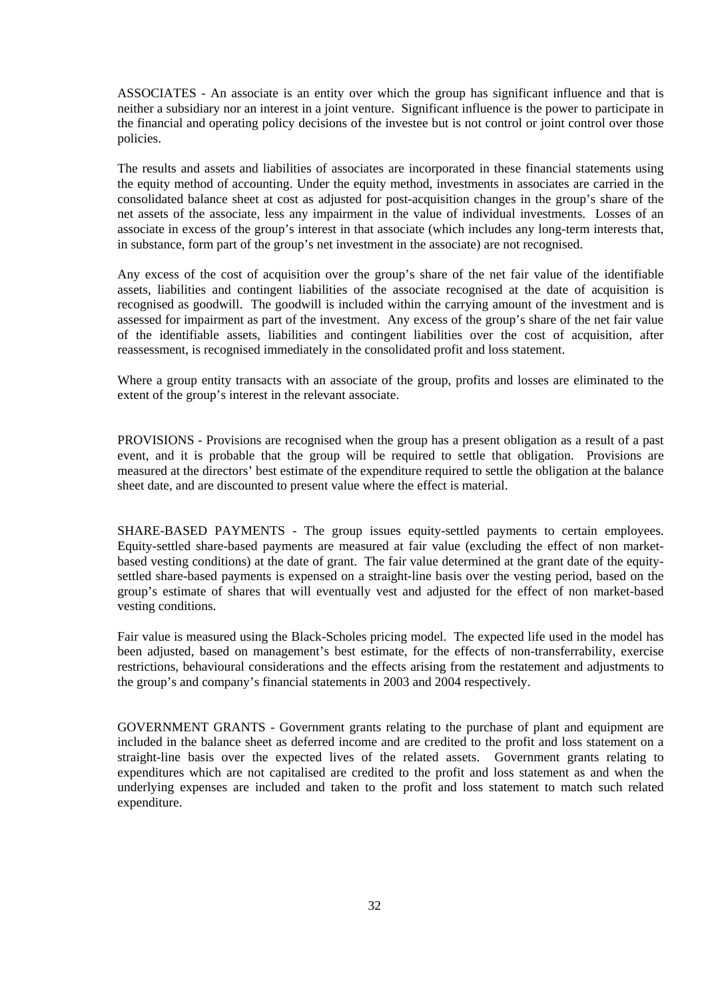ASSOCIATES - An associate is an entity over which the group has significant influence and that is neither a subsidiary nor an interest in a joint venture. Significant influence is the power to participate in the financial and operating policy decisions of the investee but is not control or joint control over those policies.

 The results and assets and liabilities of associates are incorporated in these financial statements using the equity method of accounting. Under the equity method, investments in associates are carried in the consolidated balance sheet at cost as adjusted for post-acquisition changes in the group's share of the net assets of the associate, less any impairment in the value of individual investments. Losses of an associate in excess of the group's interest in that associate (which includes any long-term interests that, in substance, form part of the group's net investment in the associate) are not recognised.

 Any excess of the cost of acquisition over the group's share of the net fair value of the identifiable assets, liabilities and contingent liabilities of the associate recognised at the date of acquisition is recognised as goodwill. The goodwill is included within the carrying amount of the investment and is assessed for impairment as part of the investment. Any excess of the group's share of the net fair value of the identifiable assets, liabilities and contingent liabilities over the cost of acquisition, after reassessment, is recognised immediately in the consolidated profit and loss statement.

 Where a group entity transacts with an associate of the group, profits and losses are eliminated to the extent of the group's interest in the relevant associate.

 PROVISIONS - Provisions are recognised when the group has a present obligation as a result of a past event, and it is probable that the group will be required to settle that obligation. Provisions are measured at the directors' best estimate of the expenditure required to settle the obligation at the balance sheet date, and are discounted to present value where the effect is material.

 SHARE-BASED PAYMENTS - The group issues equity-settled payments to certain employees. Equity-settled share-based payments are measured at fair value (excluding the effect of non marketbased vesting conditions) at the date of grant. The fair value determined at the grant date of the equitysettled share-based payments is expensed on a straight-line basis over the vesting period, based on the group's estimate of shares that will eventually vest and adjusted for the effect of non market-based vesting conditions.

 Fair value is measured using the Black-Scholes pricing model. The expected life used in the model has been adjusted, based on management's best estimate, for the effects of non-transferrability, exercise restrictions, behavioural considerations and the effects arising from the restatement and adjustments to the group's and company's financial statements in 2003 and 2004 respectively.

 GOVERNMENT GRANTS - Government grants relating to the purchase of plant and equipment are included in the balance sheet as deferred income and are credited to the profit and loss statement on a straight-line basis over the expected lives of the related assets. Government grants relating to expenditures which are not capitalised are credited to the profit and loss statement as and when the underlying expenses are included and taken to the profit and loss statement to match such related expenditure.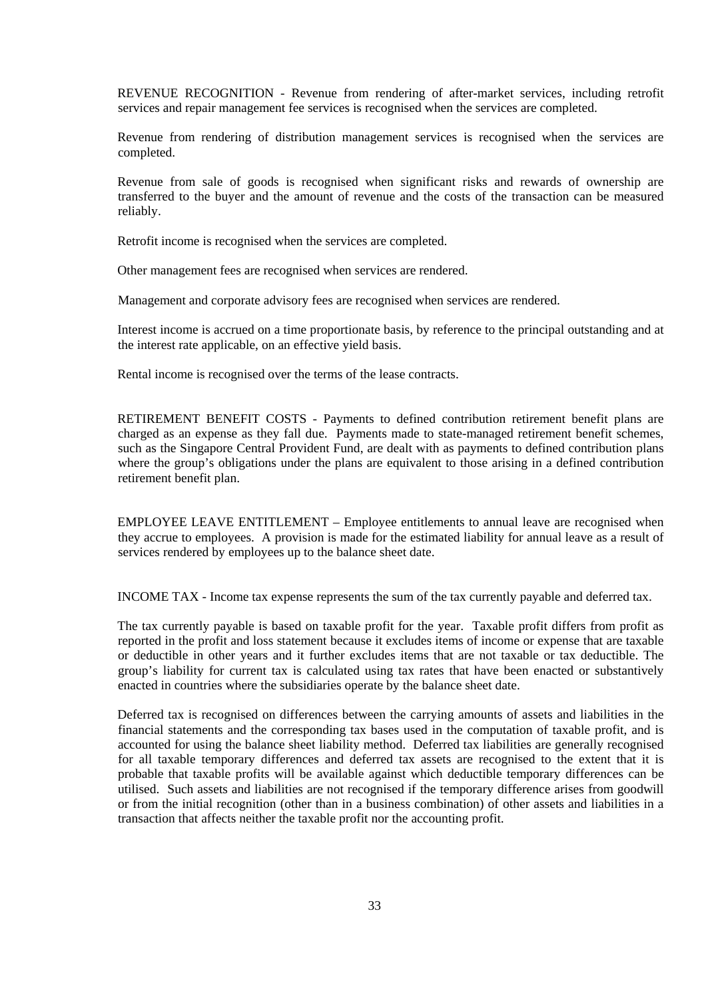REVENUE RECOGNITION - Revenue from rendering of after-market services, including retrofit services and repair management fee services is recognised when the services are completed.

 Revenue from rendering of distribution management services is recognised when the services are completed.

 Revenue from sale of goods is recognised when significant risks and rewards of ownership are transferred to the buyer and the amount of revenue and the costs of the transaction can be measured reliably.

Retrofit income is recognised when the services are completed.

Other management fees are recognised when services are rendered.

Management and corporate advisory fees are recognised when services are rendered.

 Interest income is accrued on a time proportionate basis, by reference to the principal outstanding and at the interest rate applicable, on an effective yield basis.

Rental income is recognised over the terms of the lease contracts.

 RETIREMENT BENEFIT COSTS - Payments to defined contribution retirement benefit plans are charged as an expense as they fall due. Payments made to state-managed retirement benefit schemes, such as the Singapore Central Provident Fund, are dealt with as payments to defined contribution plans where the group's obligations under the plans are equivalent to those arising in a defined contribution retirement benefit plan.

 EMPLOYEE LEAVE ENTITLEMENT – Employee entitlements to annual leave are recognised when they accrue to employees. A provision is made for the estimated liability for annual leave as a result of services rendered by employees up to the balance sheet date.

INCOME TAX - Income tax expense represents the sum of the tax currently payable and deferred tax.

 The tax currently payable is based on taxable profit for the year. Taxable profit differs from profit as reported in the profit and loss statement because it excludes items of income or expense that are taxable or deductible in other years and it further excludes items that are not taxable or tax deductible. The group's liability for current tax is calculated using tax rates that have been enacted or substantively enacted in countries where the subsidiaries operate by the balance sheet date.

 Deferred tax is recognised on differences between the carrying amounts of assets and liabilities in the financial statements and the corresponding tax bases used in the computation of taxable profit, and is accounted for using the balance sheet liability method. Deferred tax liabilities are generally recognised for all taxable temporary differences and deferred tax assets are recognised to the extent that it is probable that taxable profits will be available against which deductible temporary differences can be utilised. Such assets and liabilities are not recognised if the temporary difference arises from goodwill or from the initial recognition (other than in a business combination) of other assets and liabilities in a transaction that affects neither the taxable profit nor the accounting profit.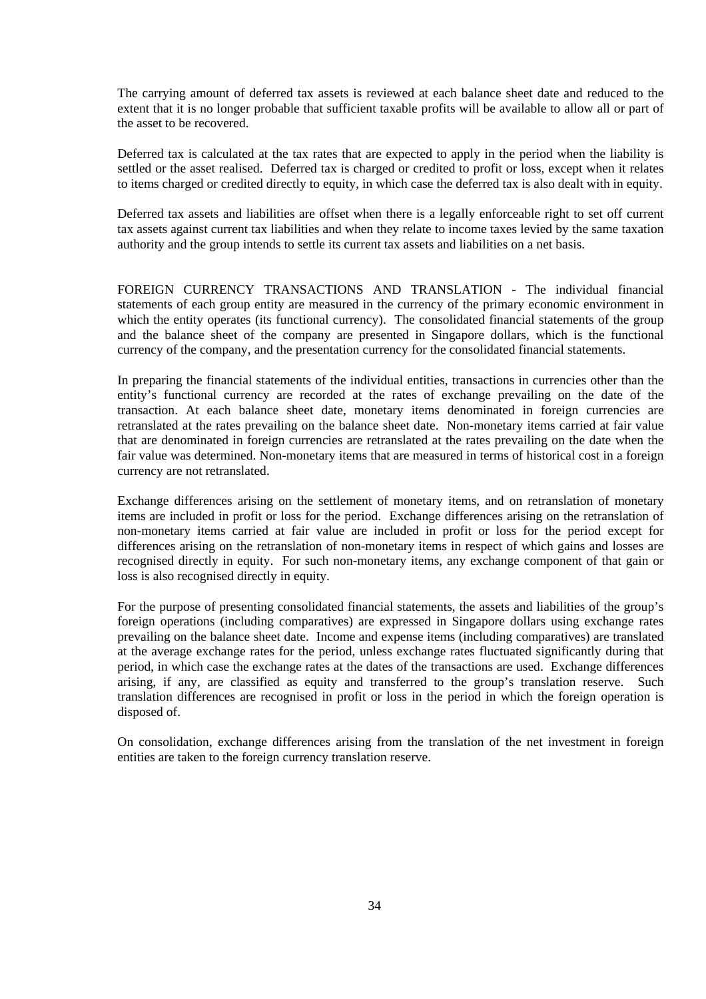The carrying amount of deferred tax assets is reviewed at each balance sheet date and reduced to the extent that it is no longer probable that sufficient taxable profits will be available to allow all or part of the asset to be recovered.

Deferred tax is calculated at the tax rates that are expected to apply in the period when the liability is settled or the asset realised. Deferred tax is charged or credited to profit or loss, except when it relates to items charged or credited directly to equity, in which case the deferred tax is also dealt with in equity.

 Deferred tax assets and liabilities are offset when there is a legally enforceable right to set off current tax assets against current tax liabilities and when they relate to income taxes levied by the same taxation authority and the group intends to settle its current tax assets and liabilities on a net basis.

 FOREIGN CURRENCY TRANSACTIONS AND TRANSLATION - The individual financial statements of each group entity are measured in the currency of the primary economic environment in which the entity operates (its functional currency). The consolidated financial statements of the group and the balance sheet of the company are presented in Singapore dollars, which is the functional currency of the company, and the presentation currency for the consolidated financial statements.

 In preparing the financial statements of the individual entities, transactions in currencies other than the entity's functional currency are recorded at the rates of exchange prevailing on the date of the transaction. At each balance sheet date, monetary items denominated in foreign currencies are retranslated at the rates prevailing on the balance sheet date. Non-monetary items carried at fair value that are denominated in foreign currencies are retranslated at the rates prevailing on the date when the fair value was determined. Non-monetary items that are measured in terms of historical cost in a foreign currency are not retranslated.

 Exchange differences arising on the settlement of monetary items, and on retranslation of monetary items are included in profit or loss for the period. Exchange differences arising on the retranslation of non-monetary items carried at fair value are included in profit or loss for the period except for differences arising on the retranslation of non-monetary items in respect of which gains and losses are recognised directly in equity. For such non-monetary items, any exchange component of that gain or loss is also recognised directly in equity.

 For the purpose of presenting consolidated financial statements, the assets and liabilities of the group's foreign operations (including comparatives) are expressed in Singapore dollars using exchange rates prevailing on the balance sheet date. Income and expense items (including comparatives) are translated at the average exchange rates for the period, unless exchange rates fluctuated significantly during that period, in which case the exchange rates at the dates of the transactions are used. Exchange differences arising, if any, are classified as equity and transferred to the group's translation reserve. Such translation differences are recognised in profit or loss in the period in which the foreign operation is disposed of.

 On consolidation, exchange differences arising from the translation of the net investment in foreign entities are taken to the foreign currency translation reserve.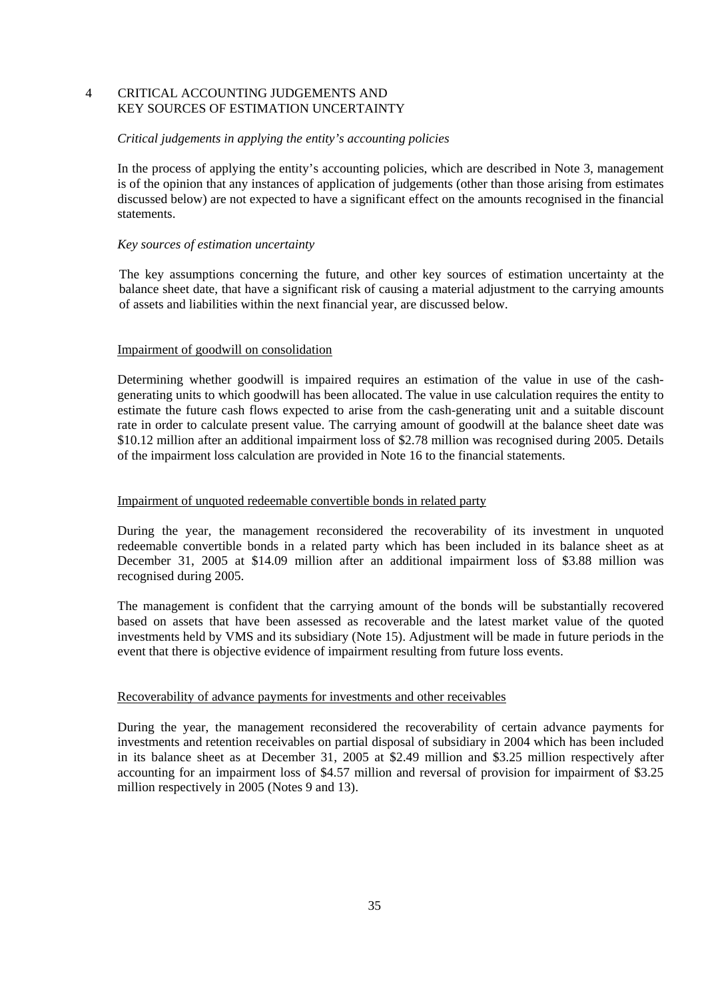## 4 CRITICAL ACCOUNTING JUDGEMENTS AND KEY SOURCES OF ESTIMATION UNCERTAINTY

### *Critical judgements in applying the entity's accounting policies*

In the process of applying the entity's accounting policies, which are described in Note 3, management is of the opinion that any instances of application of judgements (other than those arising from estimates discussed below) are not expected to have a significant effect on the amounts recognised in the financial statements.

## *Key sources of estimation uncertainty*

The key assumptions concerning the future, and other key sources of estimation uncertainty at the balance sheet date, that have a significant risk of causing a material adjustment to the carrying amounts of assets and liabilities within the next financial year, are discussed below.

## Impairment of goodwill on consolidation

Determining whether goodwill is impaired requires an estimation of the value in use of the cashgenerating units to which goodwill has been allocated. The value in use calculation requires the entity to estimate the future cash flows expected to arise from the cash-generating unit and a suitable discount rate in order to calculate present value. The carrying amount of goodwill at the balance sheet date was \$10.12 million after an additional impairment loss of \$2.78 million was recognised during 2005. Details of the impairment loss calculation are provided in Note 16 to the financial statements.

### Impairment of unquoted redeemable convertible bonds in related party

During the year, the management reconsidered the recoverability of its investment in unquoted redeemable convertible bonds in a related party which has been included in its balance sheet as at December 31, 2005 at \$14.09 million after an additional impairment loss of \$3.88 million was recognised during 2005.

The management is confident that the carrying amount of the bonds will be substantially recovered based on assets that have been assessed as recoverable and the latest market value of the quoted investments held by VMS and its subsidiary (Note 15). Adjustment will be made in future periods in the event that there is objective evidence of impairment resulting from future loss events.

## Recoverability of advance payments for investments and other receivables

During the year, the management reconsidered the recoverability of certain advance payments for investments and retention receivables on partial disposal of subsidiary in 2004 which has been included in its balance sheet as at December 31, 2005 at \$2.49 million and \$3.25 million respectively after accounting for an impairment loss of \$4.57 million and reversal of provision for impairment of \$3.25 million respectively in 2005 (Notes 9 and 13).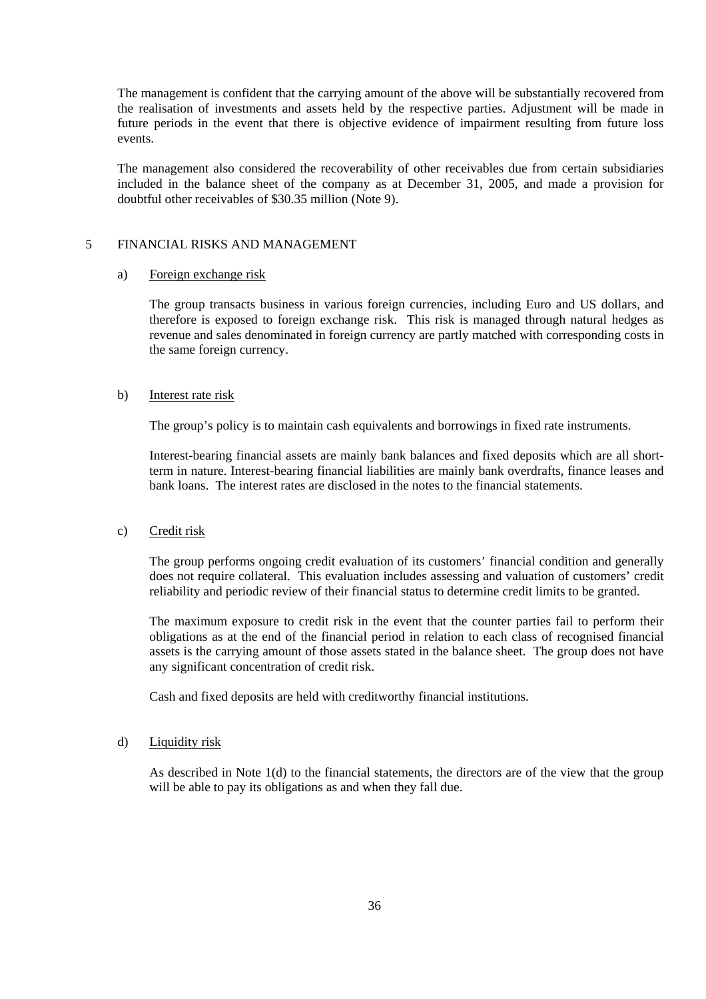The management is confident that the carrying amount of the above will be substantially recovered from the realisation of investments and assets held by the respective parties. Adjustment will be made in future periods in the event that there is objective evidence of impairment resulting from future loss events.

The management also considered the recoverability of other receivables due from certain subsidiaries included in the balance sheet of the company as at December 31, 2005, and made a provision for doubtful other receivables of \$30.35 million (Note 9).

### 5 FINANCIAL RISKS AND MANAGEMENT

#### a) Foreign exchange risk

 The group transacts business in various foreign currencies, including Euro and US dollars, and therefore is exposed to foreign exchange risk. This risk is managed through natural hedges as revenue and sales denominated in foreign currency are partly matched with corresponding costs in the same foreign currency.

# b) Interest rate risk

The group's policy is to maintain cash equivalents and borrowings in fixed rate instruments.

 Interest-bearing financial assets are mainly bank balances and fixed deposits which are all shortterm in nature. Interest-bearing financial liabilities are mainly bank overdrafts, finance leases and bank loans. The interest rates are disclosed in the notes to the financial statements.

#### c) Credit risk

 The group performs ongoing credit evaluation of its customers' financial condition and generally does not require collateral. This evaluation includes assessing and valuation of customers' credit reliability and periodic review of their financial status to determine credit limits to be granted.

 The maximum exposure to credit risk in the event that the counter parties fail to perform their obligations as at the end of the financial period in relation to each class of recognised financial assets is the carrying amount of those assets stated in the balance sheet. The group does not have any significant concentration of credit risk.

Cash and fixed deposits are held with creditworthy financial institutions.

#### d) Liquidity risk

 As described in Note 1(d) to the financial statements, the directors are of the view that the group will be able to pay its obligations as and when they fall due.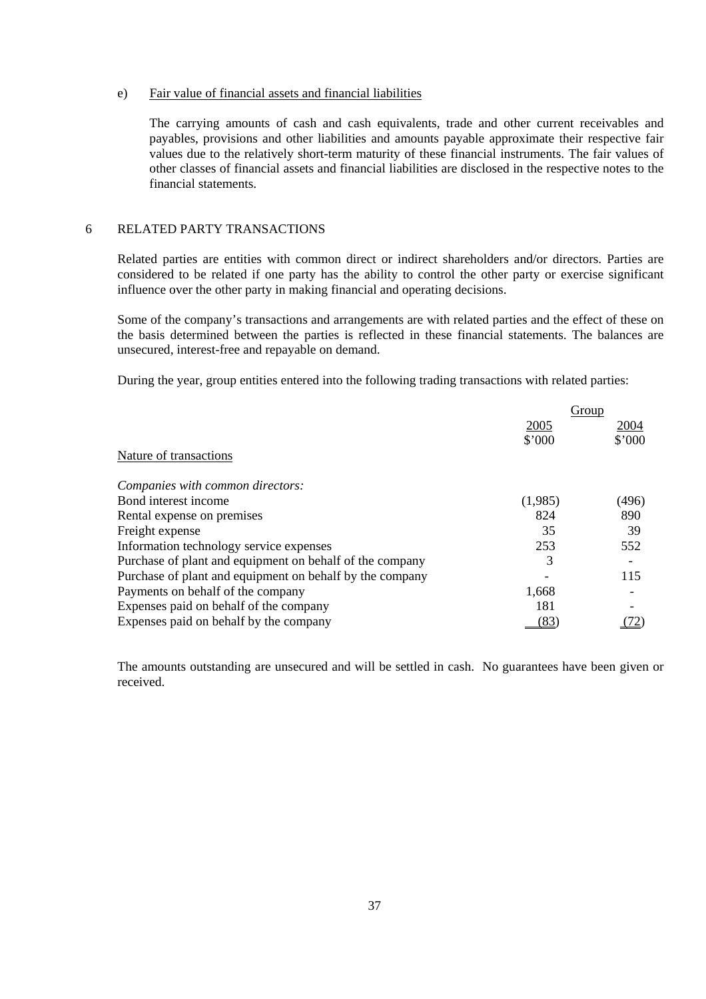#### e) Fair value of financial assets and financial liabilities

 The carrying amounts of cash and cash equivalents, trade and other current receivables and payables, provisions and other liabilities and amounts payable approximate their respective fair values due to the relatively short-term maturity of these financial instruments. The fair values of other classes of financial assets and financial liabilities are disclosed in the respective notes to the financial statements.

# 6 RELATED PARTY TRANSACTIONS

 Related parties are entities with common direct or indirect shareholders and/or directors. Parties are considered to be related if one party has the ability to control the other party or exercise significant influence over the other party in making financial and operating decisions.

 Some of the company's transactions and arrangements are with related parties and the effect of these on the basis determined between the parties is reflected in these financial statements. The balances are unsecured, interest-free and repayable on demand.

During the year, group entities entered into the following trading transactions with related parties:

|                                                          | Group   |        |
|----------------------------------------------------------|---------|--------|
|                                                          | 2005    | 2004   |
|                                                          | \$'000  | \$'000 |
| Nature of transactions                                   |         |        |
| Companies with common directors:                         |         |        |
| Bond interest income                                     | (1,985) | (496)  |
| Rental expense on premises                               | 824     | 890    |
| Freight expense                                          | 35      | 39     |
| Information technology service expenses                  | 253     | 552    |
| Purchase of plant and equipment on behalf of the company | 3       |        |
| Purchase of plant and equipment on behalf by the company |         | 115    |
| Payments on behalf of the company                        | 1,668   |        |
| Expenses paid on behalf of the company                   | 181     |        |
| Expenses paid on behalf by the company                   |         |        |
|                                                          |         |        |

 The amounts outstanding are unsecured and will be settled in cash. No guarantees have been given or received.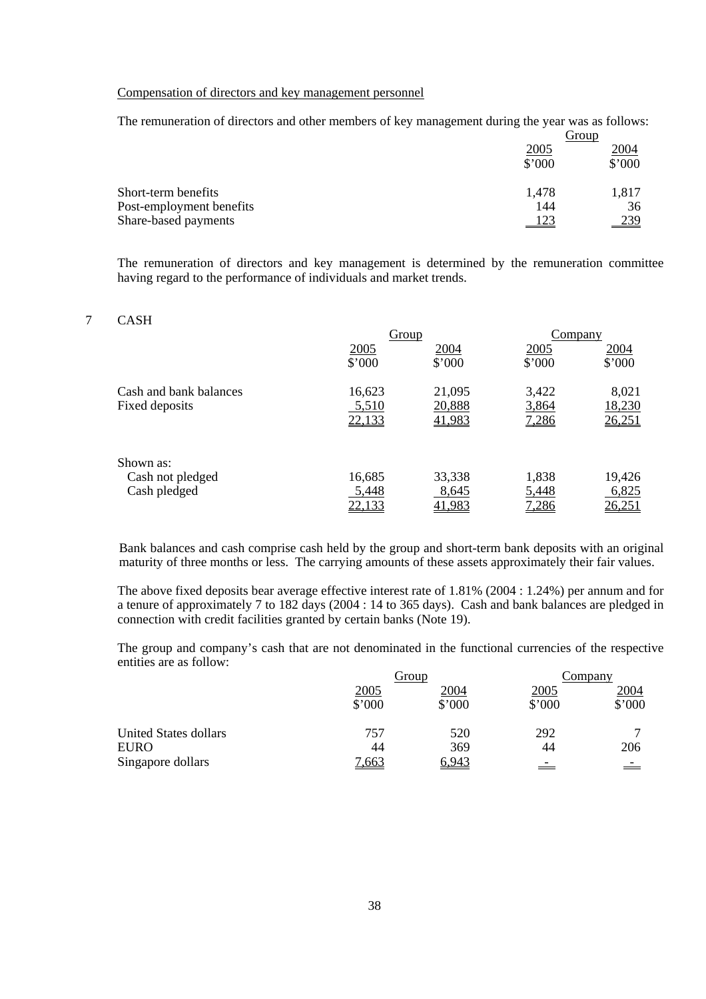#### Compensation of directors and key management personnel

The remuneration of directors and other members of key management during the year was as follows:

|                          | Group       |        |
|--------------------------|-------------|--------|
|                          | <u>2005</u> | 2004   |
|                          | \$'000      | \$'000 |
| Short-term benefits      | 1,478       | 1,817  |
| Post-employment benefits | 144         | 36     |
| Share-based payments     |             | 239    |

 The remuneration of directors and key management is determined by the remuneration committee having regard to the performance of individuals and market trends.

# 7 CASH

|                                          | Group                     |                            | Company                 |                           |
|------------------------------------------|---------------------------|----------------------------|-------------------------|---------------------------|
|                                          | 2005<br>\$'000            | 2004<br>\$'000             | 2005<br>\$'000          | 2004<br>\$'000            |
| Cash and bank balances<br>Fixed deposits | 16,623<br>5,510<br>22,133 | 21,095<br>20,888<br>41,983 | 3,422<br>3,864<br>7,286 | 8,021<br>18,230<br>26,251 |
| Shown as:                                |                           |                            |                         |                           |
| Cash not pledged                         | 16,685                    | 33,338                     | 1,838                   | 19,426                    |
| Cash pledged                             | 5,448                     | 8,645                      | 5,448                   | 6,825                     |
|                                          | 22,133                    | 41,983                     | 7,286                   | 26,251                    |

 Bank balances and cash comprise cash held by the group and short-term bank deposits with an original maturity of three months or less. The carrying amounts of these assets approximately their fair values.

 The above fixed deposits bear average effective interest rate of 1.81% (2004 : 1.24%) per annum and for a tenure of approximately 7 to 182 days (2004 : 14 to 365 days). Cash and bank balances are pledged in connection with credit facilities granted by certain banks (Note 19).

 The group and company's cash that are not denominated in the functional currencies of the respective entities are as follow:

|                              | Group  |            | Company |        |
|------------------------------|--------|------------|---------|--------|
|                              | 2005   | 2004       | 2005    | 2004   |
|                              | \$'000 | \$'000     | \$'000  | \$'000 |
| <b>United States dollars</b> | 757    | 520        | 292     | ⇁      |
| <b>EURO</b>                  | 44     | 369        | 44      | 206    |
| Singapore dollars            | 7,663  | $94^\circ$ |         |        |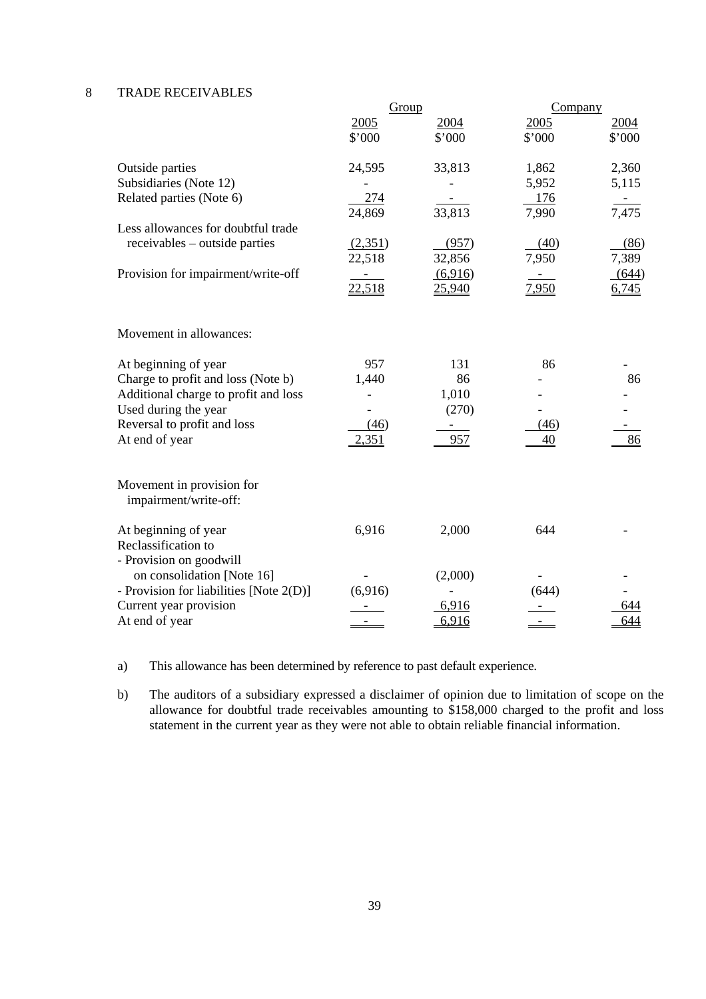# 8 TRADE RECEIVABLES

|                                                       | Group             |                 | Company       |               |
|-------------------------------------------------------|-------------------|-----------------|---------------|---------------|
|                                                       | 2005              | 2004            | 2005          | 2004          |
|                                                       | \$'000            | \$'000          | \$'000        | \$'000        |
| Outside parties                                       | 24,595            | 33,813          | 1,862         | 2,360         |
| Subsidiaries (Note 12)                                |                   |                 | 5,952         | 5,115         |
| Related parties (Note 6)                              | 274<br>24,869     | 33,813          | 176<br>7,990  | 7,475         |
| Less allowances for doubtful trade                    |                   |                 |               |               |
| receivables - outside parties                         | (2,351)<br>22,518 | (957)<br>32,856 | (40)<br>7,950 | (86)<br>7,389 |
| Provision for impairment/write-off                    |                   | (6,916)         |               | (644)         |
|                                                       | 22,518            | 25,940          | 7,950         | 6,745         |
| Movement in allowances:                               |                   |                 |               |               |
| At beginning of year                                  | 957               | 131             | 86            |               |
| Charge to profit and loss (Note b)                    | 1,440             | 86              |               | 86            |
| Additional charge to profit and loss                  |                   | 1,010           |               |               |
| Used during the year                                  |                   | (270)           |               |               |
| Reversal to profit and loss                           | (46)              |                 | (46)          |               |
| At end of year                                        | 2,351             | 957             | 40            | 86            |
| Movement in provision for<br>impairment/write-off:    |                   |                 |               |               |
| At beginning of year                                  | 6,916             | 2,000           | 644           |               |
| Reclassification to                                   |                   |                 |               |               |
| - Provision on goodwill<br>on consolidation [Note 16] |                   | (2,000)         |               |               |
| - Provision for liabilities [Note 2(D)]               | (6,916)           |                 | (644)         |               |
| Current year provision                                |                   | 6,916           |               | 644           |
| At end of year                                        |                   | 6,916           |               | 644           |

a) This allowance has been determined by reference to past default experience.

 b) The auditors of a subsidiary expressed a disclaimer of opinion due to limitation of scope on the allowance for doubtful trade receivables amounting to \$158,000 charged to the profit and loss statement in the current year as they were not able to obtain reliable financial information.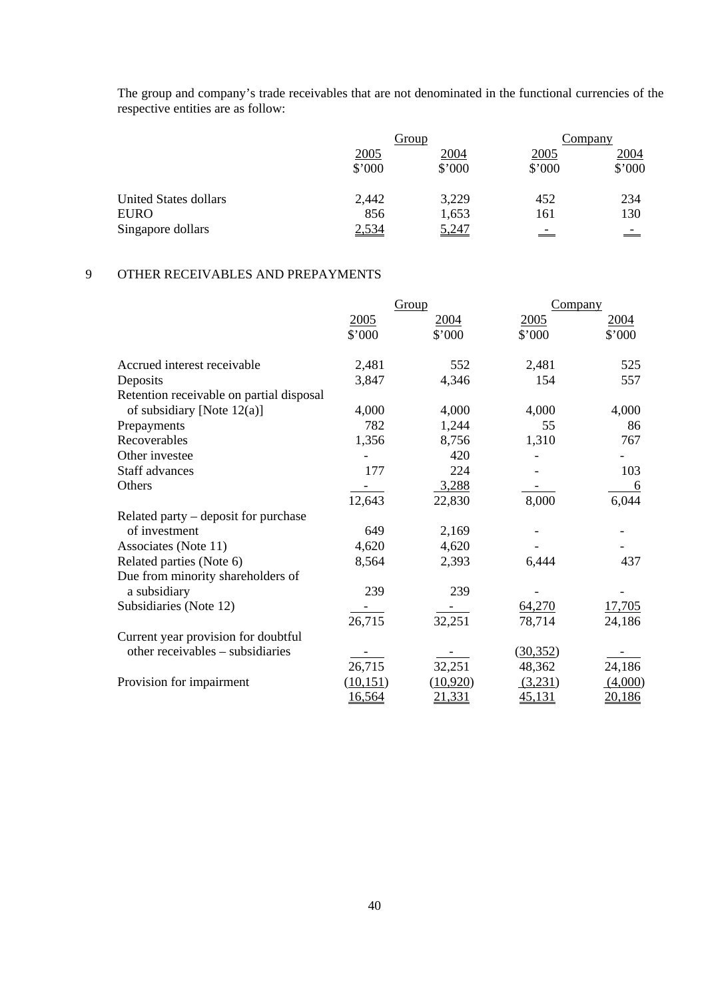The group and company's trade receivables that are not denominated in the functional currencies of the respective entities are as follow:

|                              | Group  |        | Company                            |                                             |
|------------------------------|--------|--------|------------------------------------|---------------------------------------------|
|                              | 2005   | 2004   | 2005                               | 2004                                        |
|                              | \$'000 | \$'000 | \$'000                             | \$'000                                      |
| <b>United States dollars</b> | 2,442  | 3,229  | 452                                | 234                                         |
| <b>EURO</b>                  | 856    | 1,653  | 161                                | 130                                         |
| Singapore dollars            | 2,534  | 5,247  | $\stackrel{\text{\tiny -}}{\,=\,}$ | $\stackrel{\text{\tiny -}}{\text{\tiny -}}$ |

# 9 OTHER RECEIVABLES AND PREPAYMENTS

|                                          |           | Group     | Company   |         |
|------------------------------------------|-----------|-----------|-----------|---------|
|                                          | 2005      | 2004      | 2005      | 2004    |
|                                          | \$'000    | \$'000    | \$'000    | \$'000  |
| Accrued interest receivable              | 2,481     | 552       | 2,481     | 525     |
| Deposits                                 | 3,847     | 4,346     | 154       | 557     |
| Retention receivable on partial disposal |           |           |           |         |
| of subsidiary [Note 12(a)]               | 4,000     | 4,000     | 4,000     | 4,000   |
| Prepayments                              | 782       | 1,244     | 55        | 86      |
| Recoverables                             | 1,356     | 8,756     | 1,310     | 767     |
| Other investee                           |           | 420       |           |         |
| Staff advances                           | 177       | 224       |           | 103     |
| Others                                   |           | 3,288     |           | 6       |
|                                          | 12,643    | 22,830    | 8,000     | 6,044   |
| Related party – deposit for purchase     |           |           |           |         |
| of investment                            | 649       | 2,169     |           |         |
| Associates (Note 11)                     | 4,620     | 4,620     |           |         |
| Related parties (Note 6)                 | 8,564     | 2,393     | 6,444     | 437     |
| Due from minority shareholders of        |           |           |           |         |
| a subsidiary                             | 239       | 239       |           |         |
| Subsidiaries (Note 12)                   |           |           | 64,270    | 17,705  |
|                                          | 26,715    | 32,251    | 78,714    | 24,186  |
| Current year provision for doubtful      |           |           |           |         |
| other receivables – subsidiaries         |           |           | (30, 352) |         |
|                                          | 26,715    | 32,251    | 48,362    | 24,186  |
| Provision for impairment                 | (10, 151) | (10, 920) | (3,231)   | (4,000) |
|                                          | 16,564    | 21,331    | 45,131    | 20,186  |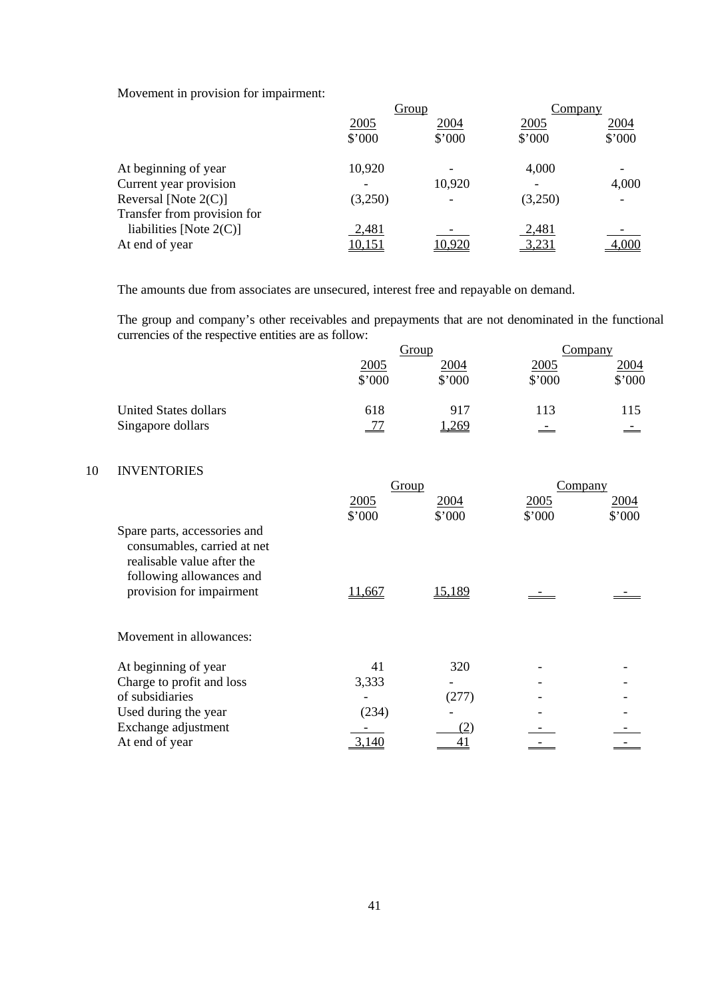Movement in provision for impairment:

|                             | Group   |        | Company                  |        |
|-----------------------------|---------|--------|--------------------------|--------|
|                             | 2005    | 2004   | 2005                     | 2004   |
|                             | \$'000  | \$'000 | \$'000                   | \$'000 |
| At beginning of year        | 10,920  |        | 4,000                    |        |
| Current year provision      |         | 10,920 | $\overline{\phantom{a}}$ | 4,000  |
| Reversal [Note $2(C)$ ]     | (3,250) |        | (3,250)                  |        |
| Transfer from provision for |         |        |                          |        |
| liabilities [Note $2(C)$ ]  | 2,481   |        | 2,481                    |        |
| At end of year              | 10,15   | 10.920 | 3,23                     | 4,000  |

The amounts due from associates are unsecured, interest free and repayable on demand.

The group and company's other receivables and prepayments that are not denominated in the functional currencies of the respective entities are as follow:

|                       | Group       |             | Company  |             |
|-----------------------|-------------|-------------|----------|-------------|
|                       | 2005        | 2004        | 2005     | <u>2004</u> |
|                       | \$'000      | \$'000      | \$'000   | \$'000      |
| United States dollars | 618         | 917         | 113      | 115         |
| Singapore dollars     | $7^{\circ}$ | <u>.269</u> | $\equiv$ |             |

### 10 INVENTORIES

|                                                                                           | Group         |               | Company |        |
|-------------------------------------------------------------------------------------------|---------------|---------------|---------|--------|
|                                                                                           | 2005          | 2004          | 2005    | 2004   |
| Spare parts, accessories and<br>consumables, carried at net<br>realisable value after the | \$'000        | \$'000        | \$'000  | \$'000 |
| following allowances and<br>provision for impairment                                      | <u>11,667</u> | <u>15,189</u> |         |        |
| Movement in allowances:                                                                   |               |               |         |        |
| At beginning of year                                                                      | 41            | 320           |         |        |
| Charge to profit and loss                                                                 | 3,333         |               |         |        |
| of subsidiaries                                                                           |               | (277)         |         |        |
| Used during the year                                                                      | (234)         |               |         |        |
| Exchange adjustment                                                                       |               |               |         |        |
| At end of year                                                                            | 3.140         | 4             |         |        |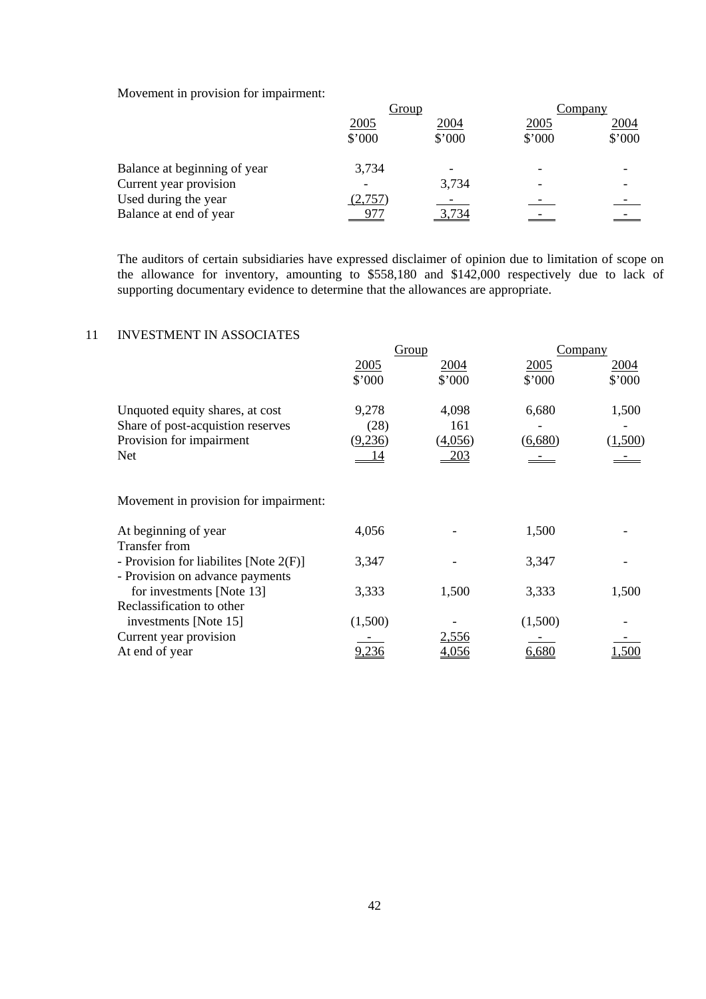Movement in provision for impairment:

|                              | Group   |        | Company |        |
|------------------------------|---------|--------|---------|--------|
|                              | 2005    | 2004   | 2005    | 2004   |
|                              | \$'000  | \$'000 | \$'000  | \$'000 |
| Balance at beginning of year | 3,734   |        |         |        |
| Current year provision       |         | 3,734  |         |        |
| Used during the year         | (2,757) |        |         |        |
| Balance at end of year       |         |        |         |        |

 The auditors of certain subsidiaries have expressed disclaimer of opinion due to limitation of scope on the allowance for inventory, amounting to \$558,180 and \$142,000 respectively due to lack of supporting documentary evidence to determine that the allowances are appropriate.

# 11 INVESTMENT IN ASSOCIATES

|                                       |                      | <b>Company</b> |             |
|---------------------------------------|----------------------|----------------|-------------|
| 2005                                  | 2004                 | 2005           | <u>2004</u> |
| \$'000                                | \$'000               | \$'000         | \$'000      |
| 9,278                                 | 4,098                | 6,680          | 1,500       |
| (28)                                  | 161                  |                |             |
| (9,236)                               | $\left(4,056\right)$ | (6,680)        | (1,500)     |
| 14                                    | 203                  |                |             |
| Movement in provision for impairment: |                      |                |             |
| 4,056                                 |                      | 1,500          |             |
|                                       |                      |                |             |
| 3,347                                 |                      | 3,347          |             |
|                                       |                      |                |             |
| 3,333                                 | 1,500                | 3,333          | 1,500       |
|                                       |                      |                |             |
| (1,500)                               |                      | (1,500)        |             |
|                                       | 2,556                |                |             |
| 9,236                                 | <u>4,056</u>         | 6,680          | .500        |
|                                       |                      | Group          |             |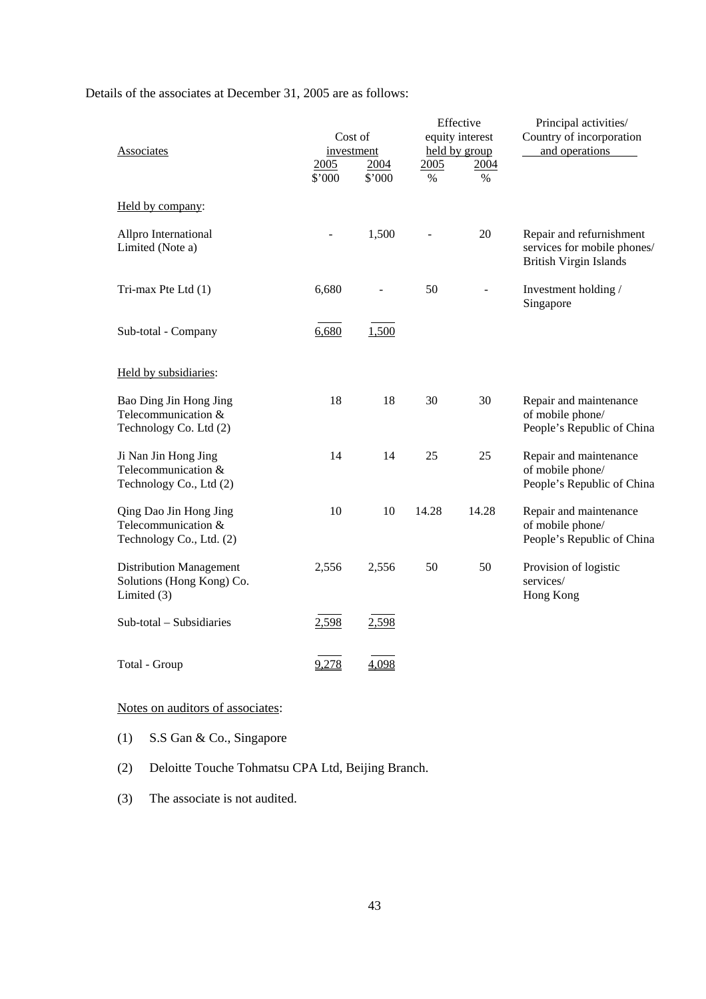Details of the associates at December 31, 2005 are as follows:

| Associates                                                                 | Cost of<br>investment<br>2005<br>\$'000 | 2004<br>\$'000 | 2005<br>$\%$ | Effective<br>equity interest<br>held by group<br>2004<br>$\%$ | Principal activities/<br>Country of incorporation<br>and operations                      |
|----------------------------------------------------------------------------|-----------------------------------------|----------------|--------------|---------------------------------------------------------------|------------------------------------------------------------------------------------------|
| Held by company:                                                           |                                         |                |              |                                                               |                                                                                          |
| Allpro International<br>Limited (Note a)                                   |                                         | 1,500          |              | 20                                                            | Repair and refurnishment<br>services for mobile phones/<br><b>British Virgin Islands</b> |
| Tri-max Pte Ltd (1)                                                        | 6,680                                   |                | 50           | $\overline{a}$                                                | Investment holding /<br>Singapore                                                        |
| Sub-total - Company                                                        | 6,680                                   | 1,500          |              |                                                               |                                                                                          |
| Held by subsidiaries:                                                      |                                         |                |              |                                                               |                                                                                          |
| Bao Ding Jin Hong Jing<br>Telecommunication &<br>Technology Co. Ltd (2)    | 18                                      | 18             | 30           | 30                                                            | Repair and maintenance<br>of mobile phone/<br>People's Republic of China                 |
| Ji Nan Jin Hong Jing<br>Telecommunication &<br>Technology Co., Ltd (2)     | 14                                      | 14             | 25           | 25                                                            | Repair and maintenance<br>of mobile phone/<br>People's Republic of China                 |
| Qing Dao Jin Hong Jing<br>Telecommunication &<br>Technology Co., Ltd. (2)  | 10                                      | 10             | 14.28        | 14.28                                                         | Repair and maintenance<br>of mobile phone/<br>People's Republic of China                 |
| <b>Distribution Management</b><br>Solutions (Hong Kong) Co.<br>Limited (3) | 2,556                                   | 2,556          | 50           | 50                                                            | Provision of logistic<br>services/<br>Hong Kong                                          |
| Sub-total - Subsidiaries                                                   | 2,598                                   | 2,598          |              |                                                               |                                                                                          |
| Total - Group                                                              | 9,278                                   | 4,098          |              |                                                               |                                                                                          |

# Notes on auditors of associates:

- (1) S.S Gan & Co., Singapore
- (2) Deloitte Touche Tohmatsu CPA Ltd, Beijing Branch.
- (3) The associate is not audited.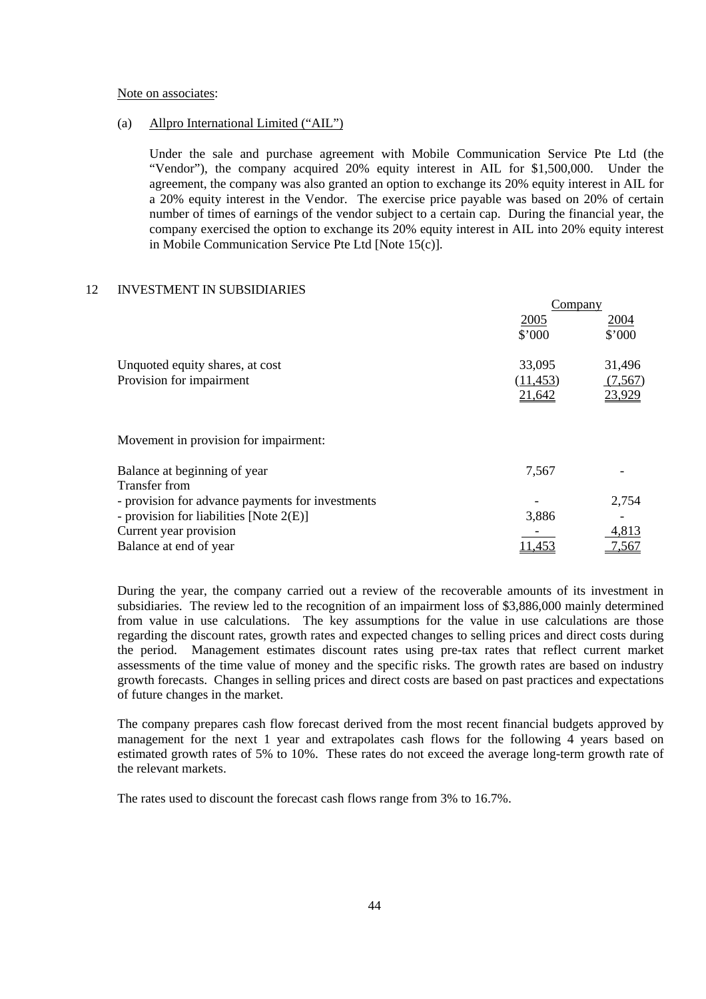#### Note on associates:

#### (a) Allpro International Limited ("AIL")

 Under the sale and purchase agreement with Mobile Communication Service Pte Ltd (the "Vendor"), the company acquired 20% equity interest in AIL for \$1,500,000. Under the agreement, the company was also granted an option to exchange its 20% equity interest in AIL for a 20% equity interest in the Vendor. The exercise price payable was based on 20% of certain number of times of earnings of the vendor subject to a certain cap. During the financial year, the company exercised the option to exchange its 20% equity interest in AIL into 20% equity interest in Mobile Communication Service Pte Ltd [Note 15(c)].

#### 12 INVESTMENT IN SUBSIDIARIES

|                                                  | Company   |         |
|--------------------------------------------------|-----------|---------|
|                                                  | 2005      | 2004    |
|                                                  | \$'000    | \$'000  |
| Unquoted equity shares, at cost                  | 33,095    | 31,496  |
| Provision for impairment                         | (11, 453) | (7,567) |
|                                                  | 21,642    | 23,929  |
| Movement in provision for impairment:            |           |         |
| Balance at beginning of year                     | 7,567     |         |
| <b>Transfer from</b>                             |           |         |
| - provision for advance payments for investments |           | 2,754   |
| - provision for liabilities [Note 2(E)]          | 3,886     |         |
| Current year provision                           |           | 4,813   |
| Balance at end of year                           | 11.453    | 7.567   |
|                                                  |           |         |

 During the year, the company carried out a review of the recoverable amounts of its investment in subsidiaries. The review led to the recognition of an impairment loss of \$3,886,000 mainly determined from value in use calculations. The key assumptions for the value in use calculations are those regarding the discount rates, growth rates and expected changes to selling prices and direct costs during the period. Management estimates discount rates using pre-tax rates that reflect current market assessments of the time value of money and the specific risks. The growth rates are based on industry growth forecasts. Changes in selling prices and direct costs are based on past practices and expectations of future changes in the market.

 The company prepares cash flow forecast derived from the most recent financial budgets approved by management for the next 1 year and extrapolates cash flows for the following 4 years based on estimated growth rates of 5% to 10%. These rates do not exceed the average long-term growth rate of the relevant markets.

The rates used to discount the forecast cash flows range from 3% to 16.7%.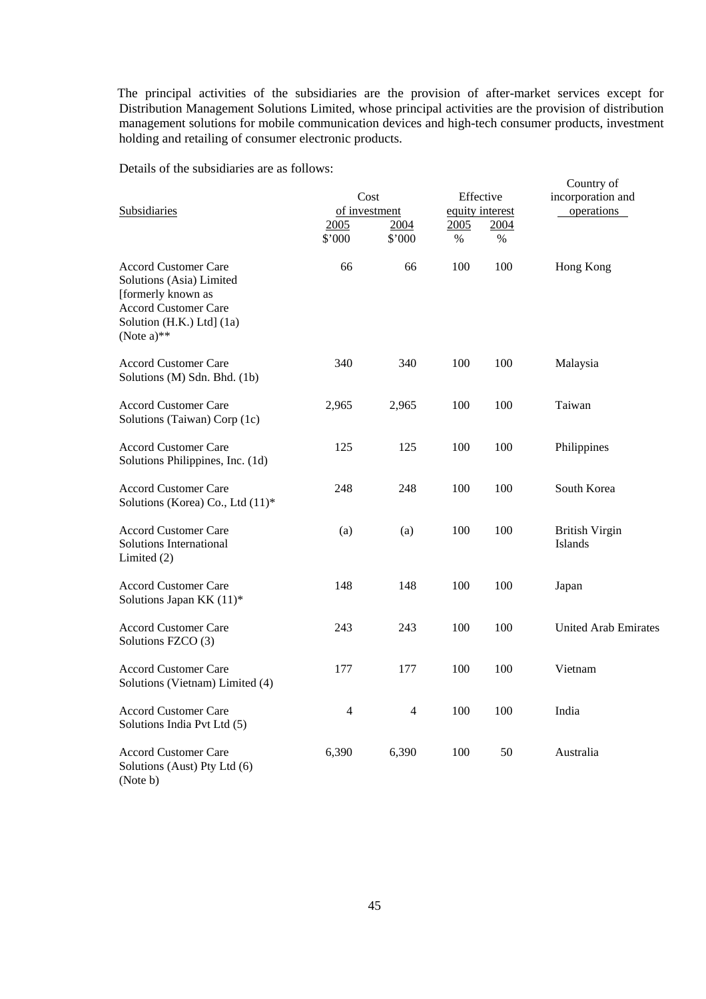The principal activities of the subsidiaries are the provision of after-market services except for Distribution Management Solutions Limited, whose principal activities are the provision of distribution management solutions for mobile communication devices and high-tech consumer products, investment holding and retailing of consumer electronic products.

Details of the subsidiaries are as follows:

| Subsidiaries                                                                                                                                               | Cost<br>of investment |        |      | Effective<br>equity interest | Country of<br>incorporation and<br>operations |  |
|------------------------------------------------------------------------------------------------------------------------------------------------------------|-----------------------|--------|------|------------------------------|-----------------------------------------------|--|
|                                                                                                                                                            | 2005                  | 2004   | 2005 | 2004                         |                                               |  |
|                                                                                                                                                            | \$'000                | \$'000 | $\%$ | $\%$                         |                                               |  |
| <b>Accord Customer Care</b><br>Solutions (Asia) Limited<br>[formerly known as<br><b>Accord Customer Care</b><br>Solution (H.K.) Ltd] (1a)<br>(Note $a)$ ** | 66                    | 66     | 100  | 100                          | Hong Kong                                     |  |
| <b>Accord Customer Care</b><br>Solutions (M) Sdn. Bhd. (1b)                                                                                                | 340                   | 340    | 100  | 100                          | Malaysia                                      |  |
| <b>Accord Customer Care</b><br>Solutions (Taiwan) Corp (1c)                                                                                                | 2,965                 | 2,965  | 100  | 100                          | Taiwan                                        |  |
| <b>Accord Customer Care</b><br>Solutions Philippines, Inc. (1d)                                                                                            | 125                   | 125    | 100  | 100                          | Philippines                                   |  |
| <b>Accord Customer Care</b><br>Solutions (Korea) Co., Ltd (11)*                                                                                            | 248                   | 248    | 100  | 100                          | South Korea                                   |  |
| <b>Accord Customer Care</b><br>Solutions International<br>Limited (2)                                                                                      | (a)                   | (a)    | 100  | 100                          | <b>British Virgin</b><br>Islands              |  |
| <b>Accord Customer Care</b><br>Solutions Japan KK (11)*                                                                                                    | 148                   | 148    | 100  | 100                          | Japan                                         |  |
| <b>Accord Customer Care</b><br>Solutions FZCO (3)                                                                                                          | 243                   | 243    | 100  | 100                          | <b>United Arab Emirates</b>                   |  |
| <b>Accord Customer Care</b><br>Solutions (Vietnam) Limited (4)                                                                                             | 177                   | 177    | 100  | 100                          | Vietnam                                       |  |
| <b>Accord Customer Care</b><br>Solutions India Pvt Ltd (5)                                                                                                 | 4                     | 4      | 100  | 100                          | India                                         |  |
| Accord Customer Care<br>Solutions (Aust) Pty Ltd (6)<br>(Note b)                                                                                           | 6,390                 | 6,390  | 100  | 50                           | Australia                                     |  |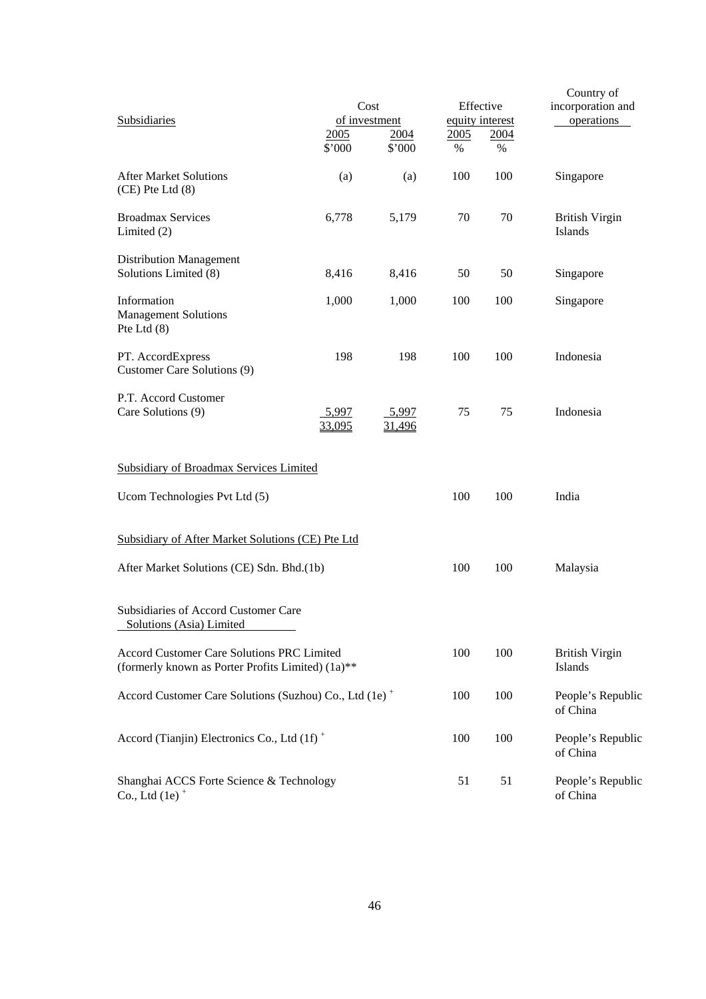| Subsidiaries                                                                                    | 2005<br>\$'000  | Cost<br>of investment<br>2004<br>\$'000 | 2005<br>$\%$ | Effective<br>equity interest<br>2004<br>$\%$ | Country of<br>incorporation and<br>operations |
|-------------------------------------------------------------------------------------------------|-----------------|-----------------------------------------|--------------|----------------------------------------------|-----------------------------------------------|
| <b>After Market Solutions</b><br>$(CE)$ Pte Ltd $(8)$                                           | (a)             | (a)                                     | 100          | 100                                          | Singapore                                     |
| <b>Broadmax Services</b><br>Limited $(2)$                                                       | 6,778           | 5,179                                   | 70           | 70                                           | <b>British Virgin</b><br>Islands              |
| <b>Distribution Management</b><br>Solutions Limited (8)                                         | 8,416           | 8,416                                   | 50           | 50                                           | Singapore                                     |
| Information<br><b>Management Solutions</b><br>Pte Ltd $(8)$                                     | 1,000           | 1,000                                   | 100          | 100                                          | Singapore                                     |
| PT. AccordExpress<br>Customer Care Solutions (9)                                                | 198             | 198                                     | 100          | 100                                          | Indonesia                                     |
| P.T. Accord Customer<br>Care Solutions (9)                                                      | 5,997<br>33,095 | 5,997<br>31,496                         | 75           | 75                                           | Indonesia                                     |
| <b>Subsidiary of Broadmax Services Limited</b>                                                  |                 |                                         |              |                                              |                                               |
| Ucom Technologies Pvt Ltd (5)                                                                   |                 |                                         | 100          | 100                                          | India                                         |
| Subsidiary of After Market Solutions (CE) Pte Ltd                                               |                 |                                         |              |                                              |                                               |
| After Market Solutions (CE) Sdn. Bhd.(1b)                                                       |                 |                                         | 100          | 100                                          | Malaysia                                      |
| Subsidiaries of Accord Customer Care<br>Solutions (Asia) Limited                                |                 |                                         |              |                                              |                                               |
| Accord Customer Care Solutions PRC Limited<br>(formerly known as Porter Profits Limited) (1a)** |                 |                                         | 100          | 100                                          | <b>British Virgin</b><br>Islands              |
| Accord Customer Care Solutions (Suzhou) Co., Ltd (1e) <sup>+</sup>                              |                 |                                         | 100          | 100                                          | People's Republic<br>of China                 |
| Accord (Tianjin) Electronics Co., Ltd (1f) <sup>+</sup>                                         |                 |                                         | 100          | 100                                          | People's Republic<br>of China                 |
| Shanghai ACCS Forte Science & Technology<br>Co., Ltd $(1e)^+$                                   |                 |                                         | 51           | 51                                           | People's Republic<br>of China                 |
|                                                                                                 |                 |                                         |              |                                              |                                               |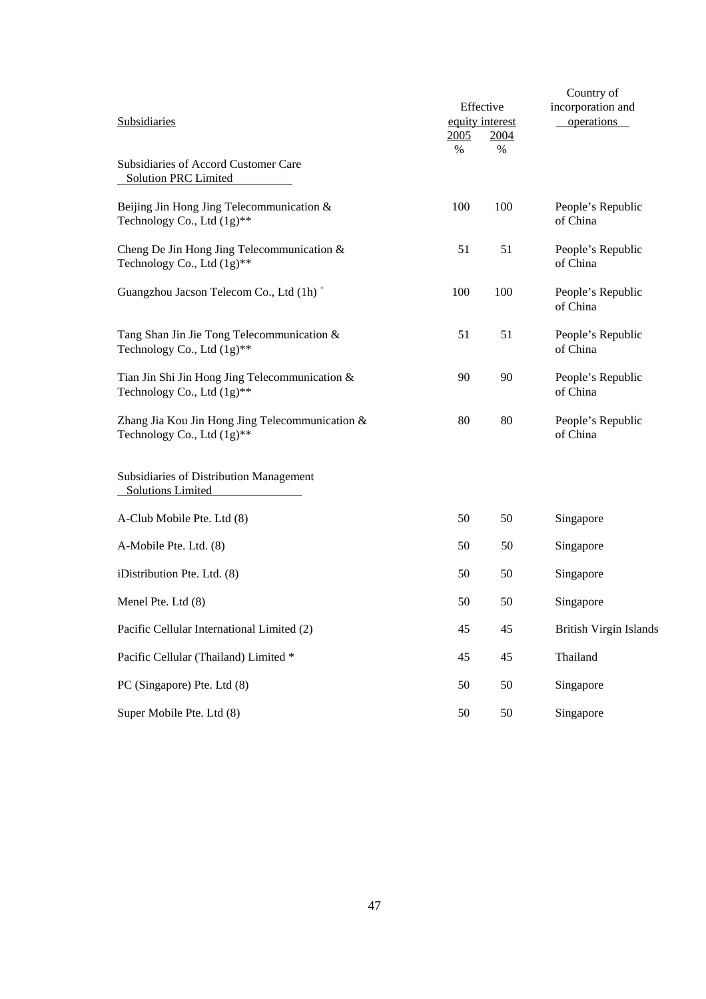| Subsidiaries                                                                    | 2005 | Effective<br>equity interest<br>2004 | Country of<br>incorporation and<br>operations |
|---------------------------------------------------------------------------------|------|--------------------------------------|-----------------------------------------------|
| Subsidiaries of Accord Customer Care<br><b>Solution PRC Limited</b>             | $\%$ | $\%$                                 |                                               |
| Beijing Jin Hong Jing Telecommunication &<br>Technology Co., Ltd (1g)**         | 100  | 100                                  | People's Republic<br>of China                 |
| Cheng De Jin Hong Jing Telecommunication $&$<br>Technology Co., Ltd (1g)**      | 51   | 51                                   | People's Republic<br>of China                 |
| Guangzhou Jacson Telecom Co., Ltd (1h) <sup>+</sup>                             | 100  | 100                                  | People's Republic<br>of China                 |
| Tang Shan Jin Jie Tong Telecommunication &<br>Technology Co., Ltd (1g)**        | 51   | 51                                   | People's Republic<br>of China                 |
| Tian Jin Shi Jin Hong Jing Telecommunication &<br>Technology Co., Ltd $(1g)$ ** | 90   | 90                                   | People's Republic<br>of China                 |
| Zhang Jia Kou Jin Hong Jing Telecommunication &<br>Technology Co., Ltd (1g)**   | 80   | 80                                   | People's Republic<br>of China                 |
| Subsidiaries of Distribution Management<br><b>Solutions Limited</b>             |      |                                      |                                               |
| A-Club Mobile Pte. Ltd (8)                                                      | 50   | 50                                   | Singapore                                     |
| A-Mobile Pte. Ltd. (8)                                                          | 50   | 50                                   | Singapore                                     |
| iDistribution Pte. Ltd. (8)                                                     | 50   | 50                                   | Singapore                                     |
| Menel Pte. Ltd (8)                                                              | 50   | 50                                   | Singapore                                     |
| Pacific Cellular International Limited (2)                                      | 45   | 45                                   | <b>British Virgin Islands</b>                 |
| Pacific Cellular (Thailand) Limited *                                           | 45   | 45                                   | Thailand                                      |
| PC (Singapore) Pte. Ltd (8)                                                     | 50   | 50                                   | Singapore                                     |
| Super Mobile Pte. Ltd (8)                                                       | 50   | 50                                   | Singapore                                     |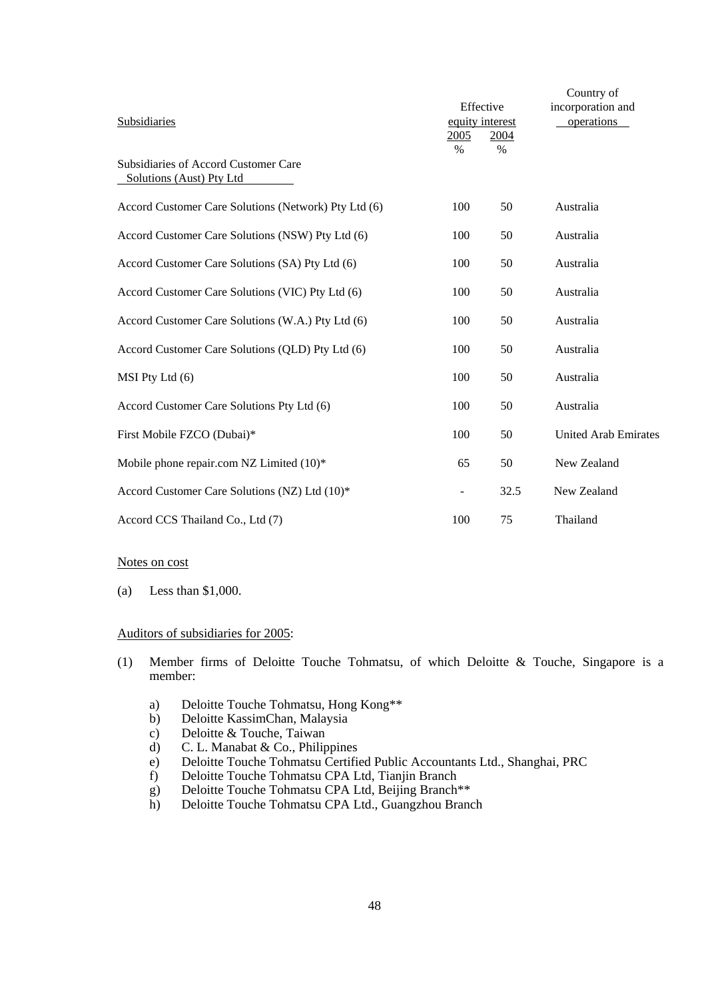| Subsidiaries                                                            | Effective<br>equity interest<br>2005<br>$\frac{0}{0}$ | 2004<br>$\frac{0}{0}$ | Country of<br>incorporation and<br>operations |
|-------------------------------------------------------------------------|-------------------------------------------------------|-----------------------|-----------------------------------------------|
| Subsidiaries of Accord Customer Care<br><b>Solutions (Aust) Pty Ltd</b> |                                                       |                       |                                               |
| Accord Customer Care Solutions (Network) Pty Ltd (6)                    | 100                                                   | 50                    | Australia                                     |
| Accord Customer Care Solutions (NSW) Pty Ltd (6)                        | 100                                                   | 50                    | Australia                                     |
| Accord Customer Care Solutions (SA) Pty Ltd (6)                         | 100                                                   | 50                    | Australia                                     |
| Accord Customer Care Solutions (VIC) Pty Ltd (6)                        | 100                                                   | 50                    | Australia                                     |
| Accord Customer Care Solutions (W.A.) Pty Ltd (6)                       | 100                                                   | 50                    | Australia                                     |
| Accord Customer Care Solutions (QLD) Pty Ltd (6)                        | 100                                                   | 50                    | Australia                                     |
| MSI Pty Ltd (6)                                                         | 100                                                   | 50                    | Australia                                     |
| Accord Customer Care Solutions Pty Ltd (6)                              | 100                                                   | 50                    | Australia                                     |
| First Mobile FZCO (Dubai)*                                              | 100                                                   | 50                    | <b>United Arab Emirates</b>                   |
| Mobile phone repair.com NZ Limited (10)*                                | 65                                                    | 50                    | New Zealand                                   |
| Accord Customer Care Solutions (NZ) Ltd (10)*                           |                                                       | 32.5                  | New Zealand                                   |
| Accord CCS Thailand Co., Ltd (7)                                        | 100                                                   | 75                    | Thailand                                      |

#### Notes on cost

(a) Less than \$1,000.

## Auditors of subsidiaries for 2005:

- (1) Member firms of Deloitte Touche Tohmatsu, of which Deloitte & Touche, Singapore is a member:
	- a) Deloitte Touche Tohmatsu, Hong Kong\*\*
	- b) Deloitte KassimChan, Malaysia
	- c) Deloitte & Touche, Taiwan
	- d) C. L. Manabat & Co., Philippines
	- e) Deloitte Touche Tohmatsu Certified Public Accountants Ltd., Shanghai, PRC
	- f) Deloitte Touche Tohmatsu CPA Ltd, Tianjin Branch
	- g) Deloitte Touche Tohmatsu CPA Ltd, Beijing Branch<sup>\*\*</sup><br>h) Deloitte Touche Tohmatsu CPA Ltd., Guangzhou Branc
	- Deloitte Touche Tohmatsu CPA Ltd., Guangzhou Branch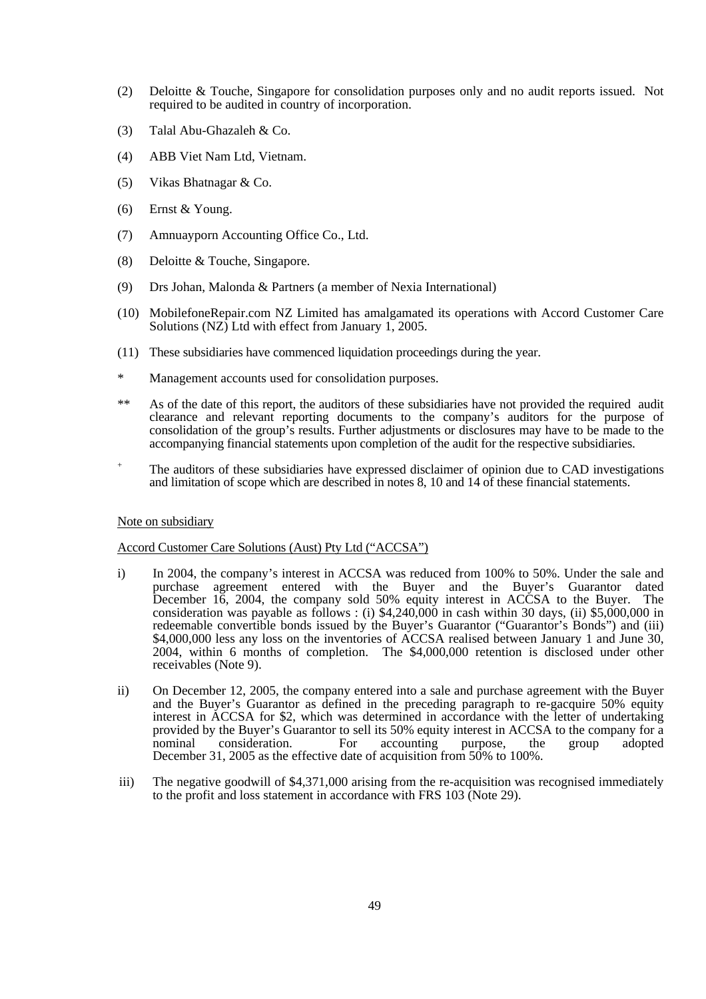- (2) Deloitte & Touche, Singapore for consolidation purposes only and no audit reports issued. Not required to be audited in country of incorporation.
- (3) Talal Abu-Ghazaleh & Co.
- (4) ABB Viet Nam Ltd, Vietnam.
- (5) Vikas Bhatnagar & Co.
- (6) Ernst & Young.
- (7) Amnuayporn Accounting Office Co., Ltd.
- (8) Deloitte & Touche, Singapore.
- (9) Drs Johan, Malonda & Partners (a member of Nexia International)
- (10) MobilefoneRepair.com NZ Limited has amalgamated its operations with Accord Customer Care Solutions (NZ) Ltd with effect from January 1, 2005.
- (11) These subsidiaries have commenced liquidation proceedings during the year.
- \* Management accounts used for consolidation purposes.
- \*\* As of the date of this report, the auditors of these subsidiaries have not provided the required audit clearance and relevant reporting documents to the company's auditors for the purpose of consolidation of the group's results. Further adjustments or disclosures may have to be made to the accompanying financial statements upon completion of the audit for the respective subsidiaries.
- The auditors of these subsidiaries have expressed disclaimer of opinion due to CAD investigations and limitation of scope which are described in notes 8, 10 and 14 of these financial statements.

#### Note on subsidiary

#### Accord Customer Care Solutions (Aust) Pty Ltd ("ACCSA")

- i) In 2004, the company's interest in ACCSA was reduced from 100% to 50%. Under the sale and purchase agreement entered with the Buyer and the Buyer's Guarantor dated December 16, 2004, the company sold 50% equity interest in ACCSA to the Buyer. The consideration was payable as follows : (i) \$4,240,000 in cash within 30 days, (ii) \$5,000,000 in redeemable convertible bonds issued by the Buyer's Guarantor ("Guarantor's Bonds") and (iii) \$4,000,000 less any loss on the inventories of ACCSA realised between January 1 and June 30, 2004, within 6 months of completion. The \$4,000,000 retention is disclosed under other receivables (Note 9).
- ii) On December 12, 2005, the company entered into a sale and purchase agreement with the Buyer and the Buyer's Guarantor as defined in the preceding paragraph to re-gacquire 50% equity interest in ACCSA for \$2, which was determined in accordance with the letter of undertaking provided by the Buyer's Guarantor to sell its 50% equity interest in ACCSA to the company for a nominal consideration. For accounting purpose, the group adopted December 31, 2005 as the effective date of acquisition from 50% to 100%.
- iii) The negative goodwill of \$4,371,000 arising from the re-acquisition was recognised immediately to the profit and loss statement in accordance with FRS 103 (Note 29).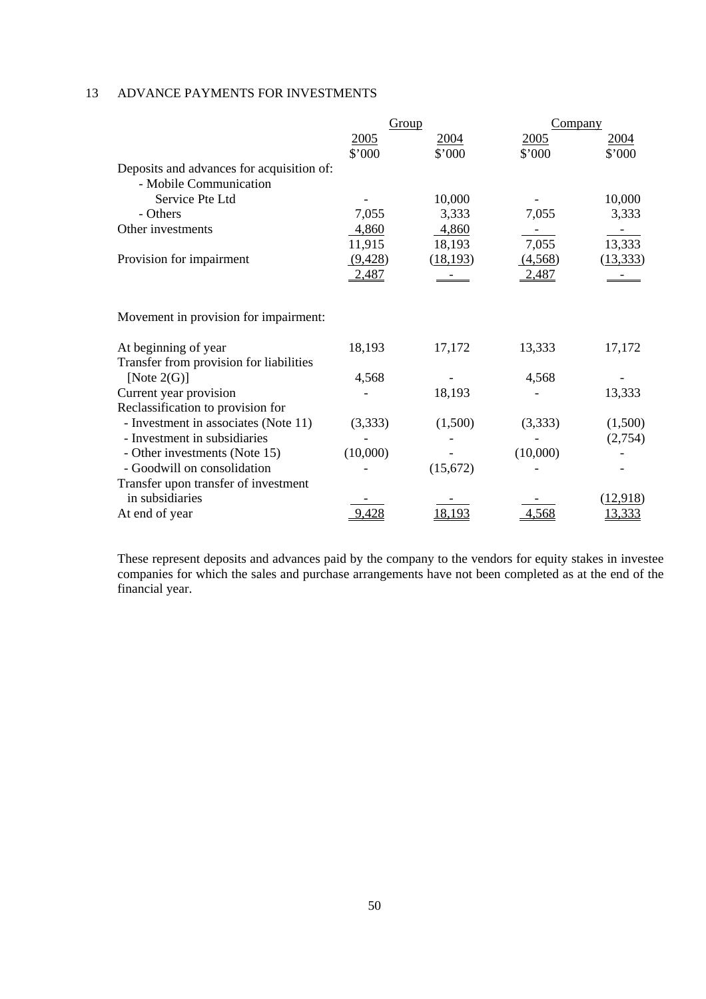# 13 ADVANCE PAYMENTS FOR INVESTMENTS

|                                           | Group    |            |          | Company   |  |
|-------------------------------------------|----------|------------|----------|-----------|--|
|                                           | 2005     | 2004       | 2005     | 2004      |  |
|                                           | \$'000   | \$'000     | \$'000   | \$'000    |  |
| Deposits and advances for acquisition of: |          |            |          |           |  |
| - Mobile Communication                    |          |            |          |           |  |
| Service Pte Ltd                           |          | 10,000     |          | 10,000    |  |
| - Others                                  | 7,055    | 3,333      | 7,055    | 3,333     |  |
| Other investments                         | 4,860    | 4,860      |          |           |  |
|                                           | 11,915   | 18,193     | 7,055    | 13,333    |  |
| Provision for impairment                  | (9,428)  | (18, 193)  | (4,568)  | (13, 333) |  |
|                                           | 2,487    | $\sim$ $-$ | 2,487    |           |  |
| Movement in provision for impairment:     |          |            |          |           |  |
| At beginning of year                      | 18,193   | 17,172     | 13,333   | 17,172    |  |
| Transfer from provision for liabilities   |          |            |          |           |  |
| [Note $2(G)$ ]                            | 4,568    |            | 4,568    |           |  |
| Current year provision                    |          | 18,193     |          | 13,333    |  |
| Reclassification to provision for         |          |            |          |           |  |
| - Investment in associates (Note 11)      | (3,333)  | (1,500)    | (3,333)  | (1,500)   |  |
| - Investment in subsidiaries              |          |            |          | (2,754)   |  |
| - Other investments (Note 15)             | (10,000) |            | (10,000) |           |  |
| - Goodwill on consolidation               |          | (15, 672)  |          |           |  |
| Transfer upon transfer of investment      |          |            |          |           |  |
| in subsidiaries                           |          |            |          | (12, 918) |  |
| At end of year                            | 9,428    | 18,193     | 4,568    | 13,333    |  |

 These represent deposits and advances paid by the company to the vendors for equity stakes in investee companies for which the sales and purchase arrangements have not been completed as at the end of the financial year.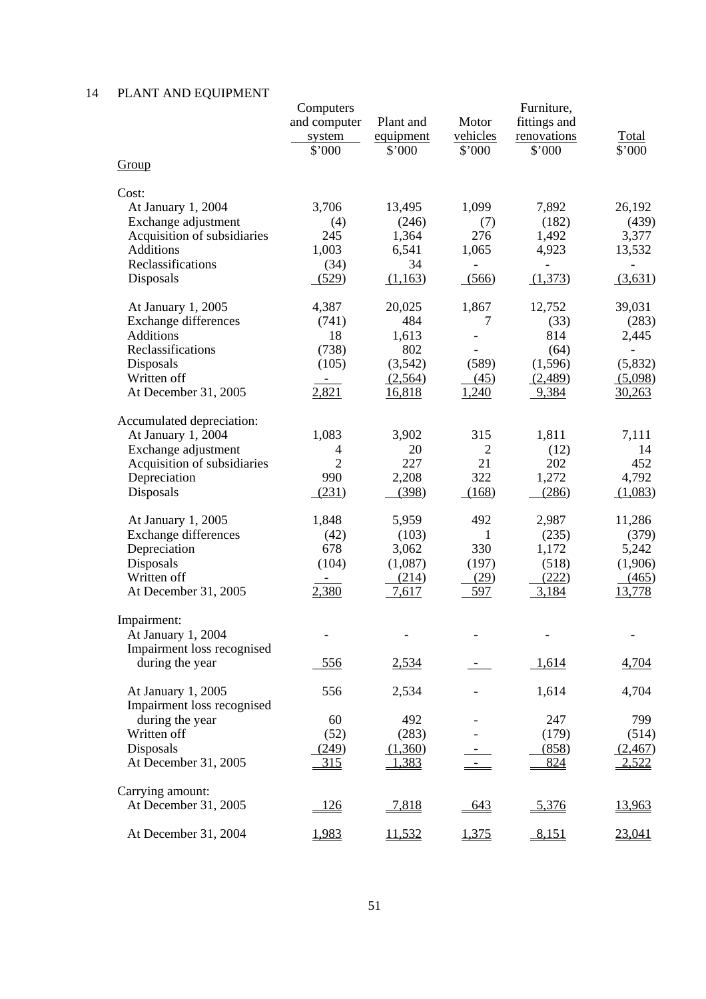# 14 PLANT AND EQUIPMENT

|                                                    | Computers<br>and computer        | Plant and        | Motor                 | Furniture,<br>fittings and |                  |
|----------------------------------------------------|----------------------------------|------------------|-----------------------|----------------------------|------------------|
|                                                    | system                           | equipment        | vehicles              | renovations                | Total            |
|                                                    | \$'000                           | \$'000           | \$'000                | \$'000                     | \$'000           |
| Group                                              |                                  |                  |                       |                            |                  |
| Cost:                                              |                                  |                  |                       |                            |                  |
| At January 1, 2004                                 | 3,706                            | 13,495           | 1,099                 | 7,892                      | 26,192           |
| Exchange adjustment<br>Acquisition of subsidiaries | (4)<br>245                       | (246)<br>1,364   | (7)<br>276            | (182)<br>1,492             | (439)<br>3,377   |
| Additions                                          | 1,003                            | 6,541            | 1,065                 | 4,923                      | 13,532           |
| Reclassifications                                  | (34)                             | 34               |                       | $\overline{\phantom{0}}$   |                  |
| Disposals                                          | (529)                            | (1,163)          | (566)                 | (1,373)                    | (3,631)          |
| At January 1, 2005                                 | 4,387                            | 20,025           | 1,867                 | 12,752                     | 39,031           |
| <b>Exchange differences</b>                        | (741)                            | 484              | 7                     | (33)                       | (283)            |
| <b>Additions</b>                                   | 18                               | 1,613            |                       | 814                        | 2,445            |
| Reclassifications                                  | (738)                            | 802              |                       | (64)                       |                  |
| Disposals                                          | (105)                            | (3,542)          | (589)                 | (1, 596)                   | (5,832)          |
| Written off                                        | $\overline{\phantom{a}}$         | (2,564)          | (45)                  | (2,489)                    | (5,098)          |
| At December 31, 2005                               | 2,821                            | 16,818           | 1,240                 | 9,384                      | 30,263           |
| Accumulated depreciation:                          |                                  |                  |                       |                            |                  |
| At January 1, 2004                                 | 1,083                            | 3,902            | 315<br>$\overline{2}$ | 1,811                      | 7,111            |
| Exchange adjustment<br>Acquisition of subsidiaries | $\overline{4}$<br>$\overline{2}$ | 20<br>227        | 21                    | (12)<br>202                | 14<br>452        |
| Depreciation                                       | 990                              | 2,208            | 322                   | 1,272                      | 4,792            |
| Disposals                                          | (231)                            | (398)            | (168)                 | (286)                      | (1,083)          |
| At January 1, 2005                                 | 1,848                            | 5,959            | 492                   | 2,987                      | 11,286           |
| <b>Exchange differences</b>                        | (42)                             | (103)            | 1                     | (235)                      | (379)            |
| Depreciation                                       | 678                              | 3,062            | 330                   | 1,172                      | 5,242            |
| Disposals                                          | (104)                            | (1,087)          | (197)                 | (518)                      | (1,906)          |
| Written off                                        |                                  | (214)            | (29)                  | (222)                      | (465)            |
| At December 31, 2005                               | 2,380                            | 7,617            | 597                   | 3,184                      | 13,778           |
| Impairment:                                        |                                  |                  |                       |                            |                  |
| At January 1, 2004<br>Impairment loss recognised   |                                  |                  |                       |                            |                  |
| during the year                                    | 556                              | 2,534            |                       | 1,614                      | 4,704            |
| At January 1, 2005                                 | 556                              | 2,534            |                       | 1,614                      | 4,704            |
| Impairment loss recognised                         |                                  |                  |                       |                            |                  |
| during the year                                    | 60                               | 492              |                       | 247                        | 799              |
| Written off                                        | (52)                             | (283)            |                       | (179)                      | (514)            |
| Disposals<br>At December 31, 2005                  | (249)<br>315                     | (1,360)<br>1,383 |                       | (858)<br>824               | (2,467)<br>2,522 |
|                                                    |                                  |                  |                       |                            |                  |
| Carrying amount:<br>At December 31, 2005           | 126                              | 7,818            | 643                   | 5,376                      | 13,963           |
|                                                    |                                  |                  |                       |                            |                  |
| At December 31, 2004                               | 1,983                            | 11,532           | 1,375                 | 8,151                      | 23,041           |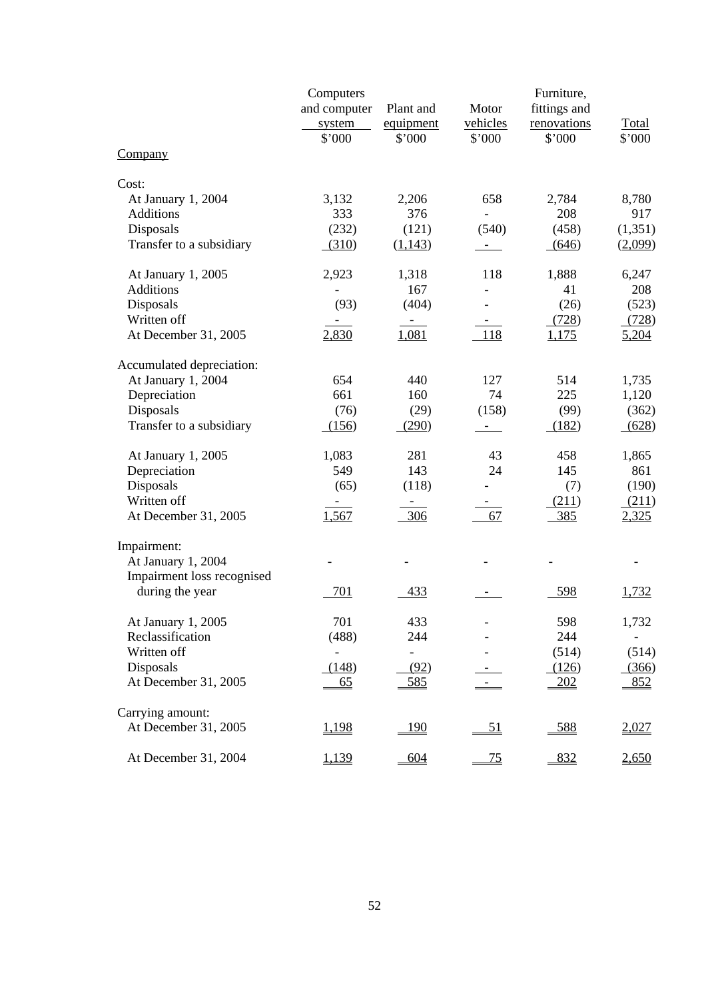|                            | Computers                |                          |                     | Furniture,   |         |
|----------------------------|--------------------------|--------------------------|---------------------|--------------|---------|
|                            | and computer             | Plant and                | Motor               | fittings and |         |
|                            | system                   | equipment                | vehicles            | renovations  | Total   |
|                            | \$'000                   | \$'000                   | \$'000              | \$'000       | \$'000  |
| <b>Company</b>             |                          |                          |                     |              |         |
| Cost:                      |                          |                          |                     |              |         |
| At January 1, 2004         | 3,132                    | 2,206                    | 658                 | 2,784        | 8,780   |
| <b>Additions</b>           | 333                      | 376                      |                     | 208          | 917     |
| Disposals                  | (232)                    | (121)                    | (540)               | (458)        | (1,351) |
| Transfer to a subsidiary   | (310)                    | (1,143)                  |                     | (646)        | (2,099) |
| At January 1, 2005         | 2,923                    | 1,318                    | 118                 | 1,888        | 6,247   |
| <b>Additions</b>           |                          | 167                      |                     | 41           | 208     |
| Disposals                  | (93)                     | (404)                    |                     | (26)         | (523)   |
| Written off                |                          |                          |                     | (728)        | (728)   |
| At December 31, 2005       | 2,830                    | 1,081                    | 118                 | 1,175        | 5,204   |
| Accumulated depreciation:  |                          |                          |                     |              |         |
| At January 1, 2004         | 654                      | 440                      | 127                 | 514          | 1,735   |
| Depreciation               | 661                      | 160                      | 74                  | 225          | 1,120   |
| Disposals                  | (76)                     | (29)                     | (158)               | (99)         | (362)   |
| Transfer to a subsidiary   | (156)                    | (290)                    | $\sigma_{\rm{max}}$ | (182)        | (628)   |
| At January 1, 2005         | 1,083                    | 281                      | 43                  | 458          | 1,865   |
| Depreciation               | 549                      | 143                      | 24                  | 145          | 861     |
| Disposals                  | (65)                     | (118)                    |                     | (7)          | (190)   |
| Written off                | $\overline{\phantom{a}}$ | $\overline{\phantom{a}}$ |                     | (211)        | (211)   |
| At December 31, 2005       | 1,567                    | 306                      | 67                  | 385          | 2,325   |
| Impairment:                |                          |                          |                     |              |         |
| At January 1, 2004         |                          |                          |                     |              |         |
| Impairment loss recognised |                          |                          |                     |              |         |
| during the year            | 701                      | 433                      |                     | 598          | 1,732   |
| At January 1, 2005         | 701                      | 433                      |                     | 598          | 1,732   |
| Reclassification           | (488)                    | 244                      |                     | 244          |         |
| Written off                |                          | $\overline{\phantom{0}}$ |                     | (514)        | (514)   |
| Disposals                  | (148)                    | (92)                     |                     | (126)        | (366)   |
| At December 31, 2005       | 65                       | 585                      |                     | <u>202</u>   | 852     |
| Carrying amount:           |                          |                          |                     |              |         |
| At December 31, 2005       | 1,198                    | 190                      | <u>51</u>           | 588          | 2,027   |
| At December 31, 2004       | 1,139                    | 604                      | 75                  | 832          | 2,650   |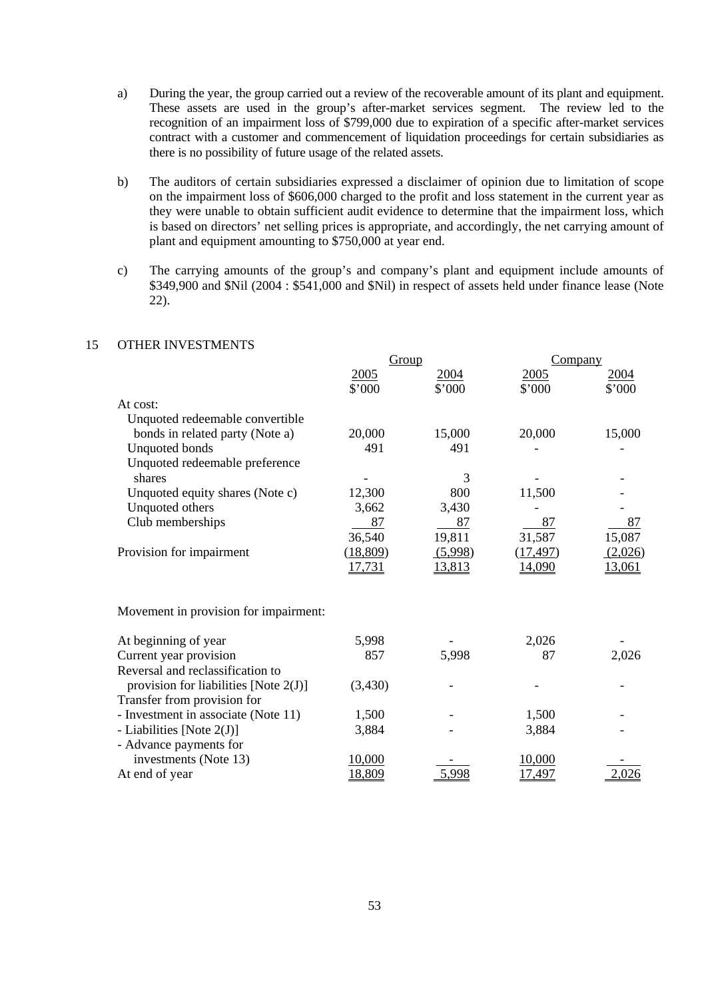- a) During the year, the group carried out a review of the recoverable amount of its plant and equipment. These assets are used in the group's after-market services segment. The review led to the recognition of an impairment loss of \$799,000 due to expiration of a specific after-market services contract with a customer and commencement of liquidation proceedings for certain subsidiaries as there is no possibility of future usage of the related assets.
- b) The auditors of certain subsidiaries expressed a disclaimer of opinion due to limitation of scope on the impairment loss of \$606,000 charged to the profit and loss statement in the current year as they were unable to obtain sufficient audit evidence to determine that the impairment loss, which is based on directors' net selling prices is appropriate, and accordingly, the net carrying amount of plant and equipment amounting to \$750,000 at year end.
- c) The carrying amounts of the group's and company's plant and equipment include amounts of \$349,900 and \$Nil (2004 : \$541,000 and \$Nil) in respect of assets held under finance lease (Note 22).

#### 15 OTHER INVESTMENTS

| Group     |         | Company   |         |
|-----------|---------|-----------|---------|
| 2005      | 2004    | 2005      | 2004    |
| \$'000    | \$'000  | \$'000    | \$'000  |
|           |         |           |         |
|           |         |           |         |
| 20,000    | 15,000  | 20,000    | 15,000  |
| 491       | 491     |           |         |
|           |         |           |         |
|           | 3       |           |         |
| 12,300    | 800     | 11,500    |         |
| 3,662     | 3,430   |           |         |
| 87        | 87      | 87        | 87      |
| 36,540    | 19,811  | 31,587    | 15,087  |
| (18, 809) | (5,998) | (17, 497) | (2,026) |
| 17,731    | 13,813  | 14,090    | 13,061  |
|           |         |           |         |

Movement in provision for impairment:

| 5,998   |       | 2,026  |       |
|---------|-------|--------|-------|
| 857     | 5,998 | 87     | 2,026 |
|         |       |        |       |
| (3,430) |       |        |       |
|         |       |        |       |
| 1,500   |       | 1,500  |       |
| 3,884   |       | 3,884  |       |
|         |       |        |       |
| 10,000  |       | 10,000 |       |
| 18,809  | 5,998 | 17,497 | 2,026 |
|         |       |        |       |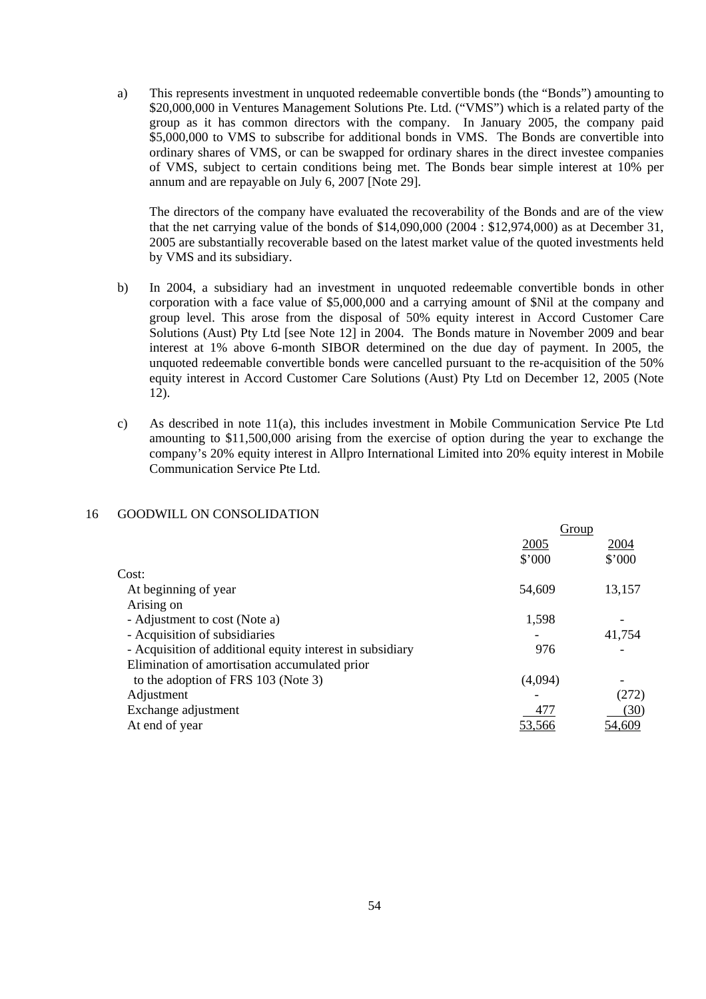a) This represents investment in unquoted redeemable convertible bonds (the "Bonds") amounting to \$20,000,000 in Ventures Management Solutions Pte. Ltd. ("VMS") which is a related party of the group as it has common directors with the company. In January 2005, the company paid \$5,000,000 to VMS to subscribe for additional bonds in VMS. The Bonds are convertible into ordinary shares of VMS, or can be swapped for ordinary shares in the direct investee companies of VMS, subject to certain conditions being met. The Bonds bear simple interest at 10% per annum and are repayable on July 6, 2007 [Note 29].

 The directors of the company have evaluated the recoverability of the Bonds and are of the view that the net carrying value of the bonds of \$14,090,000 (2004 : \$12,974,000) as at December 31, 2005 are substantially recoverable based on the latest market value of the quoted investments held by VMS and its subsidiary.

- b) In 2004, a subsidiary had an investment in unquoted redeemable convertible bonds in other corporation with a face value of \$5,000,000 and a carrying amount of \$Nil at the company and group level. This arose from the disposal of 50% equity interest in Accord Customer Care Solutions (Aust) Pty Ltd [see Note 12] in 2004. The Bonds mature in November 2009 and bear interest at 1% above 6-month SIBOR determined on the due day of payment. In 2005, the unquoted redeemable convertible bonds were cancelled pursuant to the re-acquisition of the 50% equity interest in Accord Customer Care Solutions (Aust) Pty Ltd on December 12, 2005 (Note 12).
- c) As described in note 11(a), this includes investment in Mobile Communication Service Pte Ltd amounting to \$11,500,000 arising from the exercise of option during the year to exchange the company's 20% equity interest in Allpro International Limited into 20% equity interest in Mobile Communication Service Pte Ltd.

## 16 GOODWILL ON CONSOLIDATION

|                                                           | Group          |                |
|-----------------------------------------------------------|----------------|----------------|
|                                                           | 2005<br>\$'000 | 2004<br>\$'000 |
| Cost:                                                     |                |                |
| At beginning of year                                      | 54,609         | 13,157         |
| Arising on                                                |                |                |
| - Adjustment to cost (Note a)                             | 1,598          |                |
| - Acquisition of subsidiaries                             |                | 41,754         |
| - Acquisition of additional equity interest in subsidiary | 976            |                |
| Elimination of amortisation accumulated prior             |                |                |
| to the adoption of FRS 103 (Note 3)                       | (4,094)        |                |
| Adjustment                                                |                | (272)          |
| Exchange adjustment                                       | 477            | (30)           |
| At end of year                                            | 53,566         | 54,609         |
|                                                           |                |                |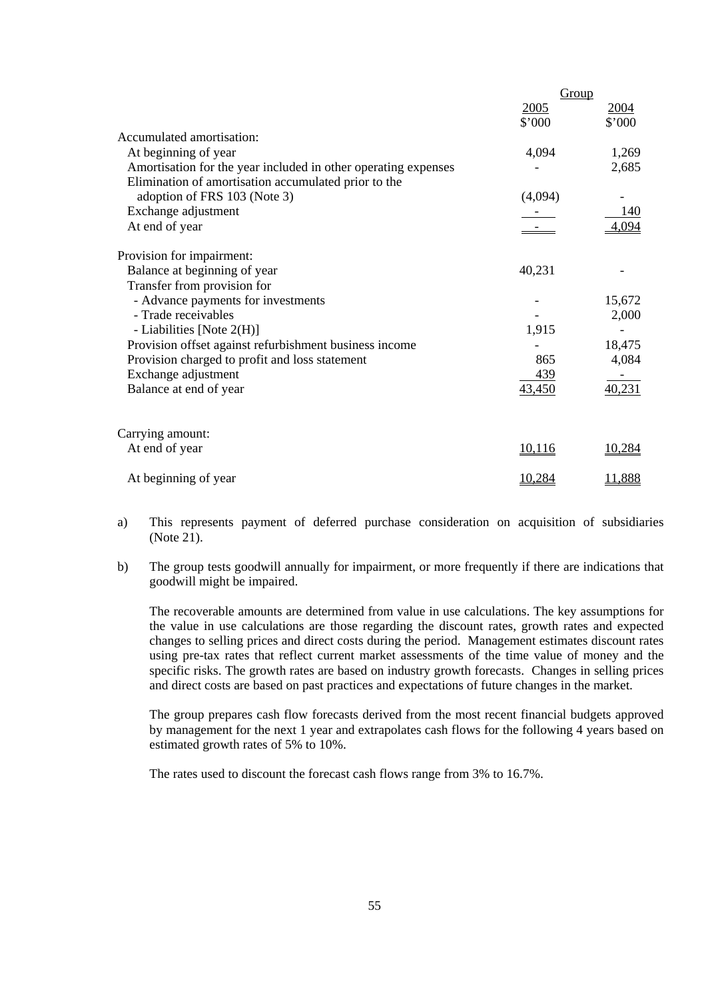|                                                                | Group   |        |
|----------------------------------------------------------------|---------|--------|
|                                                                | 2005    | 2004   |
|                                                                | \$'000  | \$'000 |
| Accumulated amortisation:                                      |         |        |
| At beginning of year                                           | 4,094   | 1,269  |
| Amortisation for the year included in other operating expenses |         | 2,685  |
| Elimination of amortisation accumulated prior to the           |         |        |
| adoption of FRS 103 (Note 3)                                   | (4,094) |        |
| Exchange adjustment                                            |         | 140    |
| At end of year                                                 |         |        |
| Provision for impairment:                                      |         |        |
| Balance at beginning of year                                   | 40,231  |        |
| Transfer from provision for                                    |         |        |
| - Advance payments for investments                             |         | 15,672 |
| - Trade receivables                                            |         | 2,000  |
| - Liabilities [Note 2(H)]                                      | 1,915   |        |
| Provision offset against refurbishment business income         |         | 18,475 |
| Provision charged to profit and loss statement                 | 865     | 4,084  |
| Exchange adjustment                                            | 439     |        |
| Balance at end of year                                         | 43,450  | 40,231 |
| Carrying amount:                                               |         |        |
| At end of year                                                 | 10,116  | 10,284 |
| At beginning of year                                           | 10,284  | 11,888 |

- a) This represents payment of deferred purchase consideration on acquisition of subsidiaries (Note 21).
- b) The group tests goodwill annually for impairment, or more frequently if there are indications that goodwill might be impaired.

 The recoverable amounts are determined from value in use calculations. The key assumptions for the value in use calculations are those regarding the discount rates, growth rates and expected changes to selling prices and direct costs during the period. Management estimates discount rates using pre-tax rates that reflect current market assessments of the time value of money and the specific risks. The growth rates are based on industry growth forecasts. Changes in selling prices and direct costs are based on past practices and expectations of future changes in the market.

The group prepares cash flow forecasts derived from the most recent financial budgets approved by management for the next 1 year and extrapolates cash flows for the following 4 years based on estimated growth rates of 5% to 10%.

The rates used to discount the forecast cash flows range from 3% to 16.7%.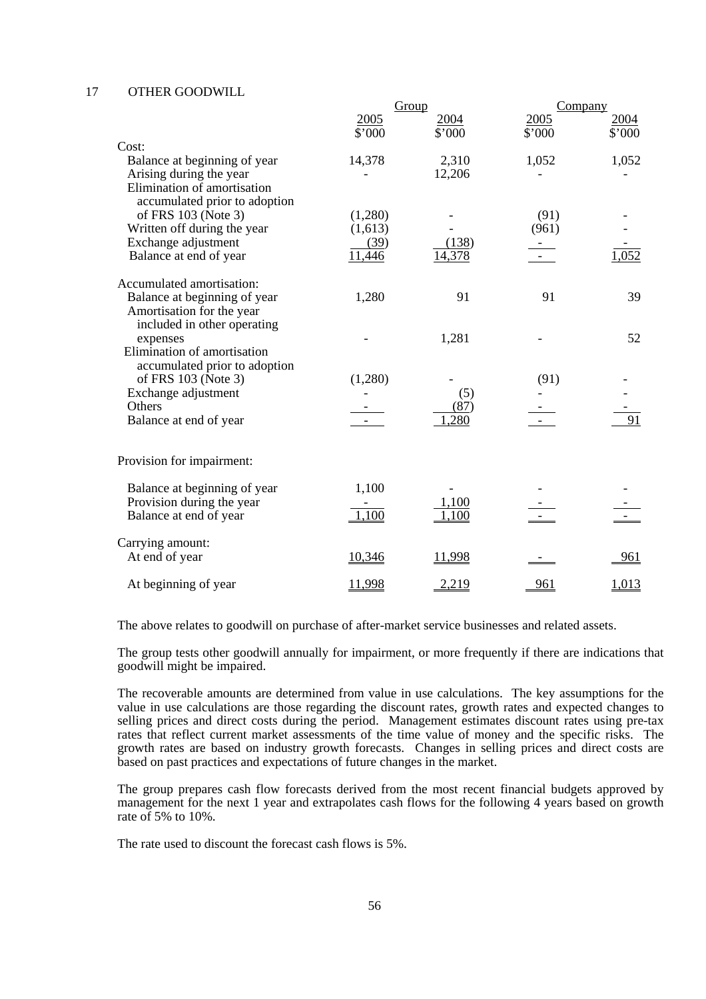### 17 OTHER GOODWILL

|        |                                                                                       | Company                                                                            |                                              |
|--------|---------------------------------------------------------------------------------------|------------------------------------------------------------------------------------|----------------------------------------------|
| 2005   | 2004                                                                                  | 2005                                                                               | 2004<br>\$'000                               |
|        |                                                                                       |                                                                                    |                                              |
| 14,378 | 2,310                                                                                 | 1,052                                                                              | 1,052                                        |
|        | 12,206                                                                                |                                                                                    |                                              |
|        |                                                                                       |                                                                                    |                                              |
|        |                                                                                       |                                                                                    |                                              |
|        |                                                                                       |                                                                                    |                                              |
|        |                                                                                       |                                                                                    |                                              |
|        |                                                                                       |                                                                                    |                                              |
|        |                                                                                       |                                                                                    | ,052                                         |
|        |                                                                                       |                                                                                    |                                              |
|        |                                                                                       |                                                                                    | 39                                           |
|        |                                                                                       |                                                                                    |                                              |
|        |                                                                                       |                                                                                    |                                              |
|        |                                                                                       |                                                                                    | 52                                           |
|        |                                                                                       |                                                                                    |                                              |
|        |                                                                                       |                                                                                    |                                              |
|        |                                                                                       |                                                                                    |                                              |
|        |                                                                                       |                                                                                    |                                              |
|        |                                                                                       |                                                                                    | 91                                           |
|        |                                                                                       |                                                                                    |                                              |
|        |                                                                                       |                                                                                    |                                              |
|        |                                                                                       |                                                                                    |                                              |
|        | 1,100                                                                                 |                                                                                    |                                              |
| 1,100  | 1,100                                                                                 |                                                                                    |                                              |
|        |                                                                                       |                                                                                    |                                              |
| 10,346 | 11,998                                                                                |                                                                                    | <u>961</u>                                   |
|        |                                                                                       |                                                                                    | 1,013                                        |
|        | \$'000<br>(1,280)<br>(1,613)<br>(39)<br>11,446<br>1,280<br>(1,280)<br>1,100<br>11,998 | Group<br>\$'000<br>(138)<br>14,378<br>91<br>1,281<br>(5)<br>(87)<br>1,280<br>2,219 | \$'000<br>(91)<br>(961)<br>91<br>(91)<br>961 |

The above relates to goodwill on purchase of after-market service businesses and related assets.

The group tests other goodwill annually for impairment, or more frequently if there are indications that goodwill might be impaired.

The recoverable amounts are determined from value in use calculations. The key assumptions for the value in use calculations are those regarding the discount rates, growth rates and expected changes to selling prices and direct costs during the period. Management estimates discount rates using pre-tax rates that reflect current market assessments of the time value of money and the specific risks. The growth rates are based on industry growth forecasts. Changes in selling prices and direct costs are based on past practices and expectations of future changes in the market.

The group prepares cash flow forecasts derived from the most recent financial budgets approved by management for the next 1 year and extrapolates cash flows for the following 4 years based on growth rate of 5% to 10%.

The rate used to discount the forecast cash flows is 5%.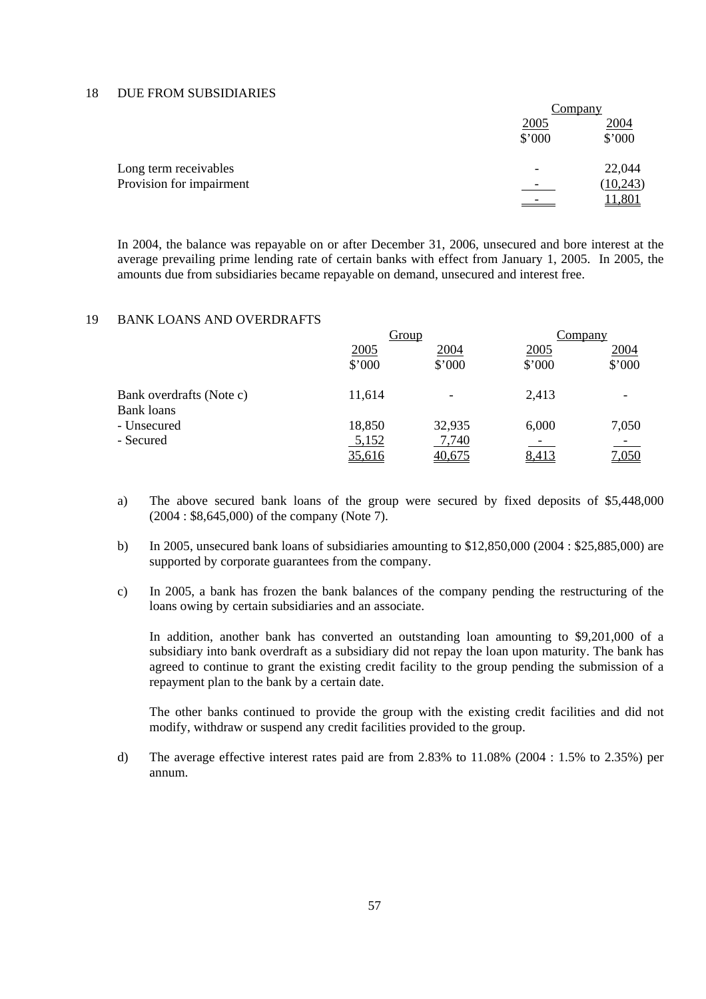#### 18 DUE FROM SUBSIDIARIES

|                          |                       | Company        |
|--------------------------|-----------------------|----------------|
|                          | <u>2005</u><br>\$'000 | 2004<br>\$'000 |
| Long term receivables    |                       | 22,044         |
| Provision for impairment |                       | (10, 243)      |
|                          |                       | 1,801          |

In 2004, the balance was repayable on or after December 31, 2006, unsecured and bore interest at the average prevailing prime lending rate of certain banks with effect from January 1, 2005. In 2005, the amounts due from subsidiaries became repayable on demand, unsecured and interest free.

#### 19 BANK LOANS AND OVERDRAFTS

|                                               | Group          |                | Company        |                |
|-----------------------------------------------|----------------|----------------|----------------|----------------|
|                                               | 2005<br>\$'000 | 2004<br>\$'000 | 2005<br>\$'000 | 2004<br>\$'000 |
| Bank overdrafts (Note c)<br><b>Bank</b> loans | 11,614         |                | 2,413          |                |
| - Unsecured                                   | 18,850         | 32,935         | 6,000          | 7,050          |
| - Secured                                     | 5,152          | 7,740          |                |                |
|                                               | 35,616         | 40,675         | 8,413          | 7,050          |

- a) The above secured bank loans of the group were secured by fixed deposits of \$5,448,000 (2004 : \$8,645,000) of the company (Note 7).
- b) In 2005, unsecured bank loans of subsidiaries amounting to \$12,850,000 (2004 : \$25,885,000) are supported by corporate guarantees from the company.
- c) In 2005, a bank has frozen the bank balances of the company pending the restructuring of the loans owing by certain subsidiaries and an associate.

 In addition, another bank has converted an outstanding loan amounting to \$9,201,000 of a subsidiary into bank overdraft as a subsidiary did not repay the loan upon maturity. The bank has agreed to continue to grant the existing credit facility to the group pending the submission of a repayment plan to the bank by a certain date.

 The other banks continued to provide the group with the existing credit facilities and did not modify, withdraw or suspend any credit facilities provided to the group.

d) The average effective interest rates paid are from 2.83% to 11.08% (2004 : 1.5% to 2.35%) per annum.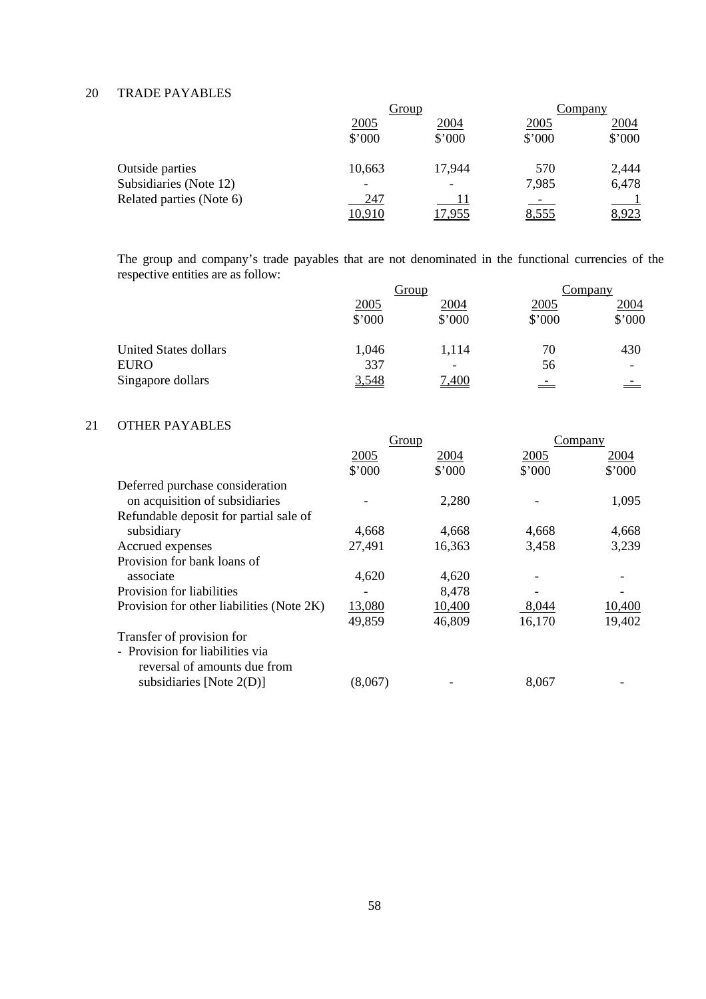# 20 TRADE PAYABLES

|                          | Group                    |                     | Company        |                |
|--------------------------|--------------------------|---------------------|----------------|----------------|
|                          | 2005<br>\$'000           | 2004<br>\$'000      | 2005<br>\$'000 | 2004<br>\$'000 |
| Outside parties          | 10,663                   | 17,944              | 570            | 2,444          |
| Subsidiaries (Note 12)   | $\overline{\phantom{a}}$ |                     | 7,985          | 6,478          |
| Related parties (Note 6) | 247<br>10,910            | <u>11</u><br>17.955 | 8,555          | 8,923          |

The group and company's trade payables that are not denominated in the functional currencies of the respective entities are as follow:

|                       | Group  |        | Company             |                          |
|-----------------------|--------|--------|---------------------|--------------------------|
|                       | 2005   | 2004   | 2005                | 2004                     |
|                       | \$'000 | \$'000 | \$'000              | \$'000                   |
| United States dollars | 1,046  | 1,114  | 70                  | 430                      |
| <b>EURO</b>           | 337    | -      | 56                  | $\overline{\phantom{a}}$ |
| Singapore dollars     | 3,548  | 400    | $\hspace{0.05cm} =$ |                          |

# 21 OTHER PAYABLES

|                                                                 | Group   |        |        | Company |  |
|-----------------------------------------------------------------|---------|--------|--------|---------|--|
|                                                                 | 2005    | 2004   | 2005   | 2004    |  |
|                                                                 | \$'000  | \$'000 | \$'000 | \$'000  |  |
| Deferred purchase consideration                                 |         |        |        |         |  |
| on acquisition of subsidiaries                                  |         | 2,280  |        | 1,095   |  |
| Refundable deposit for partial sale of                          |         |        |        |         |  |
| subsidiary                                                      | 4,668   | 4,668  | 4,668  | 4,668   |  |
| Accrued expenses                                                | 27,491  | 16,363 | 3,458  | 3,239   |  |
| Provision for bank loans of                                     |         |        |        |         |  |
| associate                                                       | 4,620   | 4,620  |        |         |  |
| Provision for liabilities                                       |         | 8,478  |        |         |  |
| Provision for other liabilities (Note 2K)                       | 13,080  | 10,400 | 8,044  | 10,400  |  |
|                                                                 | 49,859  | 46,809 | 16,170 | 19,402  |  |
| Transfer of provision for                                       |         |        |        |         |  |
| - Provision for liabilities via<br>reversal of amounts due from |         |        |        |         |  |
| subsidiaries [Note $2(D)$ ]                                     | (8,067) |        | 8,067  |         |  |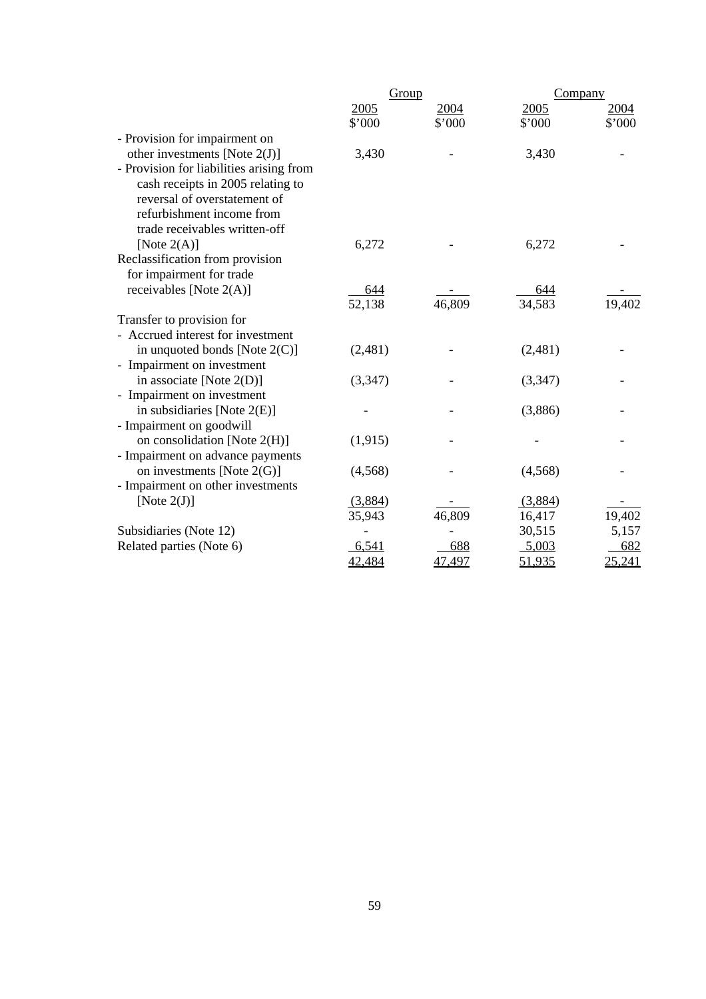|                                                                                                               | Group    |        | Company       |        |
|---------------------------------------------------------------------------------------------------------------|----------|--------|---------------|--------|
|                                                                                                               | 2005     | 2004   | 2005          | 2004   |
|                                                                                                               | \$'000   | \$'000 | \$'000        | \$'000 |
| - Provision for impairment on                                                                                 |          |        |               |        |
| other investments [Note 2(J)]                                                                                 | 3,430    |        | 3,430         |        |
| - Provision for liabilities arising from<br>cash receipts in 2005 relating to<br>reversal of overstatement of |          |        |               |        |
| refurbishment income from                                                                                     |          |        |               |        |
| trade receivables written-off                                                                                 |          |        |               |        |
| [Note $2(A)$ ]                                                                                                | 6,272    |        | 6,272         |        |
| Reclassification from provision                                                                               |          |        |               |        |
| for impairment for trade                                                                                      |          |        |               |        |
| receivables [Note $2(A)$ ]                                                                                    | 644      |        | 644           |        |
|                                                                                                               | 52,138   | 46,809 | 34,583        | 19,402 |
| Transfer to provision for                                                                                     |          |        |               |        |
| - Accrued interest for investment                                                                             |          |        |               |        |
| in unquoted bonds [Note $2(C)$ ]                                                                              | (2,481)  |        | (2,481)       |        |
| - Impairment on investment                                                                                    |          |        |               |        |
| in associate [Note $2(D)$ ]                                                                                   | (3, 347) |        | (3, 347)      |        |
| - Impairment on investment                                                                                    |          |        |               |        |
| in subsidiaries [Note 2(E)]                                                                                   |          |        | (3,886)       |        |
| - Impairment on goodwill                                                                                      |          |        |               |        |
| on consolidation [Note 2(H)]                                                                                  | (1, 915) |        |               |        |
| - Impairment on advance payments                                                                              |          |        |               |        |
| on investments [Note $2(G)$ ]                                                                                 | (4,568)  |        | (4,568)       |        |
| - Impairment on other investments                                                                             |          |        |               |        |
| [Note $2(J)$ ]                                                                                                | (3,884)  |        | (3,884)       |        |
|                                                                                                               | 35,943   | 46,809 | 16,417        | 19,402 |
| Subsidiaries (Note 12)                                                                                        |          |        | 30,515        | 5,157  |
| Related parties (Note 6)                                                                                      | 6,541    | 688    | 5,003         | 682    |
|                                                                                                               | 42,484   | 47,497 | <u>51,935</u> | 25,241 |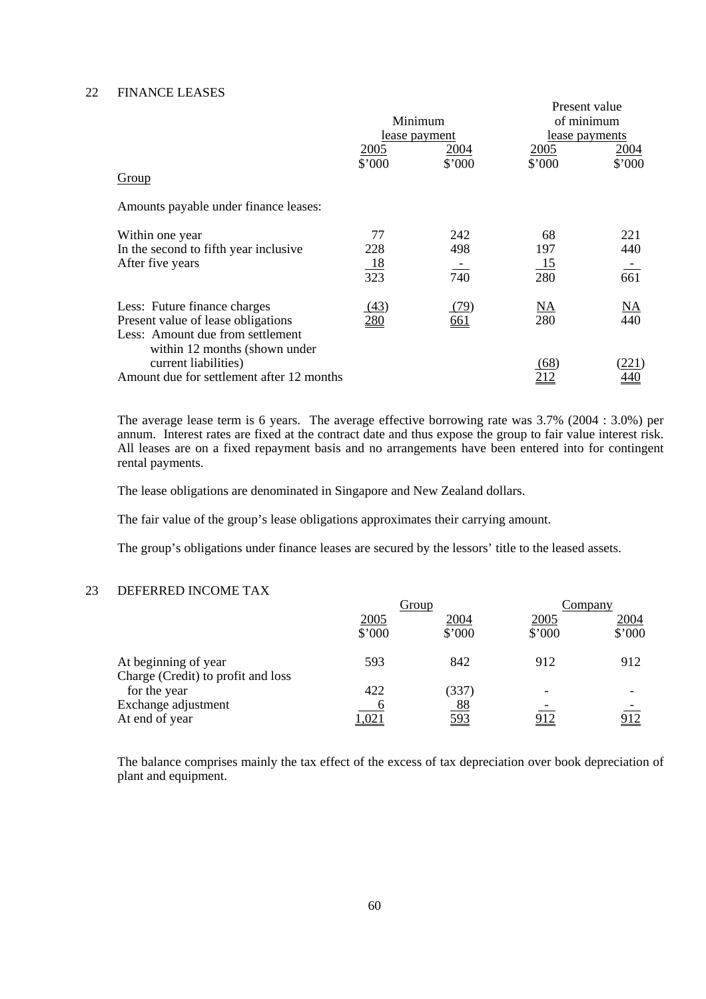## 22 FINANCE LEASES

|                                                                   |             |                      |                           | Present value         |
|-------------------------------------------------------------------|-------------|----------------------|---------------------------|-----------------------|
|                                                                   |             | Minimum              |                           | of minimum            |
|                                                                   |             | <u>lease payment</u> |                           | <u>lease payments</u> |
|                                                                   | <u>2005</u> | 2004                 | 2005                      | 2004                  |
|                                                                   | \$'000      | \$'000               | \$'000                    | $$^{\circ}000$        |
| <b>Group</b>                                                      |             |                      |                           |                       |
| Amounts payable under finance leases:                             |             |                      |                           |                       |
| Within one year                                                   | 77          | 242                  | 68                        | 221                   |
| In the second to fifth year inclusive                             | 228         | 498                  | 197                       | 440                   |
| After five years                                                  | <u>18</u>   |                      | <u> 15</u>                |                       |
|                                                                   | 323         | 740                  | 280                       | 661                   |
| Less: Future finance charges                                      | (43)        | (79)                 | $\underline{\mathbf{NA}}$ | <u>NA</u>             |
| Present value of lease obligations                                | 280         | <u>661</u>           | 280                       | 440                   |
| Less: Amount due from settlement<br>within 12 months (shown under |             |                      |                           |                       |
| current liabilities)                                              |             |                      | (68)                      |                       |
| Amount due for settlement after 12 months                         |             |                      |                           |                       |

 The average lease term is 6 years. The average effective borrowing rate was 3.7% (2004 : 3.0%) per annum. Interest rates are fixed at the contract date and thus expose the group to fair value interest risk. All leases are on a fixed repayment basis and no arrangements have been entered into for contingent rental payments.

The lease obligations are denominated in Singapore and New Zealand dollars.

The fair value of the group's lease obligations approximates their carrying amount.

The group's obligations under finance leases are secured by the lessors' title to the leased assets.

# 23 DEFERRED INCOME TAX

|                                                            | Group          |                  | Company        |                |
|------------------------------------------------------------|----------------|------------------|----------------|----------------|
|                                                            | 2005<br>\$'000 | 2004<br>\$'000   | 2005<br>\$'000 | 2004<br>\$'000 |
| At beginning of year<br>Charge (Credit) to profit and loss | 593            | 842              | 912            | 912            |
| for the year                                               | 422            | (337)            |                |                |
| Exchange adjustment<br>At end of year                      | <u>021,</u>    | <u>88</u><br>593 |                |                |

 The balance comprises mainly the tax effect of the excess of tax depreciation over book depreciation of plant and equipment.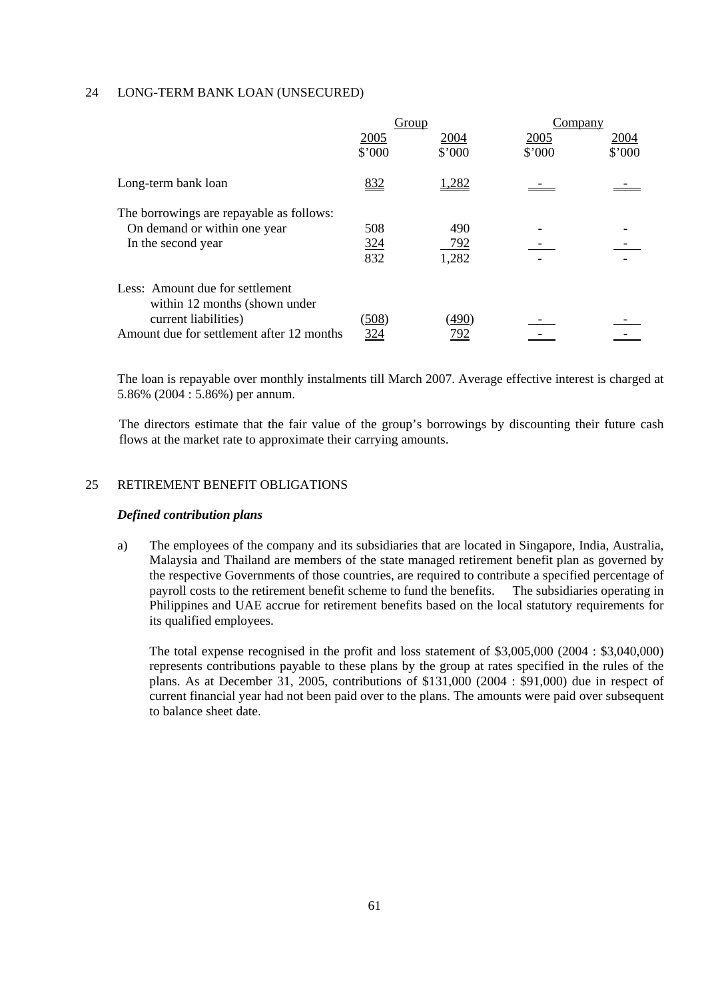# 24 LONG-TERM BANK LOAN (UNSECURED)

|                                           | Group      |        | Company |        |
|-------------------------------------------|------------|--------|---------|--------|
|                                           | 2005       | 2004   | 2005    | 2004   |
|                                           | \$'000     | \$'000 | \$'000  | \$'000 |
| Long-term bank loan                       | 832        | 1,282  |         |        |
| The borrowings are repayable as follows:  |            |        |         |        |
| On demand or within one year              | 508        | 490    |         |        |
| In the second year                        | 324        | 792    |         |        |
|                                           | 832        | 1,282  |         |        |
| Less: Amount due for settlement           |            |        |         |        |
| within 12 months (shown under             |            |        |         |        |
| current liabilities)                      | (508)      | 490)   |         |        |
| Amount due for settlement after 12 months | <u>324</u> | 792    |         |        |

 The loan is repayable over monthly instalments till March 2007. Average effective interest is charged at 5.86% (2004 : 5.86%) per annum.

The directors estimate that the fair value of the group's borrowings by discounting their future cash flows at the market rate to approximate their carrying amounts.

## 25 RETIREMENT BENEFIT OBLIGATIONS

#### *Defined contribution plans*

a) The employees of the company and its subsidiaries that are located in Singapore, India, Australia, Malaysia and Thailand are members of the state managed retirement benefit plan as governed by the respective Governments of those countries, are required to contribute a specified percentage of payroll costs to the retirement benefit scheme to fund the benefits. The subsidiaries operating in Philippines and UAE accrue for retirement benefits based on the local statutory requirements for its qualified employees.

 The total expense recognised in the profit and loss statement of \$3,005,000 (2004 : \$3,040,000) represents contributions payable to these plans by the group at rates specified in the rules of the plans. As at December 31, 2005, contributions of \$131,000 (2004 : \$91,000) due in respect of current financial year had not been paid over to the plans. The amounts were paid over subsequent to balance sheet date.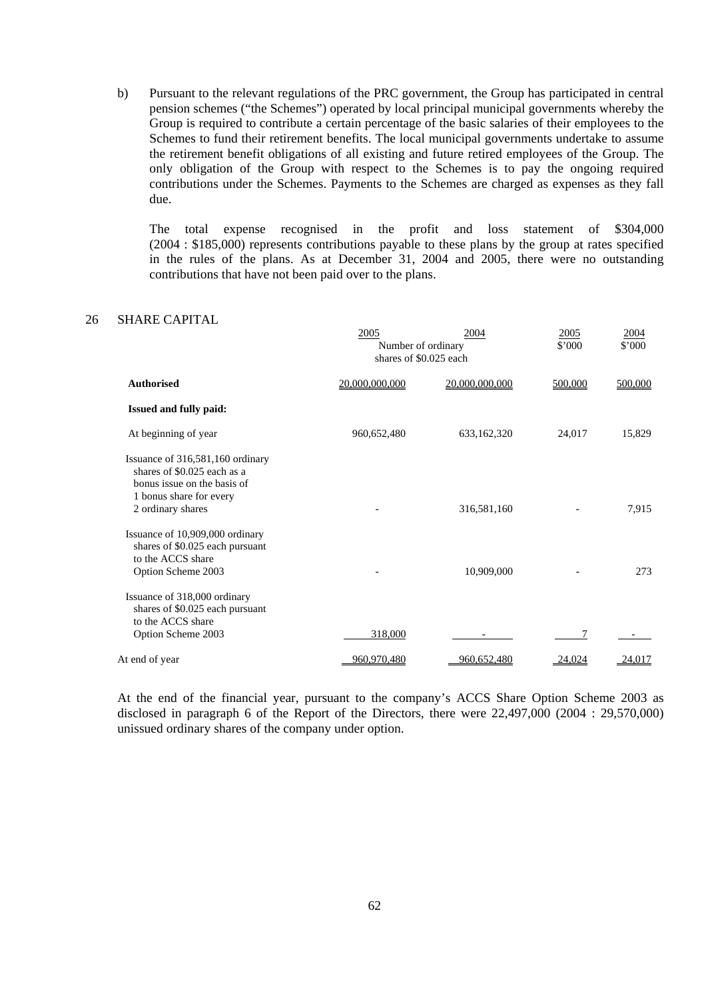b) Pursuant to the relevant regulations of the PRC government, the Group has participated in central pension schemes ("the Schemes") operated by local principal municipal governments whereby the Group is required to contribute a certain percentage of the basic salaries of their employees to the Schemes to fund their retirement benefits. The local municipal governments undertake to assume the retirement benefit obligations of all existing and future retired employees of the Group. The only obligation of the Group with respect to the Schemes is to pay the ongoing required contributions under the Schemes. Payments to the Schemes are charged as expenses as they fall due.

 The total expense recognised in the profit and loss statement of \$304,000 (2004 : \$185,000) represents contributions payable to these plans by the group at rates specified in the rules of the plans. As at December 31, 2004 and 2005, there were no outstanding contributions that have not been paid over to the plans.

#### 26 SHARE CAPITAL

|                                                                                                                                                | 2005<br>2004<br>Number of ordinary<br>shares of \$0.025 each |                | 2005<br>\$'000 | 2004<br>\$'000 |  |
|------------------------------------------------------------------------------------------------------------------------------------------------|--------------------------------------------------------------|----------------|----------------|----------------|--|
| <b>Authorised</b>                                                                                                                              | 20,000,000,000                                               | 20,000,000,000 | 500,000        | 500,000        |  |
| Issued and fully paid:                                                                                                                         |                                                              |                |                |                |  |
| At beginning of year                                                                                                                           | 960,652,480                                                  | 633,162,320    | 24,017         | 15,829         |  |
| Issuance of 316,581,160 ordinary<br>shares of \$0.025 each as a<br>bonus issue on the basis of<br>1 bonus share for every<br>2 ordinary shares |                                                              | 316,581,160    |                | 7,915          |  |
| Issuance of 10,909,000 ordinary<br>shares of \$0.025 each pursuant<br>to the ACCS share<br>Option Scheme 2003                                  |                                                              | 10,909,000     |                | 273            |  |
| Issuance of 318,000 ordinary<br>shares of \$0.025 each pursuant<br>to the ACCS share<br>Option Scheme 2003                                     | 318,000                                                      |                |                |                |  |
| At end of year                                                                                                                                 | 960,970,480                                                  | 960,652,480    | 24.024         |                |  |

 At the end of the financial year, pursuant to the company's ACCS Share Option Scheme 2003 as disclosed in paragraph 6 of the Report of the Directors, there were 22,497,000 (2004 : 29,570,000) unissued ordinary shares of the company under option.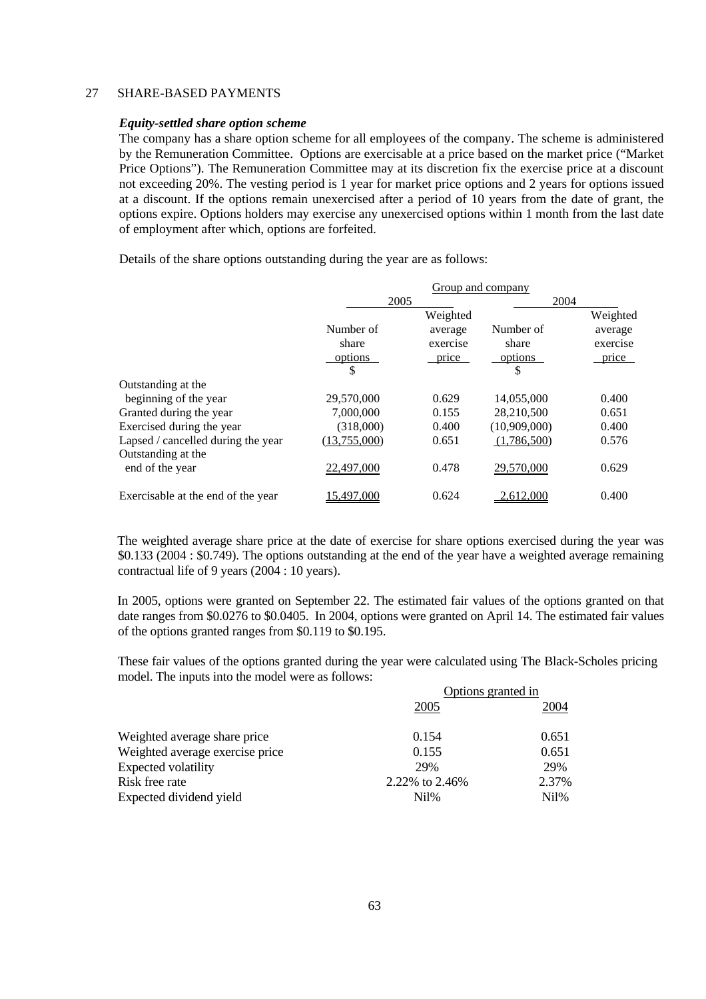#### 27 SHARE-BASED PAYMENTS

#### *Equity-settled share option scheme*

The company has a share option scheme for all employees of the company. The scheme is administered by the Remuneration Committee. Options are exercisable at a price based on the market price ("Market Price Options"). The Remuneration Committee may at its discretion fix the exercise price at a discount not exceeding 20%. The vesting period is 1 year for market price options and 2 years for options issued at a discount. If the options remain unexercised after a period of 10 years from the date of grant, the options expire. Options holders may exercise any unexercised options within 1 month from the last date of employment after which, options are forfeited.

Details of the share options outstanding during the year are as follows:

|                                    | Group and company |          |              |          |
|------------------------------------|-------------------|----------|--------------|----------|
|                                    | 2005              |          | 2004         |          |
|                                    |                   | Weighted |              | Weighted |
|                                    | Number of         | average  | Number of    | average  |
|                                    | share             | exercise | share        | exercise |
|                                    | options           | price    | options      | price    |
|                                    | \$                |          | \$           |          |
| Outstanding at the                 |                   |          |              |          |
| beginning of the year              | 29,570,000        | 0.629    | 14,055,000   | 0.400    |
| Granted during the year            | 7,000,000         | 0.155    | 28.210.500   | 0.651    |
| Exercised during the year          | (318,000)         | 0.400    | (10,909,000) | 0.400    |
| Lapsed / cancelled during the year | (13,755,000)      | 0.651    | (1,786,500)  | 0.576    |
| Outstanding at the                 |                   |          |              |          |
| end of the year                    | 22,497,000        | 0.478    | 29,570,000   | 0.629    |
| Exercisable at the end of the year | 15.497.000        | 0.624    | 2.612.000    | 0.400    |

 The weighted average share price at the date of exercise for share options exercised during the year was \$0.133 (2004 : \$0.749). The options outstanding at the end of the year have a weighted average remaining contractual life of 9 years (2004 : 10 years).

 In 2005, options were granted on September 22. The estimated fair values of the options granted on that date ranges from \$0.0276 to \$0.0405. In 2004, options were granted on April 14. The estimated fair values of the options granted ranges from \$0.119 to \$0.195.

These fair values of the options granted during the year were calculated using The Black-Scholes pricing model. The inputs into the model were as follows:  $\overline{a}$  in the set of  $\overline{a}$ 

|                                 | Options granted in |       |  |
|---------------------------------|--------------------|-------|--|
|                                 | 2005               | 2004  |  |
| Weighted average share price    | 0.154              | 0.651 |  |
| Weighted average exercise price | 0.155              | 0.651 |  |
| <b>Expected volatility</b>      | 29%                | 29%   |  |
| Risk free rate                  | 2.22% to 2.46%     | 2.37% |  |
| Expected dividend yield         | Nil%               | Nil%  |  |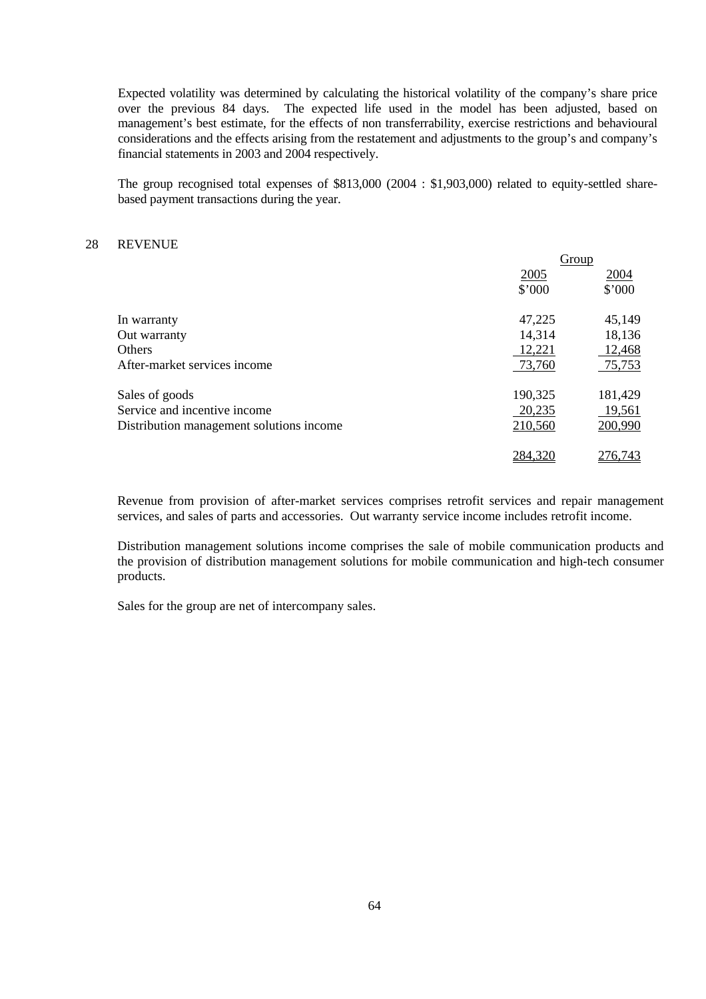Expected volatility was determined by calculating the historical volatility of the company's share price over the previous 84 days. The expected life used in the model has been adjusted, based on management's best estimate, for the effects of non transferrability, exercise restrictions and behavioural considerations and the effects arising from the restatement and adjustments to the group's and company's financial statements in 2003 and 2004 respectively.

The group recognised total expenses of \$813,000 (2004 : \$1,903,000) related to equity-settled sharebased payment transactions during the year.

### 28 REVENUE

|                                          | Group   |         |
|------------------------------------------|---------|---------|
|                                          | 2005    | 2004    |
|                                          | \$'000  | \$'000  |
| In warranty                              | 47,225  | 45,149  |
| Out warranty                             | 14,314  | 18,136  |
| <b>Others</b>                            | 12,221  | 12,468  |
| After-market services income             | 73,760  | 75,753  |
| Sales of goods                           | 190,325 | 181,429 |
| Service and incentive income             | 20,235  | 19,561  |
| Distribution management solutions income | 210,560 | 200,990 |
|                                          | 284,320 | 276.743 |

 Revenue from provision of after-market services comprises retrofit services and repair management services, and sales of parts and accessories. Out warranty service income includes retrofit income.

 Distribution management solutions income comprises the sale of mobile communication products and the provision of distribution management solutions for mobile communication and high-tech consumer products.

Sales for the group are net of intercompany sales.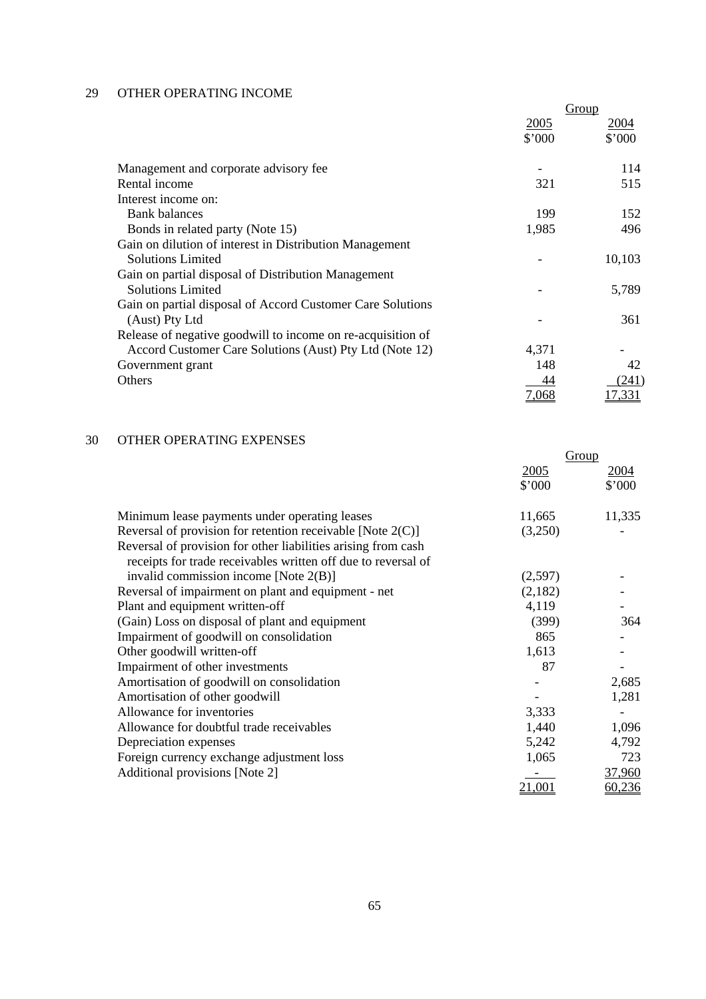# 29 OTHER OPERATING INCOME

|                                                             | Group  |                |
|-------------------------------------------------------------|--------|----------------|
|                                                             | 2005   | 2004           |
|                                                             | \$'000 | $$^{\circ}000$ |
| Management and corporate advisory fee.                      |        | 114            |
| Rental income                                               | 321    | 515            |
| Interest income on:                                         |        |                |
| <b>Bank balances</b>                                        | 199    | 152            |
| Bonds in related party (Note 15)                            | 1,985  | 496            |
| Gain on dilution of interest in Distribution Management     |        |                |
| Solutions Limited                                           |        | 10,103         |
| Gain on partial disposal of Distribution Management         |        |                |
| Solutions Limited                                           |        | 5,789          |
| Gain on partial disposal of Accord Customer Care Solutions  |        |                |
| (Aust) Pty Ltd                                              |        | 361            |
| Release of negative goodwill to income on re-acquisition of |        |                |
| Accord Customer Care Solutions (Aust) Pty Ltd (Note 12)     | 4,371  |                |
| Government grant                                            | 148    | 42             |
| Others                                                      | 44     | (241)          |
|                                                             | 7,068  | 17.331         |

# 30 OTHER OPERATING EXPENSES

|                                                                                                                                |                | Group          |
|--------------------------------------------------------------------------------------------------------------------------------|----------------|----------------|
|                                                                                                                                | 2005<br>\$'000 | 2004<br>\$'000 |
| Minimum lease payments under operating leases                                                                                  | 11,665         | 11,335         |
| Reversal of provision for retention receivable [Note $2(C)$ ]                                                                  | (3,250)        |                |
| Reversal of provision for other liabilities arising from cash<br>receipts for trade receivables written off due to reversal of |                |                |
| invalid commission income [Note 2(B)]                                                                                          | (2,597)        |                |
| Reversal of impairment on plant and equipment - net                                                                            | (2,182)        |                |
| Plant and equipment written-off                                                                                                | 4,119          |                |
| (Gain) Loss on disposal of plant and equipment                                                                                 | (399)          | 364            |
| Impairment of goodwill on consolidation                                                                                        | 865            |                |
| Other goodwill written-off                                                                                                     | 1,613          |                |
| Impairment of other investments                                                                                                | 87             |                |
| Amortisation of goodwill on consolidation                                                                                      |                | 2,685          |
| Amortisation of other goodwill                                                                                                 |                | 1,281          |
| Allowance for inventories                                                                                                      | 3,333          |                |
| Allowance for doubtful trade receivables                                                                                       | 1,440          | 1,096          |
| Depreciation expenses                                                                                                          | 5,242          | 4,792          |
| Foreign currency exchange adjustment loss                                                                                      | 1,065          | 723            |
| Additional provisions [Note 2]                                                                                                 |                | 37,960         |
|                                                                                                                                | 21,001         | 60,236         |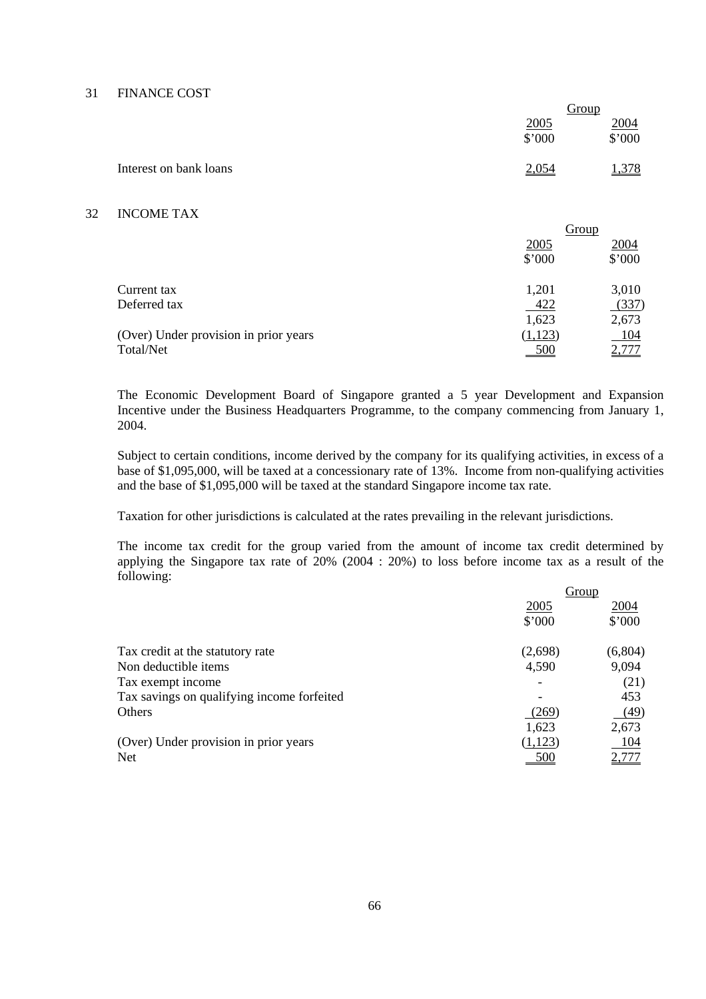#### 31 FINANCE COST

|    |                                       | Group          |                |
|----|---------------------------------------|----------------|----------------|
|    |                                       | 2005<br>\$'000 | 2004<br>\$'000 |
|    | Interest on bank loans                | 2,054          | 1,378          |
|    |                                       |                |                |
| 32 | <b>INCOME TAX</b>                     |                |                |
|    |                                       | Group          |                |
|    |                                       | 2005           | 2004           |
|    |                                       | \$'000         | \$'000         |
|    | Current tax                           | 1,201          | 3,010          |
|    | Deferred tax                          | 422            | (337)          |
|    |                                       | 1,623          | 2,673          |
|    | (Over) Under provision in prior years | (1, 123)       | 104            |
|    | Total/Net                             | 500            | 2,777          |

 The Economic Development Board of Singapore granted a 5 year Development and Expansion Incentive under the Business Headquarters Programme, to the company commencing from January 1, 2004.

 Subject to certain conditions, income derived by the company for its qualifying activities, in excess of a base of \$1,095,000, will be taxed at a concessionary rate of 13%. Income from non-qualifying activities and the base of \$1,095,000 will be taxed at the standard Singapore income tax rate.

Taxation for other jurisdictions is calculated at the rates prevailing in the relevant jurisdictions.

 The income tax credit for the group varied from the amount of income tax credit determined by applying the Singapore tax rate of 20% (2004 : 20%) to loss before income tax as a result of the following:

|                                            | Group                        |         |  |
|--------------------------------------------|------------------------------|---------|--|
|                                            | 2005                         | 2004    |  |
|                                            | \$'000                       | \$'000  |  |
| Tax credit at the statutory rate           | (2,698)                      | (6,804) |  |
| Non deductible items                       | 4,590                        | 9,094   |  |
| Tax exempt income                          | $\qquad \qquad \blacksquare$ | (21)    |  |
| Tax savings on qualifying income forfeited |                              | 453     |  |
| Others                                     | (269)                        | (49)    |  |
|                                            | 1,623                        | 2,673   |  |
| (Over) Under provision in prior years      | (1, 123)                     | 104     |  |
| <b>Net</b>                                 | 500                          |         |  |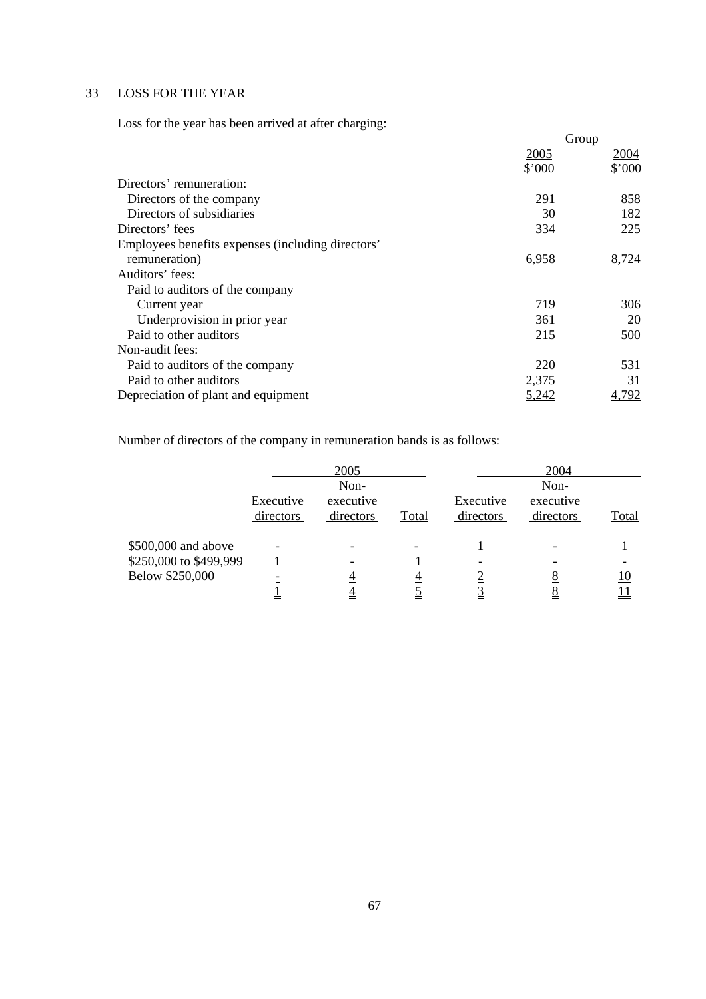# 33 LOSS FOR THE YEAR

Loss for the year has been arrived at after charging:

|                                                   | Group        |        |
|---------------------------------------------------|--------------|--------|
|                                                   | 2005         | 2004   |
|                                                   | \$'000       | \$'000 |
| Directors' remuneration:                          |              |        |
| Directors of the company                          | 291          | 858    |
| Directors of subsidiaries                         | 30           | 182    |
| Directors' fees                                   | 334          | 225    |
| Employees benefits expenses (including directors' |              |        |
| remuneration)                                     | 6,958        | 8,724  |
| Auditors' fees:                                   |              |        |
| Paid to auditors of the company                   |              |        |
| Current year                                      | 719          | 306    |
| Underprovision in prior year                      | 361          | 20     |
| Paid to other auditors                            | 215          | 500    |
| Non-audit fees:                                   |              |        |
| Paid to auditors of the company                   | 220          | 531    |
| Paid to other auditors                            | 2,375        | 31     |
| Depreciation of plant and equipment               | <u>5,242</u> | 4,792  |
|                                                   |              |        |

Number of directors of the company in remuneration bands is as follows:

|                        |                        | 2005                           |                |                        | 2004                           |       |
|------------------------|------------------------|--------------------------------|----------------|------------------------|--------------------------------|-------|
|                        | Executive<br>directors | Non-<br>executive<br>directors | Total          | Executive<br>directors | Non-<br>executive<br>directors | Total |
| \$500,000 and above    |                        |                                | -              |                        |                                |       |
| \$250,000 to \$499,999 |                        |                                |                |                        |                                |       |
| Below \$250,000        |                        |                                | $\overline{4}$ |                        | $\circ$                        | 10    |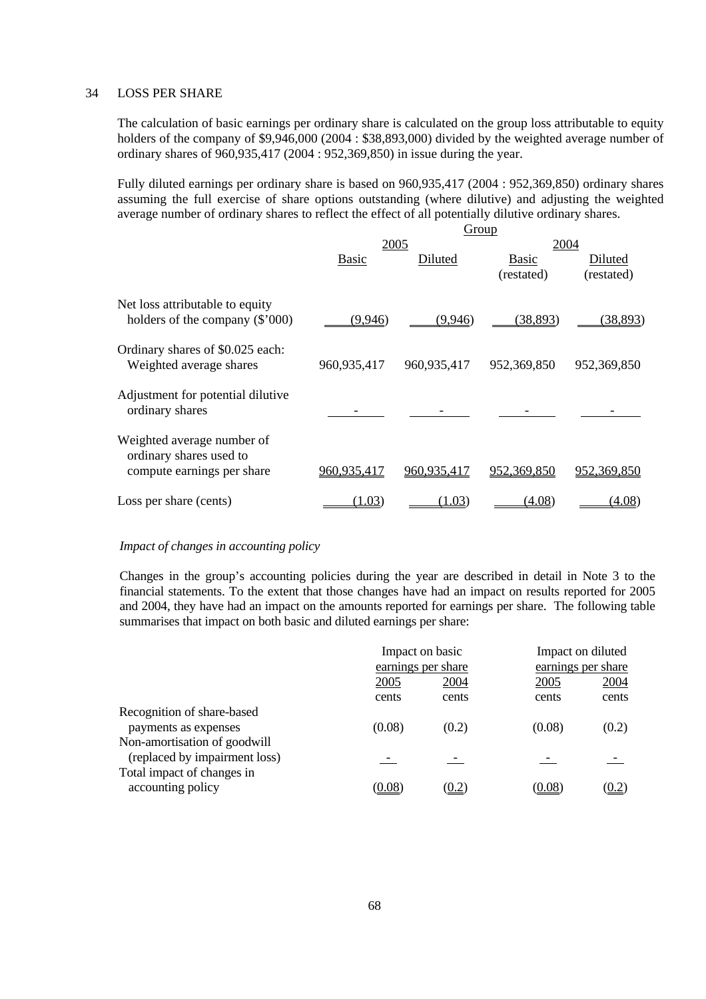#### 34 LOSS PER SHARE

 The calculation of basic earnings per ordinary share is calculated on the group loss attributable to equity holders of the company of \$9,946,000 (2004: \$38,893,000) divided by the weighted average number of ordinary shares of 960,935,417 (2004 : 952,369,850) in issue during the year.

 Fully diluted earnings per ordinary share is based on 960,935,417 (2004 : 952,369,850) ordinary shares assuming the full exercise of share options outstanding (where dilutive) and adjusting the weighted average number of ordinary shares to reflect the effect of all potentially dilutive ordinary shares.

|                                                                      | Group       |             |              |             |  |  |
|----------------------------------------------------------------------|-------------|-------------|--------------|-------------|--|--|
|                                                                      |             | 2005        |              | 2004        |  |  |
|                                                                      | Basic       | Diluted     | <b>Basic</b> | Diluted     |  |  |
|                                                                      |             |             | (restated)   | (restated)  |  |  |
| Net loss attributable to equity<br>holders of the company $(\$'000)$ | (9,946)     | (9,946)     | (38,893)     | (38, 893)   |  |  |
|                                                                      |             |             |              |             |  |  |
| Ordinary shares of \$0.025 each:                                     |             |             |              |             |  |  |
| Weighted average shares                                              | 960,935,417 | 960,935,417 | 952,369,850  | 952,369,850 |  |  |
| Adjustment for potential dilutive                                    |             |             |              |             |  |  |
| ordinary shares                                                      |             |             |              |             |  |  |
| Weighted average number of<br>ordinary shares used to                |             |             |              |             |  |  |
| compute earnings per share                                           | 960,935,417 | 960,935,417 | 952,369,850  | 952,369,850 |  |  |
| Loss per share (cents)                                               | (1.03)      | (1.03)      | (4.08)       | (4.08)      |  |  |

#### *Impact of changes in accounting policy*

Changes in the group's accounting policies during the year are described in detail in Note 3 to the financial statements. To the extent that those changes have had an impact on results reported for 2005 and 2004, they have had an impact on the amounts reported for earnings per share. The following table summarises that impact on both basic and diluted earnings per share:

|                               | Impact on basic<br>earnings per share |       | Impact on diluted<br>earnings per share |       |
|-------------------------------|---------------------------------------|-------|-----------------------------------------|-------|
|                               |                                       |       |                                         |       |
|                               | 2005                                  | 2004  | 2005                                    | 2004  |
|                               | cents                                 | cents | cents                                   | cents |
| Recognition of share-based    |                                       |       |                                         |       |
| payments as expenses          | (0.08)                                | (0.2) | (0.08)                                  | (0.2) |
| Non-amortisation of goodwill  |                                       |       |                                         |       |
| (replaced by impairment loss) |                                       |       |                                         |       |
| Total impact of changes in    |                                       |       |                                         |       |
| accounting policy             | (0.08)                                | (0.2) | (0.08)                                  | (0.2) |
|                               |                                       |       |                                         |       |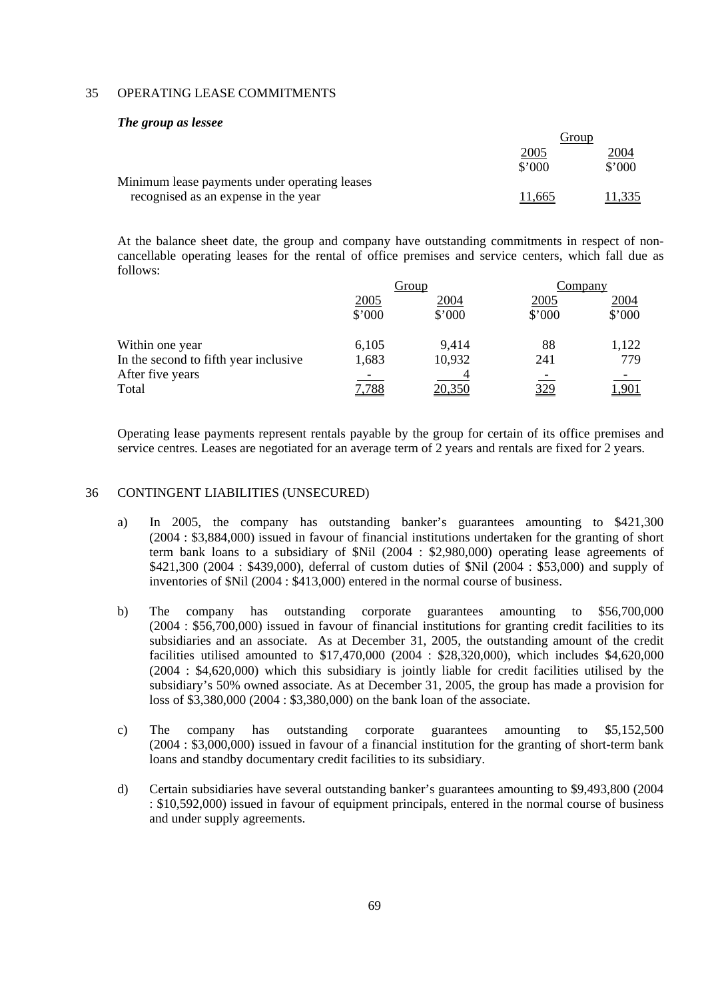#### 35 OPERATING LEASE COMMITMENTS

#### *The group as lessee*

|                                               | Group  |        |
|-----------------------------------------------|--------|--------|
|                                               | 2005   | 2004   |
|                                               | \$'000 | \$'000 |
| Minimum lease payments under operating leases |        |        |
| recognised as an expense in the year          | 11.665 | 11,335 |

 At the balance sheet date, the group and company have outstanding commitments in respect of noncancellable operating leases for the rental of office premises and service centers, which fall due as follows:

|                                       | Group  |               | Company |                          |
|---------------------------------------|--------|---------------|---------|--------------------------|
|                                       | 2005   | 2004          | 2005    | 2004                     |
|                                       | \$'000 | \$'000        | \$'000  | \$'000                   |
| Within one year                       | 6,105  | 9,414         | 88      | 1,122                    |
| In the second to fifth year inclusive | 1,683  | 10,932        | 241     | 779                      |
| After five years                      |        |               |         | $\overline{\phantom{a}}$ |
| Total                                 | 7,788  | <u>20,350</u> | 329     | 90.                      |

 Operating lease payments represent rentals payable by the group for certain of its office premises and service centres. Leases are negotiated for an average term of 2 years and rentals are fixed for 2 years.

#### 36 CONTINGENT LIABILITIES (UNSECURED)

- a) In 2005, the company has outstanding banker's guarantees amounting to \$421,300 (2004 : \$3,884,000) issued in favour of financial institutions undertaken for the granting of short term bank loans to a subsidiary of \$Nil (2004 : \$2,980,000) operating lease agreements of \$421,300 (2004 : \$439,000), deferral of custom duties of \$Nil (2004 : \$53,000) and supply of inventories of \$Nil (2004 : \$413,000) entered in the normal course of business.
- b) The company has outstanding corporate guarantees amounting to \$56,700,000 (2004 : \$56,700,000) issued in favour of financial institutions for granting credit facilities to its subsidiaries and an associate. As at December 31, 2005, the outstanding amount of the credit facilities utilised amounted to \$17,470,000 (2004 : \$28,320,000), which includes \$4,620,000 (2004 : \$4,620,000) which this subsidiary is jointly liable for credit facilities utilised by the subsidiary's 50% owned associate. As at December 31, 2005, the group has made a provision for loss of \$3,380,000 (2004 : \$3,380,000) on the bank loan of the associate.
- c) The company has outstanding corporate guarantees amounting to \$5,152,500 (2004 : \$3,000,000) issued in favour of a financial institution for the granting of short-term bank loans and standby documentary credit facilities to its subsidiary.
- d) Certain subsidiaries have several outstanding banker's guarantees amounting to \$9,493,800 (2004 : \$10,592,000) issued in favour of equipment principals, entered in the normal course of business and under supply agreements.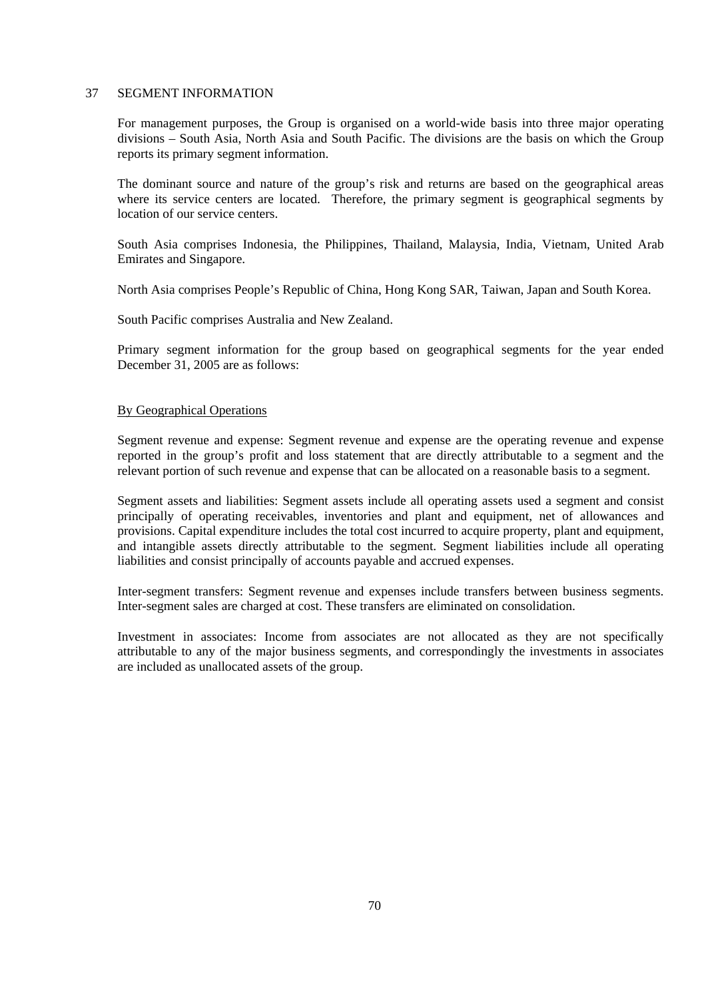#### 37 SEGMENT INFORMATION

 For management purposes, the Group is organised on a world-wide basis into three major operating divisions – South Asia, North Asia and South Pacific. The divisions are the basis on which the Group reports its primary segment information.

 The dominant source and nature of the group's risk and returns are based on the geographical areas where its service centers are located. Therefore, the primary segment is geographical segments by location of our service centers.

 South Asia comprises Indonesia, the Philippines, Thailand, Malaysia, India, Vietnam, United Arab Emirates and Singapore.

North Asia comprises People's Republic of China, Hong Kong SAR, Taiwan, Japan and South Korea.

South Pacific comprises Australia and New Zealand.

 Primary segment information for the group based on geographical segments for the year ended December 31, 2005 are as follows:

## By Geographical Operations

 Segment revenue and expense: Segment revenue and expense are the operating revenue and expense reported in the group's profit and loss statement that are directly attributable to a segment and the relevant portion of such revenue and expense that can be allocated on a reasonable basis to a segment.

 Segment assets and liabilities: Segment assets include all operating assets used a segment and consist principally of operating receivables, inventories and plant and equipment, net of allowances and provisions. Capital expenditure includes the total cost incurred to acquire property, plant and equipment, and intangible assets directly attributable to the segment. Segment liabilities include all operating liabilities and consist principally of accounts payable and accrued expenses.

 Inter-segment transfers: Segment revenue and expenses include transfers between business segments. Inter-segment sales are charged at cost. These transfers are eliminated on consolidation.

 Investment in associates: Income from associates are not allocated as they are not specifically attributable to any of the major business segments, and correspondingly the investments in associates are included as unallocated assets of the group.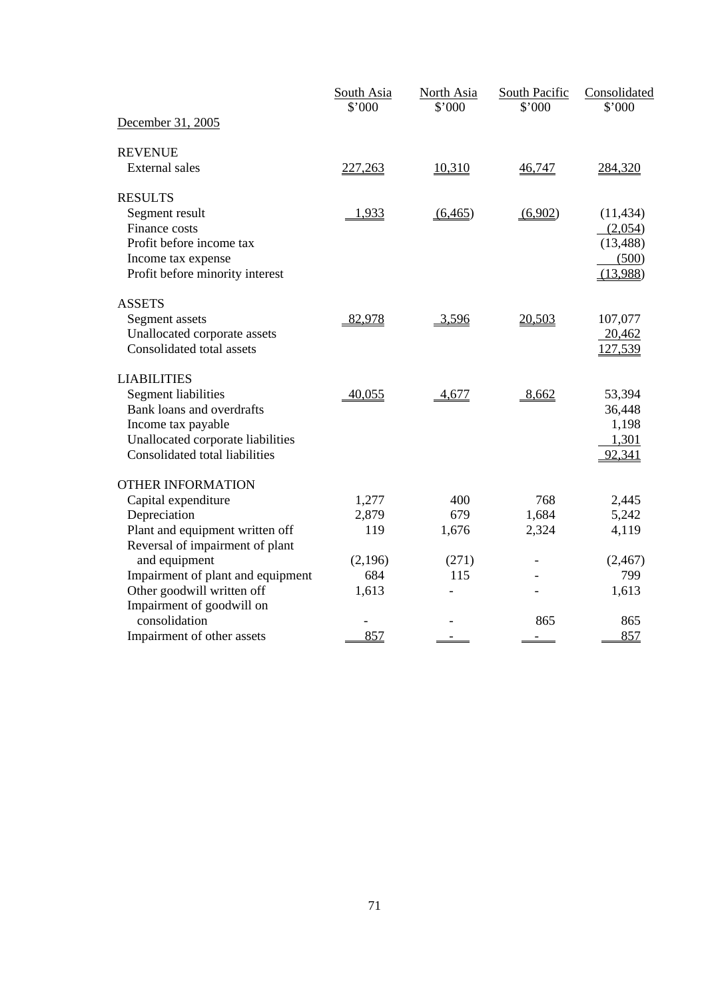|                                   | South Asia | North Asia | South Pacific | Consolidated |
|-----------------------------------|------------|------------|---------------|--------------|
| December 31, 2005                 | \$'000     | \$'000     | \$'000        | \$'000       |
|                                   |            |            |               |              |
| <b>REVENUE</b>                    |            |            |               |              |
| <b>External</b> sales             | 227,263    | 10,310     | 46,747        | 284,320      |
| <b>RESULTS</b>                    |            |            |               |              |
| Segment result                    | $-1,933$   | (6,465)    | (6,902)       | (11, 434)    |
| Finance costs                     |            |            |               | (2,054)      |
| Profit before income tax          |            |            |               | (13, 488)    |
| Income tax expense                |            |            |               | (500)        |
| Profit before minority interest   |            |            |               | (13,988)     |
| <b>ASSETS</b>                     |            |            |               |              |
| Segment assets                    | 82,978     | 3,596      | 20,503        | 107,077      |
| Unallocated corporate assets      |            |            |               | 20,462       |
| Consolidated total assets         |            |            |               | 127,539      |
| <b>LIABILITIES</b>                |            |            |               |              |
| <b>Segment liabilities</b>        | 40,055     | 4,677      | 8,662         | 53,394       |
| Bank loans and overdrafts         |            |            |               | 36,448       |
| Income tax payable                |            |            |               | 1,198        |
| Unallocated corporate liabilities |            |            |               | 1,301        |
| Consolidated total liabilities    |            |            |               | 92,341       |
| <b>OTHER INFORMATION</b>          |            |            |               |              |
| Capital expenditure               | 1,277      | 400        | 768           | 2,445        |
| Depreciation                      | 2,879      | 679        | 1,684         | 5,242        |
| Plant and equipment written off   | 119        | 1,676      | 2,324         | 4,119        |
| Reversal of impairment of plant   |            |            |               |              |
| and equipment                     | (2,196)    | (271)      |               | (2,467)      |
| Impairment of plant and equipment | 684        | 115        |               | 799          |
| Other goodwill written off        | 1,613      |            |               | 1,613        |
| Impairment of goodwill on         |            |            |               |              |
| consolidation                     |            |            | 865           | 865          |
| Impairment of other assets        | 857        |            |               | 857          |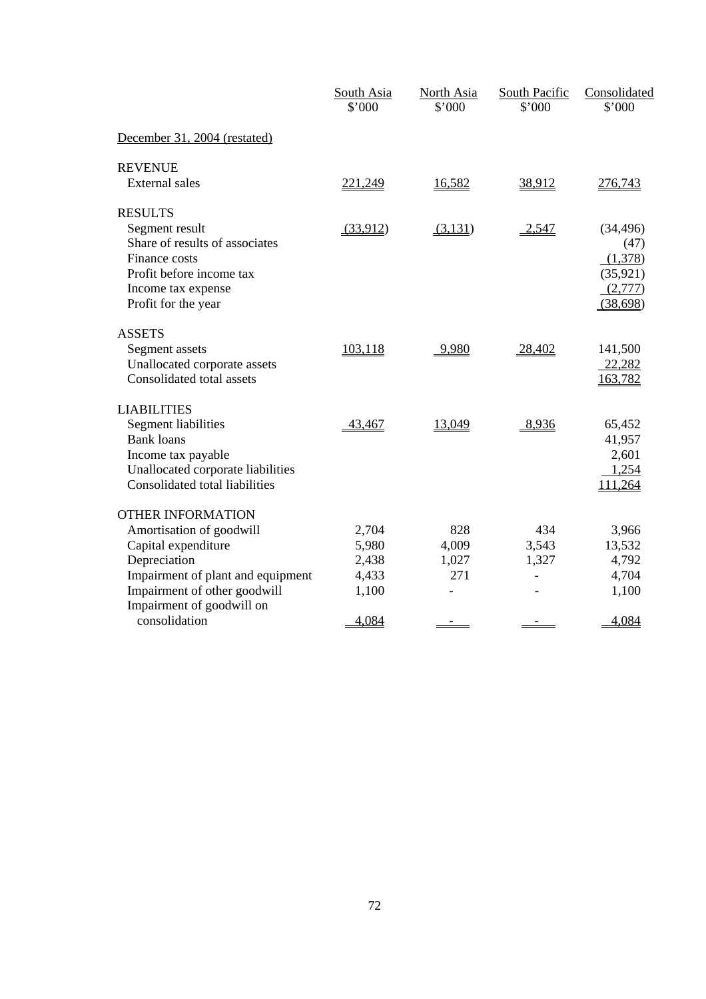|                                   | South Asia<br>\$'000 | North Asia<br>\$'000     | South Pacific<br>\$'000 | Consolidated<br>\$'000 |
|-----------------------------------|----------------------|--------------------------|-------------------------|------------------------|
| December 31, 2004 (restated)      |                      |                          |                         |                        |
| <b>REVENUE</b>                    |                      |                          |                         |                        |
| <b>External sales</b>             | 221,249              | 16,582                   | 38,912                  | 276,743                |
| <b>RESULTS</b>                    |                      |                          |                         |                        |
| Segment result                    | (33,912)             | (3,131)                  | 2,547                   | (34, 496)              |
| Share of results of associates    |                      |                          |                         | (47)                   |
| Finance costs                     |                      |                          |                         | (1,378)                |
| Profit before income tax          |                      |                          |                         | (35, 921)              |
| Income tax expense                |                      |                          |                         | (2,777)                |
| Profit for the year               |                      |                          |                         | (38,698)               |
| <b>ASSETS</b>                     |                      |                          |                         |                        |
| Segment assets                    | 103,118              | 9,980                    | 28,402                  | 141,500                |
| Unallocated corporate assets      |                      |                          |                         | 22,282                 |
| Consolidated total assets         |                      |                          |                         | 163,782                |
| <b>LIABILITIES</b>                |                      |                          |                         |                        |
| <b>Segment liabilities</b>        | 43,467               | 13,049                   | 8,936                   | 65,452                 |
| <b>Bank loans</b>                 |                      |                          |                         | 41,957                 |
| Income tax payable                |                      |                          |                         | 2,601                  |
| Unallocated corporate liabilities |                      |                          |                         | 1,254                  |
| Consolidated total liabilities    |                      |                          |                         | 111,264                |
| <b>OTHER INFORMATION</b>          |                      |                          |                         |                        |
| Amortisation of goodwill          | 2,704                | 828                      | 434                     | 3,966                  |
| Capital expenditure               | 5,980                | 4,009                    | 3,543                   | 13,532                 |
| Depreciation                      | 2,438                | 1,027                    | 1,327                   | 4,792                  |
| Impairment of plant and equipment | 4,433                | 271                      |                         | 4,704                  |
| Impairment of other goodwill      | 1,100                |                          |                         | 1,100                  |
| Impairment of goodwill on         |                      |                          |                         |                        |
| consolidation                     | 4,084                | $\overline{\phantom{0}}$ | $\blacksquare$          | 4,084                  |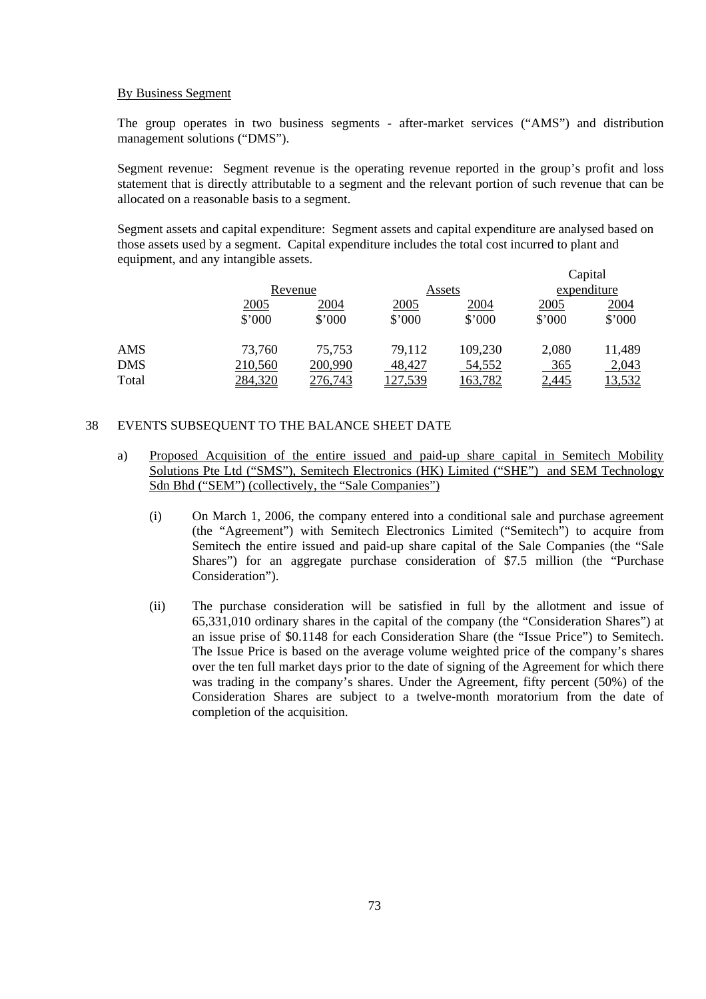## By Business Segment

 The group operates in two business segments - after-market services ("AMS") and distribution management solutions ("DMS").

 Segment revenue: Segment revenue is the operating revenue reported in the group's profit and loss statement that is directly attributable to a segment and the relevant portion of such revenue that can be allocated on a reasonable basis to a segment.

Segment assets and capital expenditure: Segment assets and capital expenditure are analysed based on those assets used by a segment. Capital expenditure includes the total cost incurred to plant and equipment, and any intangible assets.

|       |         |                |                |         | Capital |               |  |
|-------|---------|----------------|----------------|---------|---------|---------------|--|
|       |         | <u>Revenue</u> |                | Assets  |         | expenditure   |  |
|       | 2005    | 2004           | 2005           | 2004    | 2005    | 2004          |  |
|       | \$'000  | \$'000         | \$'000         | \$'000  | \$'000  | \$'000        |  |
| AMS   | 73,760  | 75,753         | 79,112         | 109,230 | 2,080   | 11,489        |  |
| DMS   | 210,560 | 200,990        | 48,427         | 54,552  | 365     | 2,043         |  |
| Total | 284,320 | 276,743        | <u>127,539</u> | 163,782 | 2,445   | <u>13,532</u> |  |

## 38 EVENTS SUBSEQUENT TO THE BALANCE SHEET DATE

- a) Proposed Acquisition of the entire issued and paid-up share capital in Semitech Mobility Solutions Pte Ltd ("SMS"), Semitech Electronics (HK) Limited ("SHE") and SEM Technology Sdn Bhd ("SEM") (collectively, the "Sale Companies")
	- (i) On March 1, 2006, the company entered into a conditional sale and purchase agreement (the "Agreement") with Semitech Electronics Limited ("Semitech") to acquire from Semitech the entire issued and paid-up share capital of the Sale Companies (the "Sale Shares") for an aggregate purchase consideration of \$7.5 million (the "Purchase Consideration").
	- (ii) The purchase consideration will be satisfied in full by the allotment and issue of 65,331,010 ordinary shares in the capital of the company (the "Consideration Shares") at an issue prise of \$0.1148 for each Consideration Share (the "Issue Price") to Semitech. The Issue Price is based on the average volume weighted price of the company's shares over the ten full market days prior to the date of signing of the Agreement for which there was trading in the company's shares. Under the Agreement, fifty percent (50%) of the Consideration Shares are subject to a twelve-month moratorium from the date of completion of the acquisition.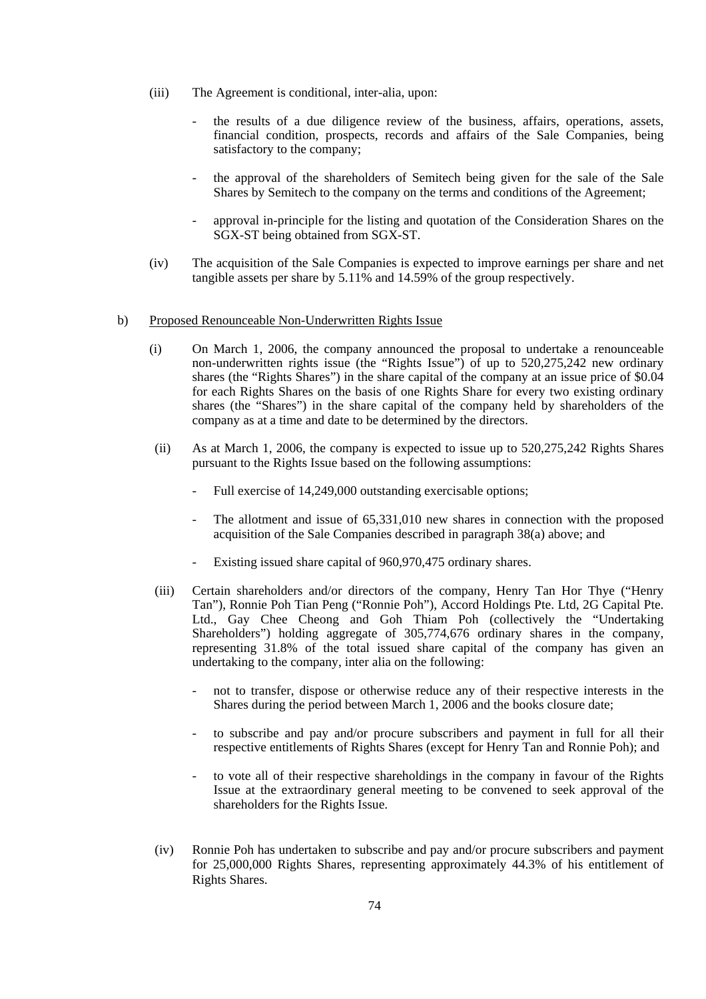- (iii) The Agreement is conditional, inter-alia, upon:
	- the results of a due diligence review of the business, affairs, operations, assets, financial condition, prospects, records and affairs of the Sale Companies, being satisfactory to the company;
	- the approval of the shareholders of Semitech being given for the sale of the Sale Shares by Semitech to the company on the terms and conditions of the Agreement;
	- approval in-principle for the listing and quotation of the Consideration Shares on the SGX-ST being obtained from SGX-ST.
- (iv) The acquisition of the Sale Companies is expected to improve earnings per share and net tangible assets per share by 5.11% and 14.59% of the group respectively.

## b) Proposed Renounceable Non-Underwritten Rights Issue

- (i) On March 1, 2006, the company announced the proposal to undertake a renounceable non-underwritten rights issue (the "Rights Issue") of up to 520,275,242 new ordinary shares (the "Rights Shares") in the share capital of the company at an issue price of \$0.04 for each Rights Shares on the basis of one Rights Share for every two existing ordinary shares (the "Shares") in the share capital of the company held by shareholders of the company as at a time and date to be determined by the directors.
- (ii) As at March 1, 2006, the company is expected to issue up to 520,275,242 Rights Shares pursuant to the Rights Issue based on the following assumptions:
	- Full exercise of 14,249,000 outstanding exercisable options;
	- The allotment and issue of  $65,331,010$  new shares in connection with the proposed acquisition of the Sale Companies described in paragraph 38(a) above; and
	- Existing issued share capital of 960,970,475 ordinary shares.
- (iii) Certain shareholders and/or directors of the company, Henry Tan Hor Thye ("Henry Tan"), Ronnie Poh Tian Peng ("Ronnie Poh"), Accord Holdings Pte. Ltd, 2G Capital Pte. Ltd., Gay Chee Cheong and Goh Thiam Poh (collectively the "Undertaking Shareholders") holding aggregate of 305,774,676 ordinary shares in the company, representing 31.8% of the total issued share capital of the company has given an undertaking to the company, inter alia on the following:
	- not to transfer, dispose or otherwise reduce any of their respective interests in the Shares during the period between March 1, 2006 and the books closure date;
	- to subscribe and pay and/or procure subscribers and payment in full for all their respective entitlements of Rights Shares (except for Henry Tan and Ronnie Poh); and
	- to vote all of their respective shareholdings in the company in favour of the Rights Issue at the extraordinary general meeting to be convened to seek approval of the shareholders for the Rights Issue.
- (iv) Ronnie Poh has undertaken to subscribe and pay and/or procure subscribers and payment for 25,000,000 Rights Shares, representing approximately 44.3% of his entitlement of Rights Shares.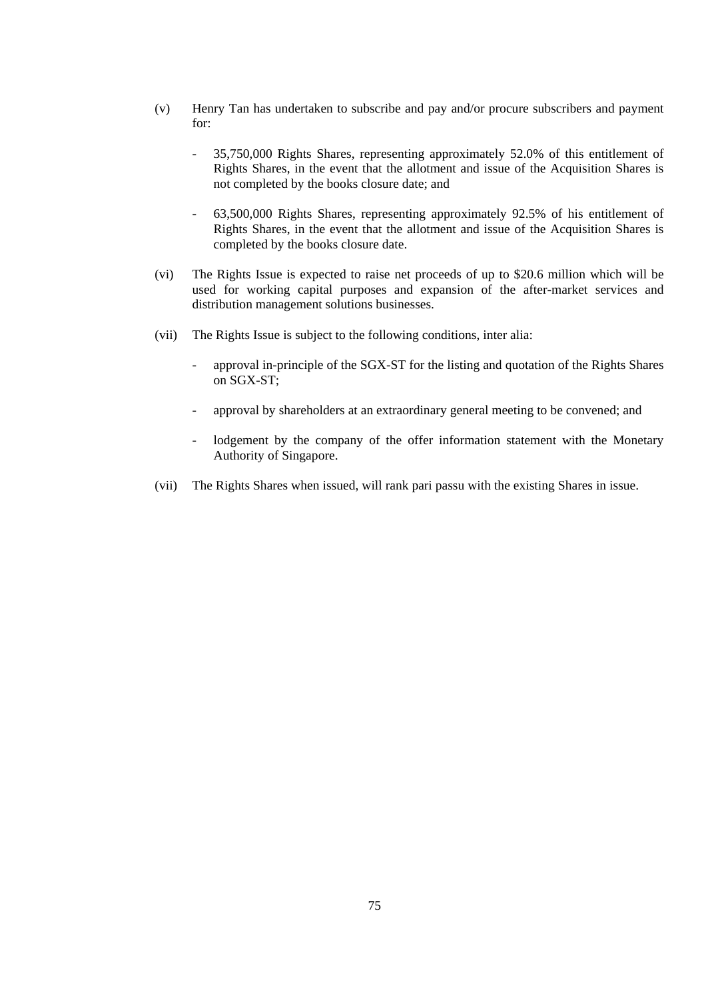- (v) Henry Tan has undertaken to subscribe and pay and/or procure subscribers and payment for:
	- 35,750,000 Rights Shares, representing approximately 52.0% of this entitlement of Rights Shares, in the event that the allotment and issue of the Acquisition Shares is not completed by the books closure date; and
	- 63,500,000 Rights Shares, representing approximately 92.5% of his entitlement of Rights Shares, in the event that the allotment and issue of the Acquisition Shares is completed by the books closure date.
- (vi) The Rights Issue is expected to raise net proceeds of up to \$20.6 million which will be used for working capital purposes and expansion of the after-market services and distribution management solutions businesses.
- (vii) The Rights Issue is subject to the following conditions, inter alia:
	- approval in-principle of the SGX-ST for the listing and quotation of the Rights Shares on SGX-ST;
	- approval by shareholders at an extraordinary general meeting to be convened; and
	- lodgement by the company of the offer information statement with the Monetary Authority of Singapore.
- (vii) The Rights Shares when issued, will rank pari passu with the existing Shares in issue.